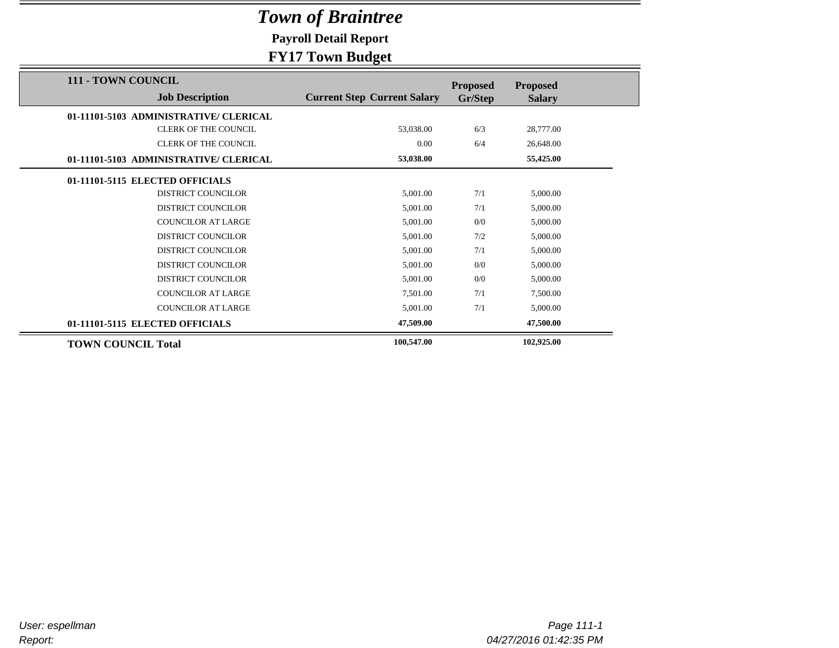**Payroll Detail Report**

| 111 - TOWN COUNCIL                     |                                    | <b>Proposed</b> | <b>Proposed</b> |  |
|----------------------------------------|------------------------------------|-----------------|-----------------|--|
| <b>Job Description</b>                 | <b>Current Step Current Salary</b> | Gr/Step         | <b>Salary</b>   |  |
| 01-11101-5103 ADMINISTRATIVE/ CLERICAL |                                    |                 |                 |  |
| <b>CLERK OF THE COUNCIL</b>            | 53,038.00                          | 6/3             | 28,777.00       |  |
| <b>CLERK OF THE COUNCIL</b>            | 0.00                               | 6/4             | 26,648.00       |  |
| 01-11101-5103 ADMINISTRATIVE/ CLERICAL | 53,038.00                          |                 | 55,425.00       |  |
| 01-11101-5115 ELECTED OFFICIALS        |                                    |                 |                 |  |
| <b>DISTRICT COUNCILOR</b>              | 5,001.00                           | 7/1             | 5,000.00        |  |
| <b>DISTRICT COUNCILOR</b>              | 5,001.00                           | 7/1             | 5,000.00        |  |
| <b>COUNCILOR AT LARGE</b>              | 5,001.00                           | 0/0             | 5,000.00        |  |
| <b>DISTRICT COUNCILOR</b>              | 5,001.00                           | 7/2             | 5,000.00        |  |
| <b>DISTRICT COUNCILOR</b>              | 5,001.00                           | 7/1             | 5,000.00        |  |
| <b>DISTRICT COUNCILOR</b>              | 5,001.00                           | 0/0             | 5,000.00        |  |
| <b>DISTRICT COUNCILOR</b>              | 5,001.00                           | 0/0             | 5,000.00        |  |
| <b>COUNCILOR AT LARGE</b>              | 7,501.00                           | 7/1             | 7,500.00        |  |
| <b>COUNCILOR AT LARGE</b>              | 5,001.00                           | 7/1             | 5,000.00        |  |
| 01-11101-5115 ELECTED OFFICIALS        | 47,509.00                          |                 | 47,500.00       |  |
| <b>TOWN COUNCIL Total</b>              | 100,547.00                         |                 | 102,925.00      |  |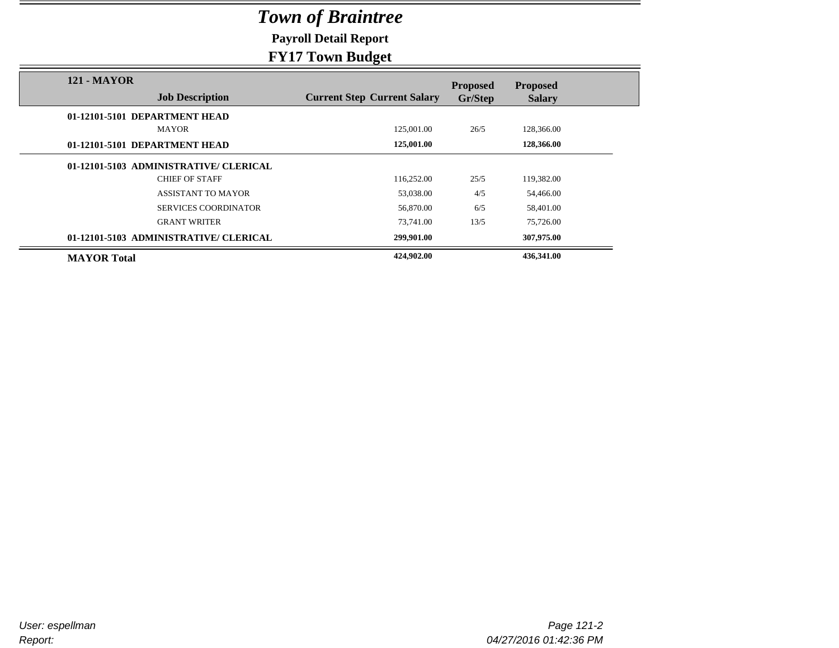**Payroll Detail Report**

|                                              | -9-                                |                            |                                  |
|----------------------------------------------|------------------------------------|----------------------------|----------------------------------|
| <b>121 - MAYOR</b><br><b>Job Description</b> | <b>Current Step Current Salary</b> | <b>Proposed</b><br>Gr/Step | <b>Proposed</b><br><b>Salary</b> |
| 01-12101-5101 DEPARTMENT HEAD                |                                    |                            |                                  |
| <b>MAYOR</b>                                 | 125,001.00                         | 26/5                       | 128,366.00                       |
| 01-12101-5101 DEPARTMENT HEAD                | 125,001.00                         |                            | 128,366.00                       |
| 01-12101-5103 ADMINISTRATIVE/ CLERICAL       |                                    |                            |                                  |
| <b>CHIEF OF STAFF</b>                        | 116,252.00                         | 25/5                       | 119,382.00                       |
| <b>ASSISTANT TO MAYOR</b>                    | 53,038.00                          | 4/5                        | 54,466.00                        |
| <b>SERVICES COORDINATOR</b>                  | 56,870.00                          | 6/5                        | 58,401.00                        |
| <b>GRANT WRITER</b>                          | 73,741.00                          | 13/5                       | 75,726.00                        |
| 01-12101-5103 ADMINISTRATIVE/ CLERICAL       | 299,901.00                         |                            | 307,975.00                       |
| <b>MAYOR</b> Total                           | 424,902.00                         |                            | 436,341.00                       |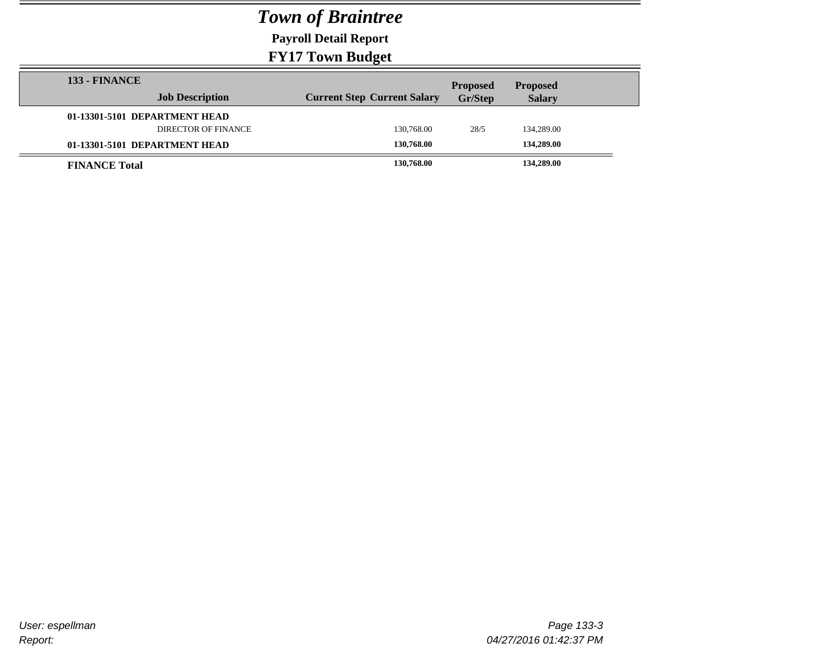**Payroll Detail Report**

| <b>133 - FINANCE</b>          |                            |                                    | <b>Proposed</b> | <b>Proposed</b> |  |
|-------------------------------|----------------------------|------------------------------------|-----------------|-----------------|--|
|                               | <b>Job Description</b>     | <b>Current Step Current Salary</b> | Gr/Step         | <b>Salary</b>   |  |
| 01-13301-5101 DEPARTMENT HEAD |                            |                                    |                 |                 |  |
|                               | <b>DIRECTOR OF FINANCE</b> | 130,768.00                         | 28/5            | 134,289.00      |  |
| 01-13301-5101 DEPARTMENT HEAD |                            | 130,768.00                         |                 | 134,289.00      |  |
| <b>FINANCE Total</b>          |                            | 130,768.00                         |                 | 134,289.00      |  |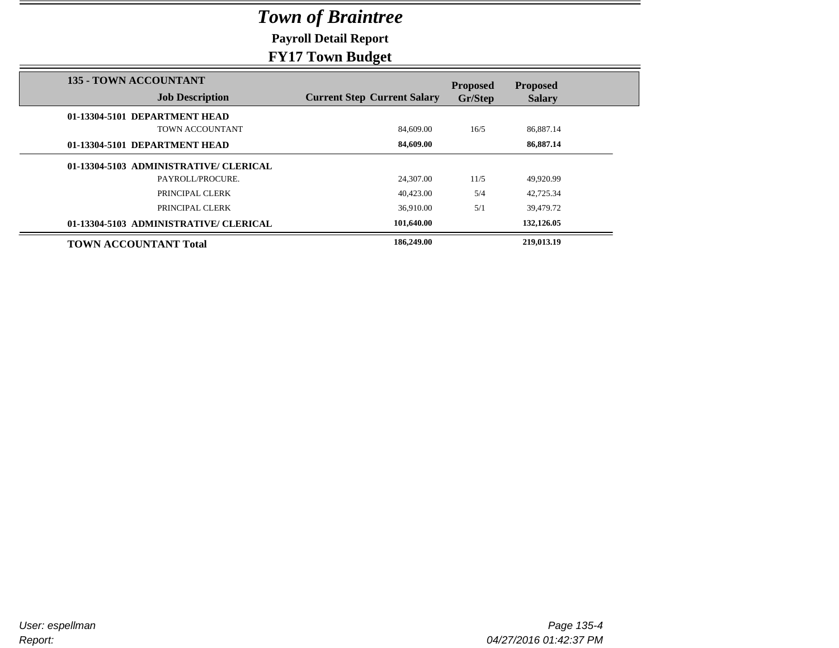**Payroll Detail Report**

| <b>135 - TOWN ACCOUNTANT</b>           |                                    |                            |                                  |
|----------------------------------------|------------------------------------|----------------------------|----------------------------------|
| <b>Job Description</b>                 | <b>Current Step Current Salary</b> | <b>Proposed</b><br>Gr/Step | <b>Proposed</b><br><b>Salary</b> |
| 01-13304-5101 DEPARTMENT HEAD          |                                    |                            |                                  |
| TOWN ACCOUNTANT                        | 84,609.00                          | 16/5                       | 86,887.14                        |
| 01-13304-5101 DEPARTMENT HEAD          | 84,609.00                          |                            | 86,887.14                        |
| 01-13304-5103 ADMINISTRATIVE/ CLERICAL |                                    |                            |                                  |
| PAYROLL/PROCURE.                       | 24,307.00                          | 11/5                       | 49,920.99                        |
| PRINCIPAL CLERK                        | 40.423.00                          | 5/4                        | 42,725.34                        |
| PRINCIPAL CLERK                        | 36.910.00                          | 5/1                        | 39.479.72                        |
| 01-13304-5103 ADMINISTRATIVE/ CLERICAL | 101,640.00                         |                            | 132,126.05                       |
| <b>TOWN ACCOUNTANT Total</b>           | 186,249.00                         |                            | 219,013.19                       |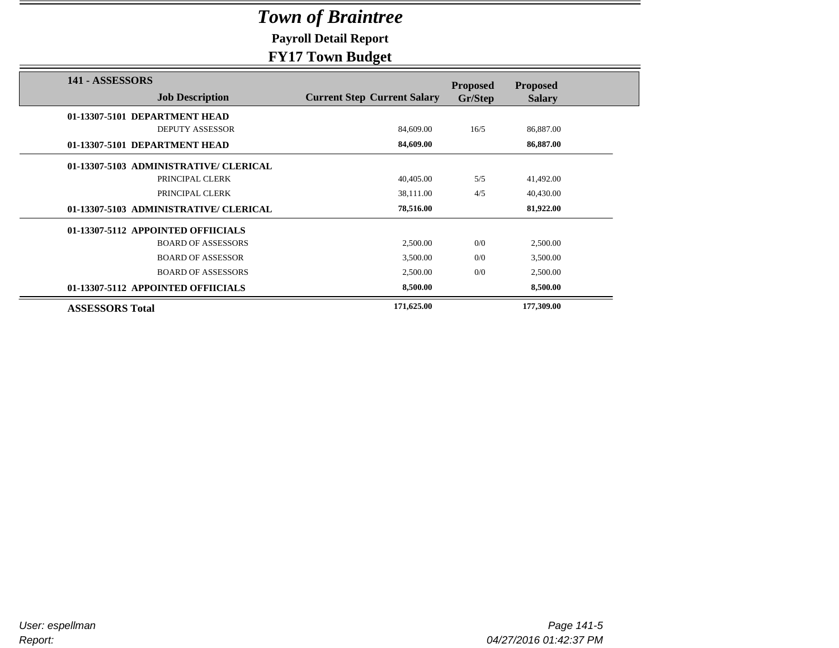**Payroll Detail Report**

### **FY17 Town Budget**

|                                        | ా                                  |                 |                 |
|----------------------------------------|------------------------------------|-----------------|-----------------|
| 141 - ASSESSORS                        |                                    | <b>Proposed</b> | <b>Proposed</b> |
| <b>Job Description</b>                 | <b>Current Step Current Salary</b> | Gr/Step         | <b>Salary</b>   |
| 01-13307-5101 DEPARTMENT HEAD          |                                    |                 |                 |
| <b>DEPUTY ASSESSOR</b>                 | 84,609.00                          | 16/5            | 86,887.00       |
| 01-13307-5101 DEPARTMENT HEAD          | 84,609.00                          |                 | 86,887.00       |
| 01-13307-5103 ADMINISTRATIVE/ CLERICAL |                                    |                 |                 |
| PRINCIPAL CLERK                        | 40,405.00                          | 5/5             | 41,492.00       |
| PRINCIPAL CLERK                        | 38,111.00                          | 4/5             | 40,430.00       |
| 01-13307-5103 ADMINISTRATIVE/ CLERICAL | 78,516.00                          |                 | 81,922.00       |
| 01-13307-5112 APPOINTED OFFIICIALS     |                                    |                 |                 |
| <b>BOARD OF ASSESSORS</b>              | 2,500.00                           | 0/0             | 2,500.00        |
| <b>BOARD OF ASSESSOR</b>               | 3,500.00                           | 0/0             | 3,500.00        |
| <b>BOARD OF ASSESSORS</b>              | 2,500.00                           | 0/0             | 2,500.00        |
| 01-13307-5112 APPOINTED OFFIICIALS     | 8,500.00                           |                 | 8,500.00        |
| <b>ASSESSORS Total</b>                 | 171,625.00                         |                 | 177,309.00      |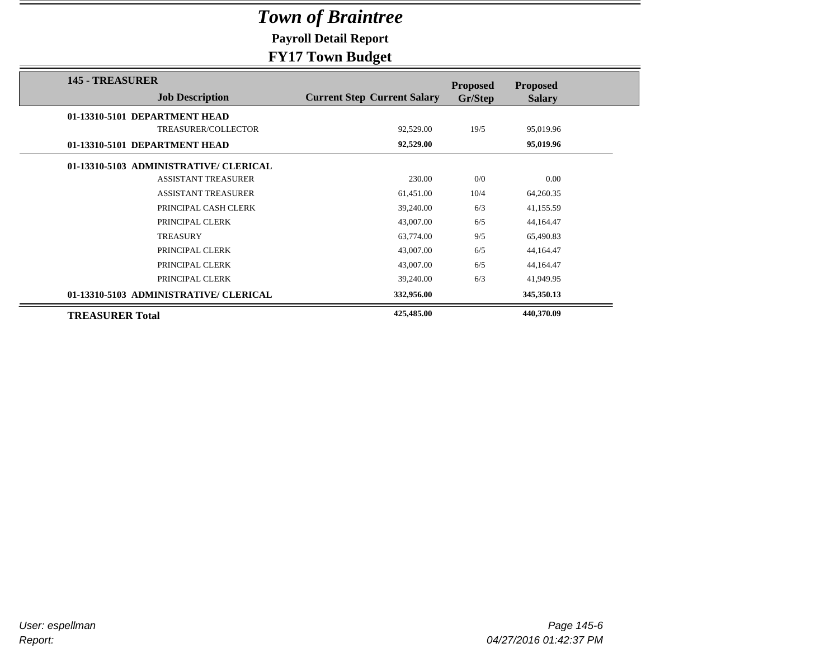**Payroll Detail Report**

### **FY17 Town Budget**

| <b>145 - TREASURER</b>                 |                                    | <b>Proposed</b> | <b>Proposed</b> |
|----------------------------------------|------------------------------------|-----------------|-----------------|
| <b>Job Description</b>                 | <b>Current Step Current Salary</b> | Gr/Step         | <b>Salary</b>   |
| 01-13310-5101 DEPARTMENT HEAD          |                                    |                 |                 |
| TREASURER/COLLECTOR                    | 92,529.00                          | 19/5            | 95,019.96       |
| 01-13310-5101 DEPARTMENT HEAD          | 92,529.00                          |                 | 95,019.96       |
| 01-13310-5103 ADMINISTRATIVE/ CLERICAL |                                    |                 |                 |
| <b>ASSISTANT TREASURER</b>             | 230.00                             | 0/0             | 0.00            |
| <b>ASSISTANT TREASURER</b>             | 61,451.00                          | 10/4            | 64,260.35       |
| PRINCIPAL CASH CLERK                   | 39,240.00                          | 6/3             | 41,155.59       |
| PRINCIPAL CLERK                        | 43,007.00                          | 6/5             | 44,164.47       |
| <b>TREASURY</b>                        | 63,774.00                          | 9/5             | 65,490.83       |
| PRINCIPAL CLERK                        | 43,007.00                          | 6/5             | 44,164.47       |
| PRINCIPAL CLERK                        | 43,007.00                          | 6/5             | 44,164.47       |
| PRINCIPAL CLERK                        | 39,240.00                          | 6/3             | 41,949.95       |
| 01-13310-5103 ADMINISTRATIVE/ CLERICAL | 332,956.00                         |                 | 345,350.13      |
| <b>TREASURER Total</b>                 | 425,485.00                         |                 | 440,370.09      |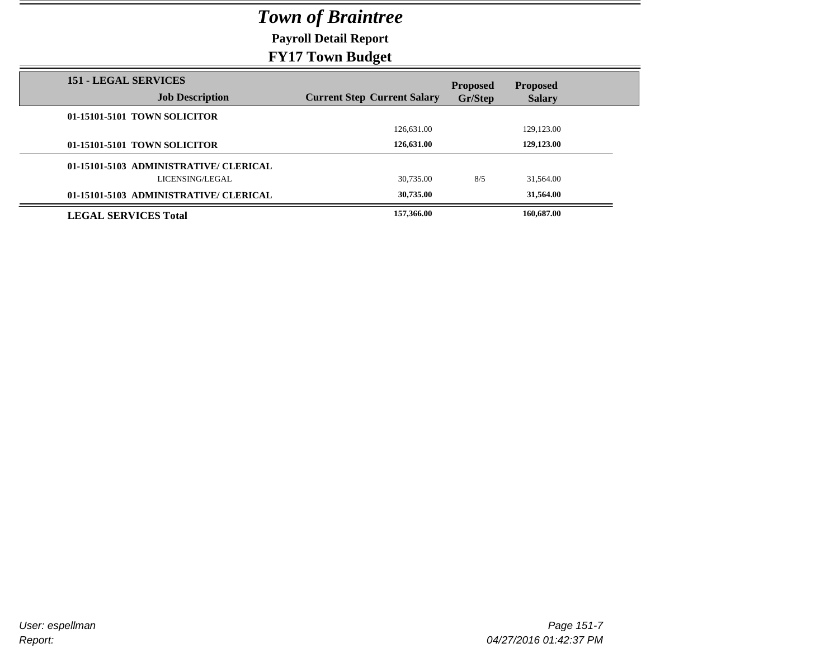**Payroll Detail Report**

| <b>151 - LEGAL SERVICES</b><br><b>Job Description</b> | <b>Current Step Current Salary</b> | <b>Proposed</b><br>Gr/Step | <b>Proposed</b><br><b>Salary</b> |  |
|-------------------------------------------------------|------------------------------------|----------------------------|----------------------------------|--|
|                                                       |                                    |                            |                                  |  |
| 01-15101-5101 TOWN SOLICITOR                          |                                    |                            |                                  |  |
|                                                       | 126,631.00                         |                            | 129,123.00                       |  |
| 01-15101-5101 TOWN SOLICITOR                          | 126,631.00                         |                            | 129,123.00                       |  |
| 01-15101-5103 ADMINISTRATIVE/ CLERICAL                |                                    |                            |                                  |  |
| LICENSING/LEGAL                                       | 30.735.00                          | 8/5                        | 31,564.00                        |  |
| 01-15101-5103 ADMINISTRATIVE/ CLERICAL                | 30,735.00                          |                            | 31.564.00                        |  |
| <b>LEGAL SERVICES Total</b>                           | 157,366.00                         |                            | 160,687.00                       |  |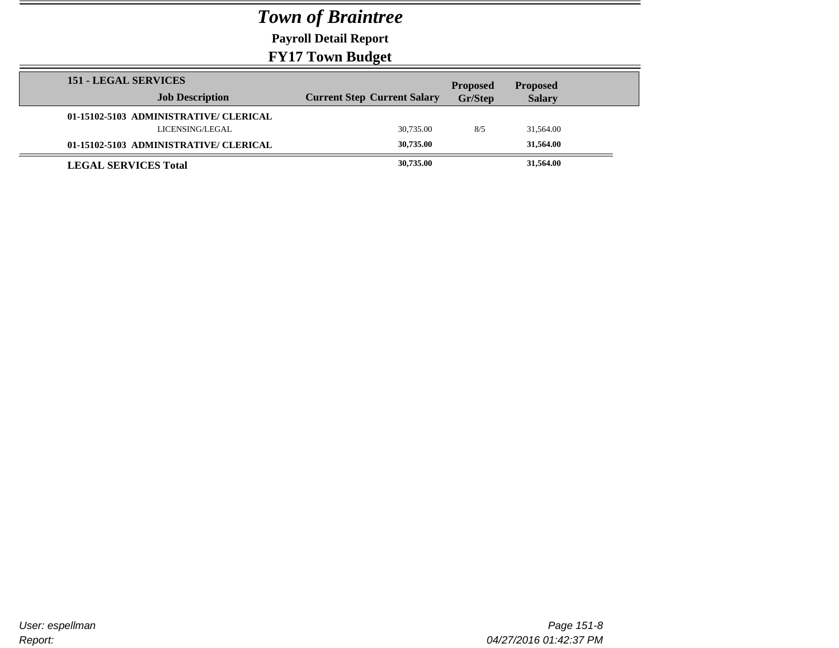**Payroll Detail Report**

| <b>151 - LEGAL SERVICES</b>            |                                    | <b>Proposed</b> | <b>Proposed</b> |  |
|----------------------------------------|------------------------------------|-----------------|-----------------|--|
| <b>Job Description</b>                 | <b>Current Step Current Salary</b> | Gr/Step         | <b>Salary</b>   |  |
| 01-15102-5103 ADMINISTRATIVE/ CLERICAL |                                    |                 |                 |  |
| LICENSING/LEGAL                        | 30,735.00                          | 8/5             | 31,564.00       |  |
| 01-15102-5103 ADMINISTRATIVE/ CLERICAL | 30,735.00                          |                 | 31,564.00       |  |
| <b>LEGAL SERVICES Total</b>            | 30,735.00                          |                 | 31,564.00       |  |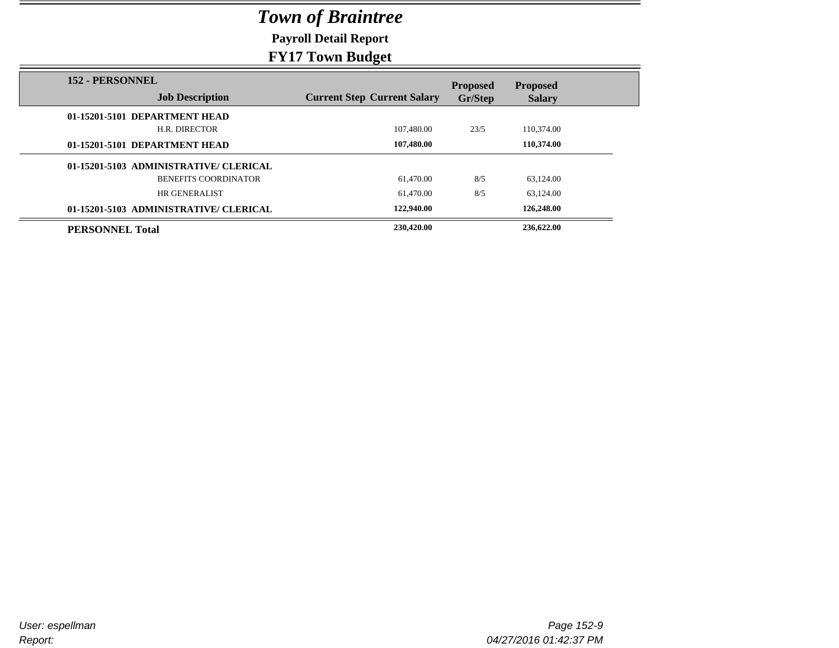**Payroll Detail Report**

| <b>152 - PERSONNEL</b>                 |                                    | <b>Proposed</b> | <b>Proposed</b> |
|----------------------------------------|------------------------------------|-----------------|-----------------|
| <b>Job Description</b>                 | <b>Current Step Current Salary</b> | Gr/Step         | <b>Salary</b>   |
| 01-15201-5101 DEPARTMENT HEAD          |                                    |                 |                 |
| H.R. DIRECTOR                          | 107,480.00                         | 23/5            | 110,374.00      |
| 01-15201-5101 DEPARTMENT HEAD          | 107,480.00                         |                 | 110.374.00      |
| 01-15201-5103 ADMINISTRATIVE/ CLERICAL |                                    |                 |                 |
| <b>BENEFITS COORDINATOR</b>            | 61.470.00                          | 8/5             | 63,124.00       |
| HR GENERALIST                          | 61.470.00                          | 8/5             | 63,124.00       |
| 01-15201-5103 ADMINISTRATIVE/ CLERICAL | 122,940.00                         |                 | 126,248.00      |
| <b>PERSONNEL Total</b>                 | 230,420.00                         |                 | 236,622.00      |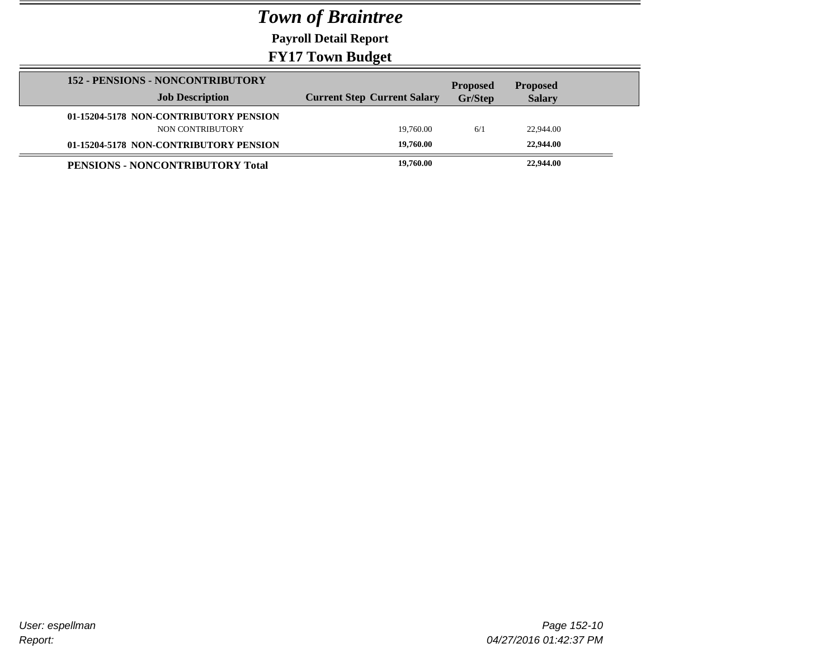**Payroll Detail Report**

| <b>152 - PENSIONS - NONCONTRIBUTORY</b> |                                    | <b>Proposed</b> | <b>Proposed</b> |  |
|-----------------------------------------|------------------------------------|-----------------|-----------------|--|
| <b>Job Description</b>                  | <b>Current Step Current Salary</b> | Gr/Step         | <b>Salary</b>   |  |
| 01-15204-5178 NON-CONTRIBUTORY PENSION  |                                    |                 |                 |  |
| NON CONTRIBUTORY                        | 19.760.00                          | 6/1             | 22,944.00       |  |
| 01-15204-5178 NON-CONTRIBUTORY PENSION  | 19,760.00                          |                 | 22,944.00       |  |
| PENSIONS - NONCONTRIBUTORY Total        | 19,760.00                          |                 | 22,944.00       |  |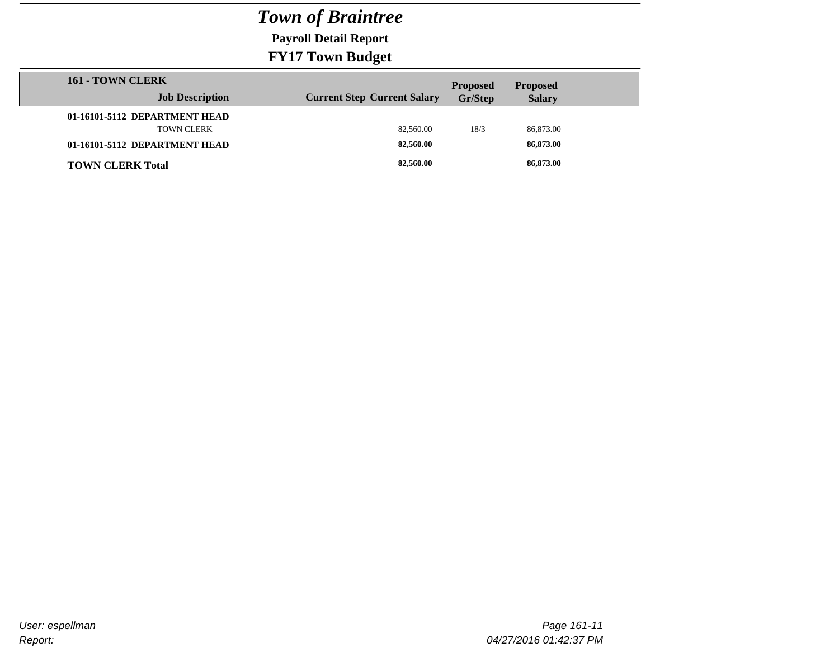**Payroll Detail Report**

| 161 - TOWN CLERK              | -- <b>-</b> --                     |                            |                                  |
|-------------------------------|------------------------------------|----------------------------|----------------------------------|
| <b>Job Description</b>        | <b>Current Step Current Salary</b> | <b>Proposed</b><br>Gr/Step | <b>Proposed</b><br><b>Salary</b> |
| 01-16101-5112 DEPARTMENT HEAD |                                    |                            |                                  |
| <b>TOWN CLERK</b>             | 82,560.00                          | 18/3                       | 86,873.00                        |
| 01-16101-5112 DEPARTMENT HEAD | 82,560,00                          |                            | 86,873.00                        |
| <b>TOWN CLERK Total</b>       | 82,560.00                          |                            | 86,873.00                        |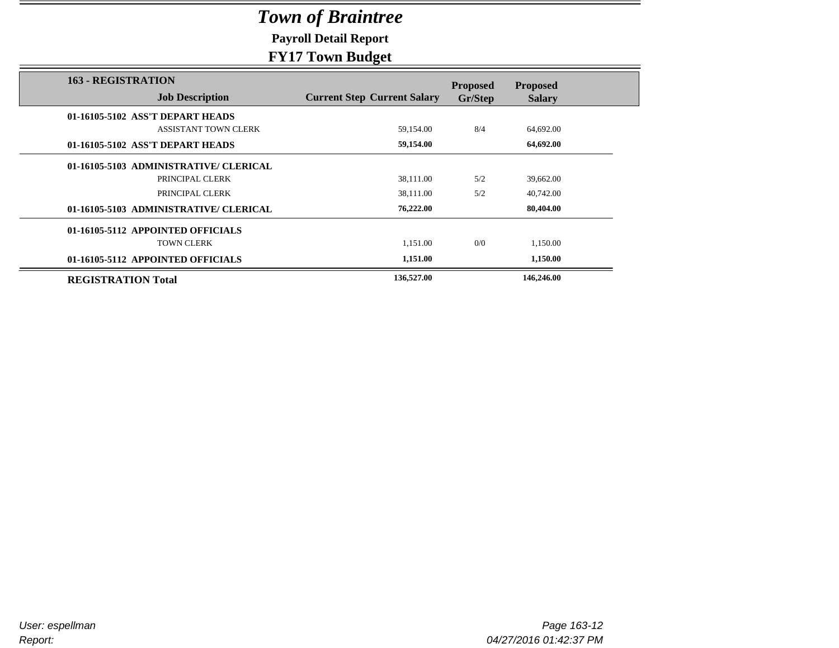**Payroll Detail Report**

|                                                     | -- - - -                           |                            |                                  |
|-----------------------------------------------------|------------------------------------|----------------------------|----------------------------------|
| <b>163 - REGISTRATION</b><br><b>Job Description</b> | <b>Current Step Current Salary</b> | <b>Proposed</b><br>Gr/Step | <b>Proposed</b><br><b>Salary</b> |
| 01-16105-5102 ASS'T DEPART HEADS                    |                                    |                            |                                  |
| <b>ASSISTANT TOWN CLERK</b>                         | 59,154.00                          | 8/4                        | 64,692.00                        |
| 01-16105-5102 ASS'T DEPART HEADS                    | 59,154.00                          |                            | 64,692.00                        |
| 01-16105-5103 ADMINISTRATIVE/ CLERICAL              |                                    |                            |                                  |
| PRINCIPAL CLERK                                     | 38,111.00                          | 5/2                        | 39,662.00                        |
| PRINCIPAL CLERK                                     | 38,111.00                          | 5/2                        | 40,742.00                        |
| 01-16105-5103 ADMINISTRATIVE/ CLERICAL              | 76,222.00                          |                            | 80,404.00                        |
| 01-16105-5112 APPOINTED OFFICIALS                   |                                    |                            |                                  |
| <b>TOWN CLERK</b>                                   | 1,151.00                           | 0/0                        | 1,150.00                         |
| 01-16105-5112 APPOINTED OFFICIALS                   | 1,151.00                           |                            | 1,150.00                         |
| <b>REGISTRATION Total</b>                           | 136,527.00                         |                            | 146,246.00                       |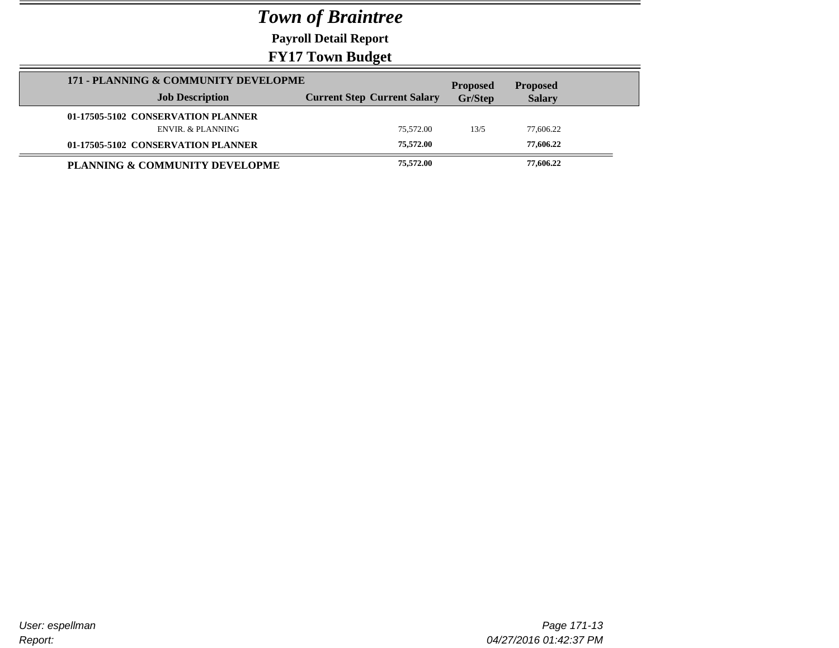**Payroll Detail Report**

| 171 - PLANNING & COMMUNITY DEVELOPME | <b>Proposed</b><br><b>Proposed</b> |         |               |  |
|--------------------------------------|------------------------------------|---------|---------------|--|
| <b>Job Description</b>               | <b>Current Step Current Salary</b> | Gr/Step | <b>Salary</b> |  |
| 01-17505-5102 CONSERVATION PLANNER   |                                    |         |               |  |
| ENVIR, & PLANNING                    | 75.572.00                          | 13/5    | 77.606.22     |  |
| 01-17505-5102 CONSERVATION PLANNER   | 75,572.00                          |         | 77,606.22     |  |
| PLANNING & COMMUNITY DEVELOPME       | 75,572.00                          |         | 77,606.22     |  |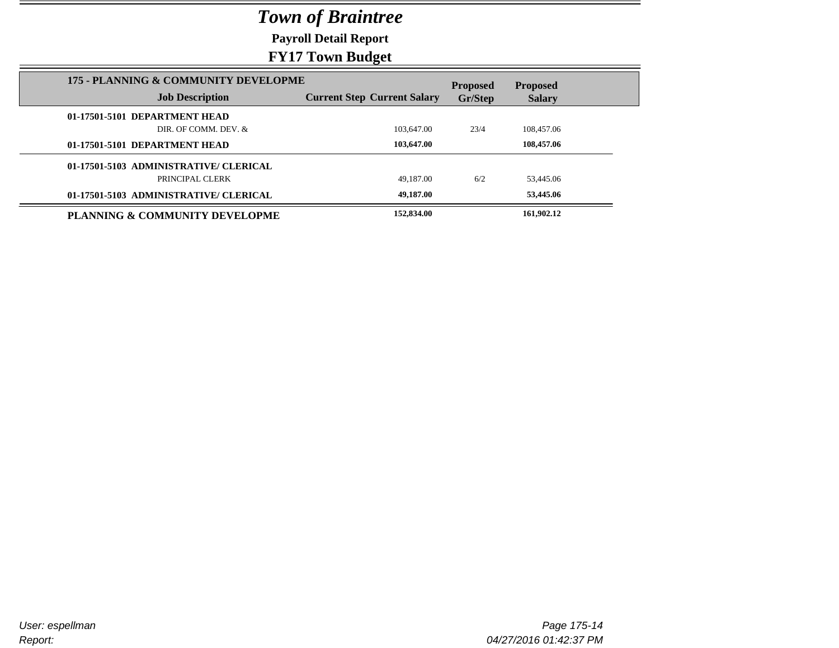**Payroll Detail Report**

| 175 - PLANNING & COMMUNITY DEVELOPME   |                                    | <b>Proposed</b> | <b>Proposed</b> |  |
|----------------------------------------|------------------------------------|-----------------|-----------------|--|
| <b>Job Description</b>                 | <b>Current Step Current Salary</b> | Gr/Step         | <b>Salary</b>   |  |
| 01-17501-5101 DEPARTMENT HEAD          |                                    |                 |                 |  |
| DIR. OF COMM. DEV. &                   | 103,647.00                         | 23/4            | 108,457.06      |  |
| 01-17501-5101 DEPARTMENT HEAD          | 103,647.00                         |                 | 108,457.06      |  |
| 01-17501-5103 ADMINISTRATIVE/ CLERICAL |                                    |                 |                 |  |
| PRINCIPAL CLERK                        | 49.187.00                          | 6/2             | 53.445.06       |  |
| 01-17501-5103 ADMINISTRATIVE/ CLERICAL | 49,187.00                          |                 | 53,445.06       |  |
| PLANNING & COMMUNITY DEVELOPME         | 152,834.00                         |                 | 161,902.12      |  |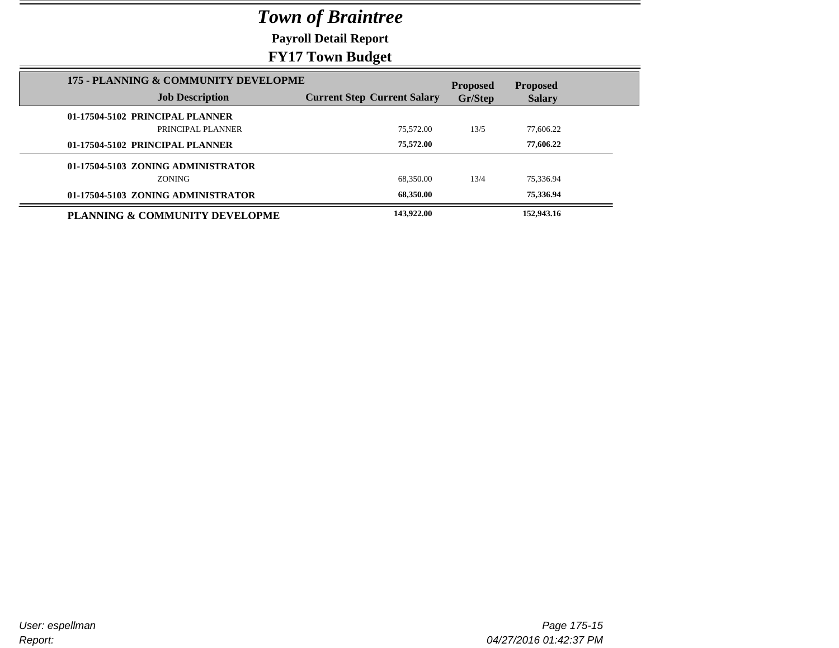**Payroll Detail Report**

### **FY17 Town Budget**

|                                                                | $\rightarrow$ $\rightarrow$ $\rightarrow$ |                            |                                  |  |
|----------------------------------------------------------------|-------------------------------------------|----------------------------|----------------------------------|--|
| 175 - PLANNING & COMMUNITY DEVELOPME<br><b>Job Description</b> | <b>Current Step Current Salary</b>        | <b>Proposed</b><br>Gr/Step | <b>Proposed</b><br><b>Salary</b> |  |
| 01-17504-5102 PRINCIPAL PLANNER                                |                                           |                            |                                  |  |
| PRINCIPAL PLANNER                                              | 75.572.00                                 | 13/5                       | 77,606.22                        |  |
| 01-17504-5102 PRINCIPAL PLANNER                                | 75,572.00                                 |                            | 77,606.22                        |  |
| 01-17504-5103 ZONING ADMINISTRATOR                             |                                           |                            |                                  |  |
| ZONING                                                         | 68.350.00                                 | 13/4                       | 75.336.94                        |  |
| 01-17504-5103 ZONING ADMINISTRATOR                             | 68.350.00                                 |                            | 75,336.94                        |  |
| PLANNING & COMMUNITY DEVELOPME                                 | 143,922.00                                |                            | 152,943.16                       |  |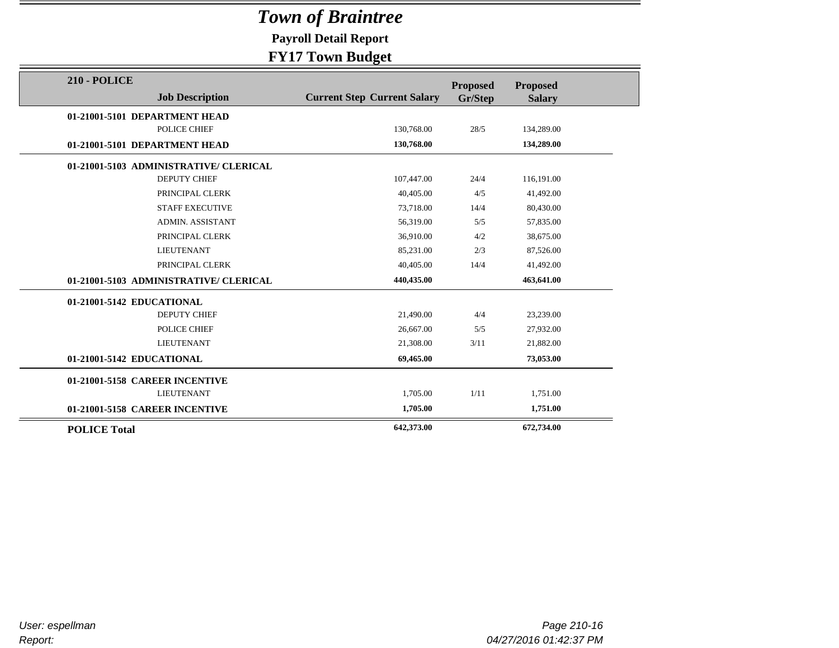**Payroll Detail Report**

| <b>210 - POLICE</b>                    |                                    | <b>Proposed</b> | <b>Proposed</b> |  |
|----------------------------------------|------------------------------------|-----------------|-----------------|--|
| <b>Job Description</b>                 | <b>Current Step Current Salary</b> | Gr/Step         | <b>Salary</b>   |  |
| 01-21001-5101 DEPARTMENT HEAD          |                                    |                 |                 |  |
| POLICE CHIEF                           | 130,768.00                         | 28/5            | 134,289.00      |  |
| 01-21001-5101 DEPARTMENT HEAD          | 130,768.00                         |                 | 134,289.00      |  |
| 01-21001-5103 ADMINISTRATIVE/ CLERICAL |                                    |                 |                 |  |
| <b>DEPUTY CHIEF</b>                    | 107,447.00                         | 24/4            | 116,191.00      |  |
| PRINCIPAL CLERK                        | 40.405.00                          | 4/5             | 41,492.00       |  |
| <b>STAFF EXECUTIVE</b>                 | 73,718.00                          | 14/4            | 80,430.00       |  |
| <b>ADMIN. ASSISTANT</b>                | 56,319.00                          | 5/5             | 57,835.00       |  |
| PRINCIPAL CLERK                        | 36,910.00                          | 4/2             | 38,675.00       |  |
| <b>LIEUTENANT</b>                      | 85,231.00                          | 2/3             | 87,526.00       |  |
| PRINCIPAL CLERK                        | 40.405.00                          | 14/4            | 41,492.00       |  |
| 01-21001-5103 ADMINISTRATIVE/ CLERICAL | 440,435.00                         |                 | 463,641.00      |  |
| 01-21001-5142 EDUCATIONAL              |                                    |                 |                 |  |
| DEPUTY CHIEF                           | 21,490.00                          | 4/4             | 23,239.00       |  |
| POLICE CHIEF                           | 26,667.00                          | 5/5             | 27,932.00       |  |
| <b>LIEUTENANT</b>                      | 21,308.00                          | 3/11            | 21,882.00       |  |
| 01-21001-5142 EDUCATIONAL              | 69,465.00                          |                 | 73,053.00       |  |
| 01-21001-5158 CAREER INCENTIVE         |                                    |                 |                 |  |
| <b>LIEUTENANT</b>                      | 1,705.00                           | 1/11            | 1,751.00        |  |
| 01-21001-5158 CAREER INCENTIVE         | 1,705.00                           |                 | 1,751.00        |  |
| <b>POLICE Total</b>                    | 642,373.00                         |                 | 672,734.00      |  |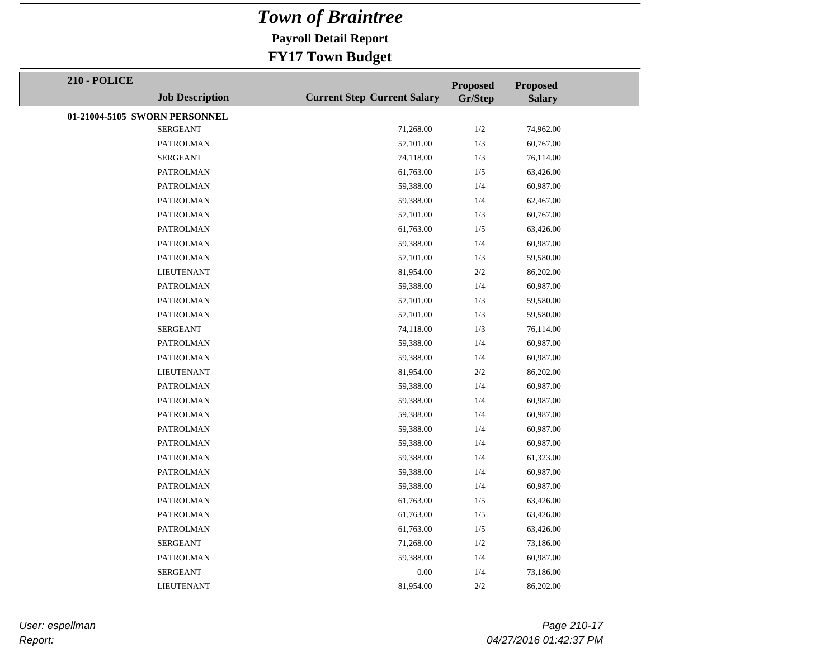**Payroll Detail Report**

### **FY17 Town Budget**

| <b>210 - POLICE</b>           |                        |                                    | <b>Proposed</b> | <b>Proposed</b> |
|-------------------------------|------------------------|------------------------------------|-----------------|-----------------|
|                               | <b>Job Description</b> | <b>Current Step Current Salary</b> | Gr/Step         | <b>Salary</b>   |
| 01-21004-5105 SWORN PERSONNEL |                        |                                    |                 |                 |
|                               | <b>SERGEANT</b>        | 71,268.00                          | 1/2             | 74,962.00       |
|                               | PATROLMAN              | 57,101.00                          | 1/3             | 60,767.00       |
|                               | <b>SERGEANT</b>        | 74,118.00                          | 1/3             | 76,114.00       |
|                               | <b>PATROLMAN</b>       | 61,763.00                          | 1/5             | 63,426.00       |
|                               | <b>PATROLMAN</b>       | 59,388.00                          | 1/4             | 60,987.00       |
|                               | <b>PATROLMAN</b>       | 59,388.00                          | 1/4             | 62,467.00       |
|                               | PATROLMAN              | 57,101.00                          | 1/3             | 60,767.00       |
|                               | PATROLMAN              | 61,763.00                          | 1/5             | 63,426.00       |
|                               | PATROLMAN              | 59,388.00                          | 1/4             | 60,987.00       |
|                               | <b>PATROLMAN</b>       | 57,101.00                          | 1/3             | 59,580.00       |
|                               | <b>LIEUTENANT</b>      | 81,954.00                          | 2/2             | 86,202.00       |
|                               | PATROLMAN              | 59,388.00                          | 1/4             | 60,987.00       |
|                               | <b>PATROLMAN</b>       | 57,101.00                          | 1/3             | 59,580.00       |
|                               | <b>PATROLMAN</b>       | 57,101.00                          | 1/3             | 59,580.00       |
|                               | <b>SERGEANT</b>        | 74,118.00                          | 1/3             | 76,114.00       |
|                               | <b>PATROLMAN</b>       | 59,388.00                          | 1/4             | 60,987.00       |
|                               | PATROLMAN              | 59,388.00                          | 1/4             | 60,987.00       |
|                               | <b>LIEUTENANT</b>      | 81,954.00                          | $2/2$           | 86,202.00       |
|                               | PATROLMAN              | 59,388.00                          | 1/4             | 60,987.00       |
|                               | PATROLMAN              | 59,388.00                          | 1/4             | 60,987.00       |
|                               | <b>PATROLMAN</b>       | 59,388.00                          | 1/4             | 60,987.00       |
|                               | <b>PATROLMAN</b>       | 59,388.00                          | 1/4             | 60,987.00       |
|                               | <b>PATROLMAN</b>       | 59,388.00                          | 1/4             | 60,987.00       |
|                               | <b>PATROLMAN</b>       | 59,388.00                          | 1/4             | 61,323.00       |
|                               | <b>PATROLMAN</b>       | 59,388.00                          | 1/4             | 60,987.00       |
|                               | PATROLMAN              | 59,388.00                          | 1/4             | 60,987.00       |
|                               | <b>PATROLMAN</b>       | 61,763.00                          | 1/5             | 63,426.00       |
|                               | <b>PATROLMAN</b>       | 61,763.00                          | 1/5             | 63,426.00       |
|                               | PATROLMAN              | 61,763.00                          | 1/5             | 63,426.00       |
|                               | <b>SERGEANT</b>        | 71,268.00                          | 1/2             | 73,186.00       |
|                               | PATROLMAN              | 59,388.00                          | 1/4             | 60,987.00       |
|                               | <b>SERGEANT</b>        | 0.00                               | 1/4             | 73,186.00       |
|                               | <b>LIEUTENANT</b>      | 81,954.00                          | 2/2             | 86,202.00       |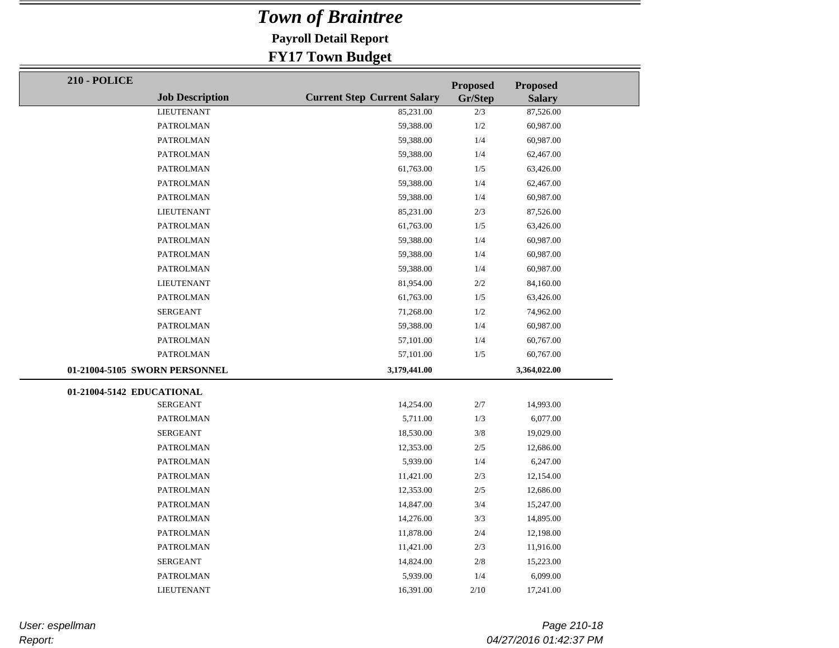**Payroll Detail Report**

### **FY17 Town Budget**

| <b>210 - POLICE</b>           |                        |                                    | <b>Proposed</b> | <b>Proposed</b> |
|-------------------------------|------------------------|------------------------------------|-----------------|-----------------|
|                               | <b>Job Description</b> | <b>Current Step Current Salary</b> | Gr/Step         | <b>Salary</b>   |
|                               | <b>LIEUTENANT</b>      | 85,231.00                          | 2/3             | 87,526.00       |
|                               | <b>PATROLMAN</b>       | 59,388.00                          | 1/2             | 60,987.00       |
|                               | <b>PATROLMAN</b>       | 59,388.00                          | 1/4             | 60,987.00       |
|                               | <b>PATROLMAN</b>       | 59,388.00                          | 1/4             | 62,467.00       |
|                               | <b>PATROLMAN</b>       | 61,763.00                          | 1/5             | 63,426.00       |
|                               | <b>PATROLMAN</b>       | 59,388.00                          | 1/4             | 62,467.00       |
|                               | <b>PATROLMAN</b>       | 59,388.00                          | 1/4             | 60,987.00       |
|                               | <b>LIEUTENANT</b>      | 85,231.00                          | $2/3$           | 87,526.00       |
|                               | <b>PATROLMAN</b>       | 61,763.00                          | 1/5             | 63,426.00       |
|                               | <b>PATROLMAN</b>       | 59,388.00                          | 1/4             | 60,987.00       |
|                               | <b>PATROLMAN</b>       | 59,388.00                          | 1/4             | 60,987.00       |
|                               | <b>PATROLMAN</b>       | 59,388.00                          | 1/4             | 60,987.00       |
|                               | <b>LIEUTENANT</b>      | 81,954.00                          | $2/2\,$         | 84,160.00       |
|                               | <b>PATROLMAN</b>       | 61,763.00                          | 1/5             | 63,426.00       |
|                               | <b>SERGEANT</b>        | 71,268.00                          | $1/2\,$         | 74,962.00       |
|                               | <b>PATROLMAN</b>       | 59,388.00                          | 1/4             | 60,987.00       |
|                               | <b>PATROLMAN</b>       | 57,101.00                          | 1/4             | 60,767.00       |
|                               | <b>PATROLMAN</b>       | 57,101.00                          | $1/5$           | 60,767.00       |
| 01-21004-5105 SWORN PERSONNEL |                        | 3,179,441.00                       |                 | 3,364,022.00    |
| 01-21004-5142 EDUCATIONAL     |                        |                                    |                 |                 |
|                               | <b>SERGEANT</b>        | 14,254.00                          | $2/7\,$         | 14,993.00       |
|                               | <b>PATROLMAN</b>       | 5,711.00                           | 1/3             | 6,077.00        |
|                               | <b>SERGEANT</b>        | 18,530.00                          | 3/8             | 19,029.00       |
|                               | <b>PATROLMAN</b>       | 12,353.00                          | $2/5$           | 12,686.00       |
|                               | <b>PATROLMAN</b>       | 5,939.00                           | 1/4             | 6,247.00        |
|                               | <b>PATROLMAN</b>       | 11,421.00                          | $2/3$           | 12,154.00       |
|                               | PATROLMAN              | 12,353.00                          | $2/5$           | 12,686.00       |
|                               | PATROLMAN              | 14,847.00                          | $3/4$           | 15,247.00       |
|                               | <b>PATROLMAN</b>       | 14,276.00                          | 3/3             | 14,895.00       |
|                               | PATROLMAN              | 11,878.00                          | 2/4             | 12,198.00       |
|                               | PATROLMAN              | 11,421.00                          | 2/3             | 11,916.00       |
|                               | <b>SERGEANT</b>        | 14,824.00                          | 2/8             | 15,223.00       |
|                               | <b>PATROLMAN</b>       | 5,939.00                           | 1/4             | 6,099.00        |
|                               | <b>LIEUTENANT</b>      | 16,391.00                          | 2/10            | 17,241.00       |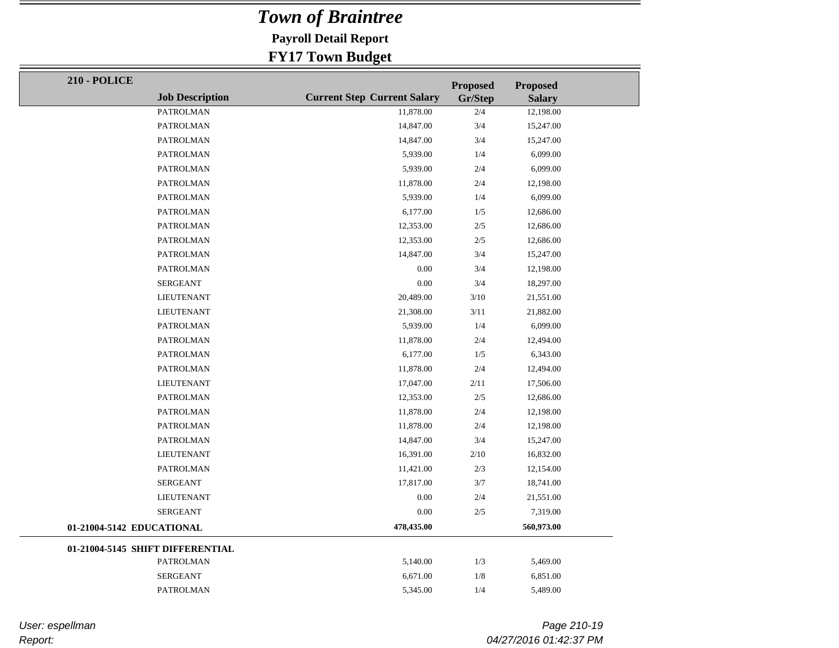**Payroll Detail Report**

### **FY17 Town Budget**

| <b>210 - POLICE</b>       |                                  |                                    | <b>Proposed</b> | <b>Proposed</b> |  |
|---------------------------|----------------------------------|------------------------------------|-----------------|-----------------|--|
|                           | <b>Job Description</b>           | <b>Current Step Current Salary</b> | Gr/Step         | <b>Salary</b>   |  |
|                           | <b>PATROLMAN</b>                 | 11,878.00                          | 2/4             | 12,198.00       |  |
|                           | PATROLMAN                        | 14,847.00                          | 3/4             | 15,247.00       |  |
|                           | <b>PATROLMAN</b>                 | 14,847.00                          | 3/4             | 15,247.00       |  |
|                           | PATROLMAN                        | 5,939.00                           | 1/4             | 6,099.00        |  |
|                           | PATROLMAN                        | 5,939.00                           | 2/4             | 6,099.00        |  |
|                           | PATROLMAN                        | 11,878.00                          | 2/4             | 12,198.00       |  |
|                           | PATROLMAN                        | 5,939.00                           | 1/4             | 6,099.00        |  |
|                           | PATROLMAN                        | 6,177.00                           | 1/5             | 12,686.00       |  |
|                           | <b>PATROLMAN</b>                 | 12,353.00                          | $2/5$           | 12,686.00       |  |
|                           | PATROLMAN                        | 12,353.00                          | $2/5$           | 12,686.00       |  |
|                           | <b>PATROLMAN</b>                 | 14,847.00                          | 3/4             | 15,247.00       |  |
|                           | <b>PATROLMAN</b>                 | 0.00                               | 3/4             | 12,198.00       |  |
|                           | <b>SERGEANT</b>                  | 0.00                               | 3/4             | 18,297.00       |  |
|                           | <b>LIEUTENANT</b>                | 20,489.00                          | 3/10            | 21,551.00       |  |
|                           | <b>LIEUTENANT</b>                | 21,308.00                          | 3/11            | 21,882.00       |  |
|                           | <b>PATROLMAN</b>                 | 5,939.00                           | 1/4             | 6,099.00        |  |
|                           | PATROLMAN                        | 11,878.00                          | 2/4             | 12,494.00       |  |
|                           | PATROLMAN                        | 6,177.00                           | 1/5             | 6,343.00        |  |
|                           | <b>PATROLMAN</b>                 | 11,878.00                          | 2/4             | 12,494.00       |  |
|                           | <b>LIEUTENANT</b>                | 17,047.00                          | 2/11            | 17,506.00       |  |
|                           | PATROLMAN                        | 12,353.00                          | $2/5$           | 12,686.00       |  |
|                           | <b>PATROLMAN</b>                 | 11,878.00                          | 2/4             | 12,198.00       |  |
|                           | PATROLMAN                        | 11,878.00                          | 2/4             | 12,198.00       |  |
|                           | <b>PATROLMAN</b>                 | 14,847.00                          | 3/4             | 15,247.00       |  |
|                           | <b>LIEUTENANT</b>                | 16,391.00                          | 2/10            | 16,832.00       |  |
|                           | <b>PATROLMAN</b>                 | 11,421.00                          | 2/3             | 12,154.00       |  |
|                           | <b>SERGEANT</b>                  | 17,817.00                          | 3/7             | 18,741.00       |  |
|                           | LIEUTENANT                       | $0.00\,$                           | 2/4             | 21,551.00       |  |
|                           | <b>SERGEANT</b>                  | 0.00                               | $2/5$           | 7,319.00        |  |
| 01-21004-5142 EDUCATIONAL |                                  | 478,435.00                         |                 | 560,973.00      |  |
|                           | 01-21004-5145 SHIFT DIFFERENTIAL |                                    |                 |                 |  |
|                           | <b>PATROLMAN</b>                 | 5,140.00                           | 1/3             | 5,469.00        |  |
|                           | <b>SERGEANT</b>                  | 6,671.00                           | 1/8             | 6,851.00        |  |
|                           | <b>PATROLMAN</b>                 | 5,345.00                           | 1/4             | 5,489.00        |  |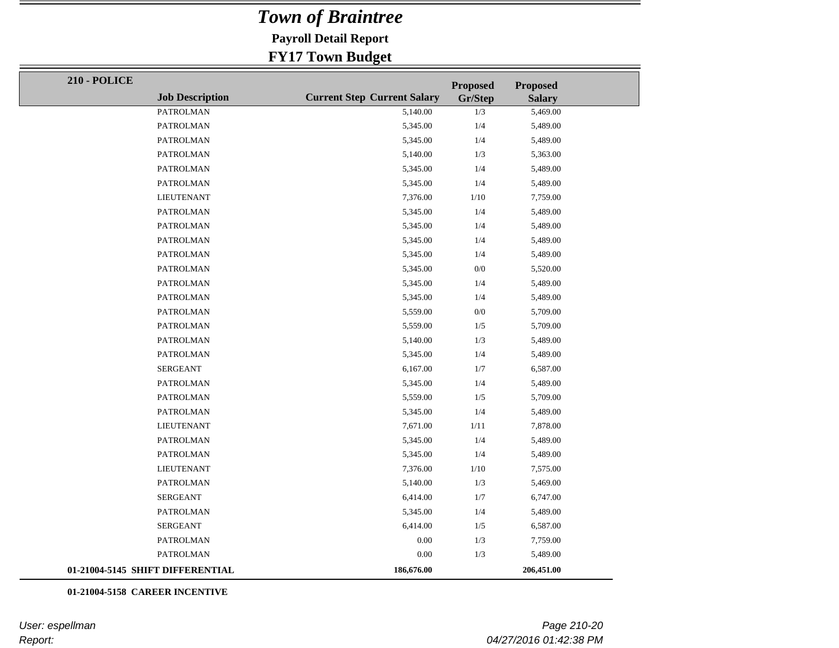**Payroll Detail Report**

#### **FY17 Town Budget**

| <b>210 - POLICE</b>              |                        |                                    | <b>Proposed</b> | <b>Proposed</b> |
|----------------------------------|------------------------|------------------------------------|-----------------|-----------------|
|                                  | <b>Job Description</b> | <b>Current Step Current Salary</b> | Gr/Step         | <b>Salary</b>   |
|                                  | <b>PATROLMAN</b>       | 5,140.00                           | $1/3$           | 5,469.00        |
|                                  | PATROLMAN              | 5,345.00                           | 1/4             | 5,489.00        |
|                                  | <b>PATROLMAN</b>       | 5,345.00                           | $1/4\,$         | 5,489.00        |
|                                  | <b>PATROLMAN</b>       | 5,140.00                           | 1/3             | 5,363.00        |
|                                  | PATROLMAN              | 5,345.00                           | 1/4             | 5,489.00        |
|                                  | <b>PATROLMAN</b>       | 5,345.00                           | 1/4             | 5,489.00        |
|                                  | <b>LIEUTENANT</b>      | 7,376.00                           | 1/10            | 7,759.00        |
|                                  | <b>PATROLMAN</b>       | 5,345.00                           | 1/4             | 5,489.00        |
|                                  | <b>PATROLMAN</b>       | 5,345.00                           | 1/4             | 5,489.00        |
|                                  | <b>PATROLMAN</b>       | 5,345.00                           | 1/4             | 5,489.00        |
|                                  | <b>PATROLMAN</b>       | 5,345.00                           | 1/4             | 5,489.00        |
|                                  | <b>PATROLMAN</b>       | 5,345.00                           | $0/0$           | 5,520.00        |
|                                  | <b>PATROLMAN</b>       | 5,345.00                           | 1/4             | 5,489.00        |
|                                  | <b>PATROLMAN</b>       | 5,345.00                           | $1/4\,$         | 5,489.00        |
|                                  | <b>PATROLMAN</b>       | 5,559.00                           | $0/0$           | 5,709.00        |
|                                  | <b>PATROLMAN</b>       | 5,559.00                           | $1/5\,$         | 5,709.00        |
|                                  | <b>PATROLMAN</b>       | 5,140.00                           | 1/3             | 5,489.00        |
|                                  | PATROLMAN              | 5,345.00                           | 1/4             | 5,489.00        |
|                                  | <b>SERGEANT</b>        | 6,167.00                           | $1/7$           | 6,587.00        |
|                                  | <b>PATROLMAN</b>       | 5,345.00                           | 1/4             | 5,489.00        |
|                                  | <b>PATROLMAN</b>       | 5,559.00                           | 1/5             | 5,709.00        |
|                                  | <b>PATROLMAN</b>       | 5,345.00                           | 1/4             | 5,489.00        |
|                                  | <b>LIEUTENANT</b>      | 7,671.00                           | $1/1\sqrt{1}$   | 7,878.00        |
|                                  | PATROLMAN              | 5,345.00                           | 1/4             | 5,489.00        |
|                                  | <b>PATROLMAN</b>       | 5,345.00                           | 1/4             | 5,489.00        |
|                                  | <b>LIEUTENANT</b>      | 7,376.00                           | $1/10$          | 7,575.00        |
|                                  | <b>PATROLMAN</b>       | 5,140.00                           | 1/3             | 5,469.00        |
|                                  | <b>SERGEANT</b>        | 6,414.00                           | 1/7             | 6,747.00        |
|                                  | <b>PATROLMAN</b>       | 5,345.00                           | 1/4             | 5,489.00        |
|                                  | <b>SERGEANT</b>        | 6,414.00                           | 1/5             | 6,587.00        |
|                                  | <b>PATROLMAN</b>       | 0.00                               | $1/3$           | 7,759.00        |
|                                  | PATROLMAN              | $0.00\,$                           | 1/3             | 5,489.00        |
| 01-21004-5145 SHIFT DIFFERENTIAL |                        | 186,676.00                         |                 | 206,451.00      |

**01-21004-5158 CAREER INCENTIVE**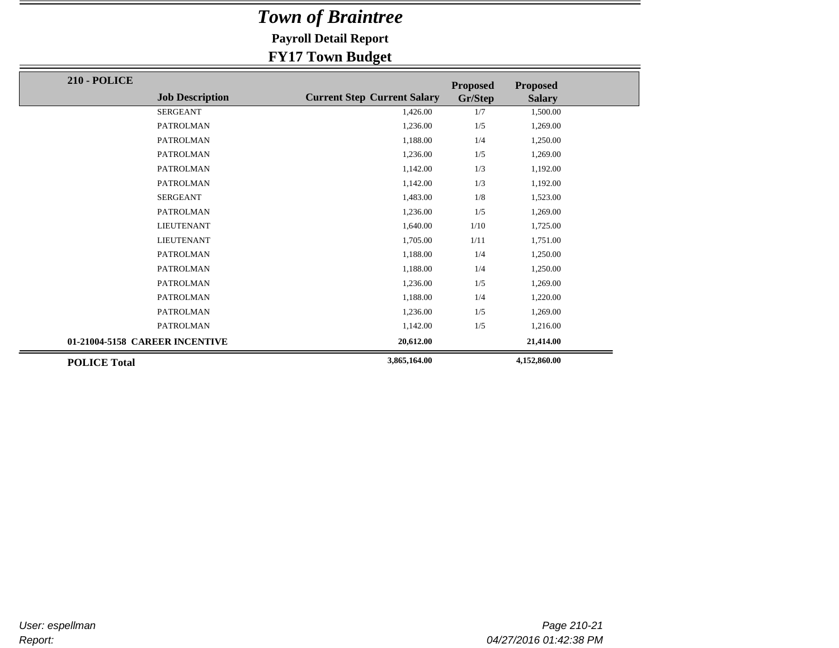**Payroll Detail Report**

| <b>210 - POLICE</b>            |                        |                                    | <b>Proposed</b> | <b>Proposed</b> |  |
|--------------------------------|------------------------|------------------------------------|-----------------|-----------------|--|
|                                | <b>Job Description</b> | <b>Current Step Current Salary</b> | Gr/Step         | <b>Salary</b>   |  |
|                                | <b>SERGEANT</b>        | 1,426.00                           | 1/7             | 1,500.00        |  |
|                                | <b>PATROLMAN</b>       | 1,236.00                           | 1/5             | 1,269.00        |  |
|                                | <b>PATROLMAN</b>       | 1,188.00                           | 1/4             | 1,250.00        |  |
|                                | <b>PATROLMAN</b>       | 1,236.00                           | 1/5             | 1,269.00        |  |
|                                | <b>PATROLMAN</b>       | 1,142.00                           | 1/3             | 1,192.00        |  |
|                                | <b>PATROLMAN</b>       | 1,142.00                           | 1/3             | 1,192.00        |  |
|                                | <b>SERGEANT</b>        | 1,483.00                           | 1/8             | 1,523.00        |  |
|                                | PATROLMAN              | 1,236.00                           | 1/5             | 1,269.00        |  |
|                                | <b>LIEUTENANT</b>      | 1,640.00                           | 1/10            | 1,725.00        |  |
|                                | <b>LIEUTENANT</b>      | 1,705.00                           | 1/11            | 1,751.00        |  |
|                                | <b>PATROLMAN</b>       | 1,188.00                           | 1/4             | 1,250.00        |  |
|                                | <b>PATROLMAN</b>       | 1,188.00                           | 1/4             | 1,250.00        |  |
|                                | <b>PATROLMAN</b>       | 1,236.00                           | 1/5             | 1,269.00        |  |
|                                | <b>PATROLMAN</b>       | 1,188.00                           | 1/4             | 1,220.00        |  |
|                                | <b>PATROLMAN</b>       | 1,236.00                           | 1/5             | 1,269.00        |  |
|                                | <b>PATROLMAN</b>       | 1,142.00                           | 1/5             | 1,216.00        |  |
| 01-21004-5158 CAREER INCENTIVE |                        | 20,612.00                          |                 | 21,414.00       |  |
| <b>POLICE Total</b>            |                        | 3,865,164.00                       |                 | 4,152,860.00    |  |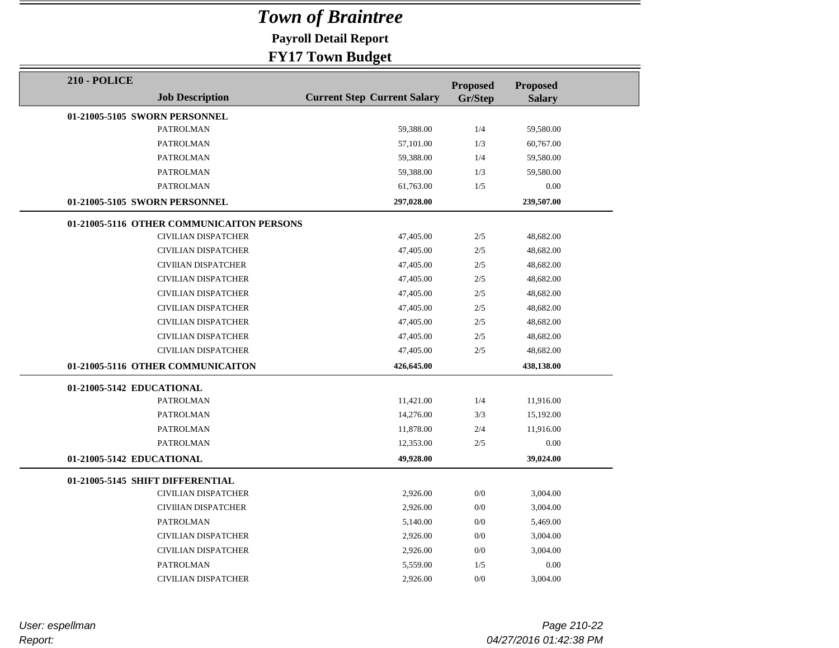**Payroll Detail Report**

### **FY17 Town Budget**

| <b>210 - POLICE</b>       |                                           |                                    | <b>Proposed</b> | <b>Proposed</b> |  |
|---------------------------|-------------------------------------------|------------------------------------|-----------------|-----------------|--|
|                           | <b>Job Description</b>                    | <b>Current Step Current Salary</b> | Gr/Step         | <b>Salary</b>   |  |
|                           | 01-21005-5105 SWORN PERSONNEL             |                                    |                 |                 |  |
|                           | <b>PATROLMAN</b>                          | 59,388.00                          | 1/4             | 59,580.00       |  |
|                           | <b>PATROLMAN</b>                          | 57,101.00                          | 1/3             | 60,767.00       |  |
|                           | <b>PATROLMAN</b>                          | 59,388.00                          | 1/4             | 59,580.00       |  |
|                           | <b>PATROLMAN</b>                          | 59,388.00                          | 1/3             | 59,580.00       |  |
|                           | <b>PATROLMAN</b>                          | 61,763.00                          | 1/5             | 0.00            |  |
|                           | 01-21005-5105 SWORN PERSONNEL             | 297,028.00                         |                 | 239,507.00      |  |
|                           | 01-21005-5116 OTHER COMMUNICAITON PERSONS |                                    |                 |                 |  |
|                           | <b>CIVILIAN DISPATCHER</b>                | 47,405.00                          | 2/5             | 48,682.00       |  |
|                           | <b>CIVILIAN DISPATCHER</b>                | 47,405.00                          | 2/5             | 48,682.00       |  |
|                           | CIVIIIAN DISPATCHER                       | 47,405.00                          | $2/5$           | 48,682.00       |  |
|                           | <b>CIVILIAN DISPATCHER</b>                | 47,405.00                          | 2/5             | 48,682.00       |  |
|                           | <b>CIVILIAN DISPATCHER</b>                | 47,405.00                          | 2/5             | 48,682.00       |  |
|                           | CIVILIAN DISPATCHER                       | 47,405.00                          | 2/5             | 48,682.00       |  |
|                           | <b>CIVILIAN DISPATCHER</b>                | 47,405.00                          | 2/5             | 48,682.00       |  |
|                           | CIVILIAN DISPATCHER                       | 47,405.00                          | 2/5             | 48,682.00       |  |
|                           | <b>CIVILIAN DISPATCHER</b>                | 47,405.00                          | 2/5             | 48,682.00       |  |
|                           | 01-21005-5116 OTHER COMMUNICAITON         | 426,645.00                         |                 | 438,138.00      |  |
| 01-21005-5142 EDUCATIONAL |                                           |                                    |                 |                 |  |
|                           | <b>PATROLMAN</b>                          | 11,421.00                          | 1/4             | 11,916.00       |  |
|                           | <b>PATROLMAN</b>                          | 14,276.00                          | 3/3             | 15,192.00       |  |
|                           | <b>PATROLMAN</b>                          | 11,878.00                          | 2/4             | 11,916.00       |  |
|                           | <b>PATROLMAN</b>                          | 12,353.00                          | 2/5             | 0.00            |  |
| 01-21005-5142 EDUCATIONAL |                                           | 49,928.00                          |                 | 39,024.00       |  |
|                           | 01-21005-5145 SHIFT DIFFERENTIAL          |                                    |                 |                 |  |
|                           | <b>CIVILIAN DISPATCHER</b>                | 2,926.00                           | 0/0             | 3,004.00        |  |
|                           | CIVIIIAN DISPATCHER                       | 2,926.00                           | 0/0             | 3,004.00        |  |
|                           | <b>PATROLMAN</b>                          | 5.140.00                           | 0/0             | 5,469.00        |  |
|                           | <b>CIVILIAN DISPATCHER</b>                | 2,926.00                           | 0/0             | 3,004.00        |  |
|                           | CIVILIAN DISPATCHER                       | 2,926.00                           | 0/0             | 3,004.00        |  |
|                           | <b>PATROLMAN</b>                          | 5,559.00                           | 1/5             | 0.00            |  |
|                           | <b>CIVILIAN DISPATCHER</b>                | 2,926.00                           | 0/0             | 3,004.00        |  |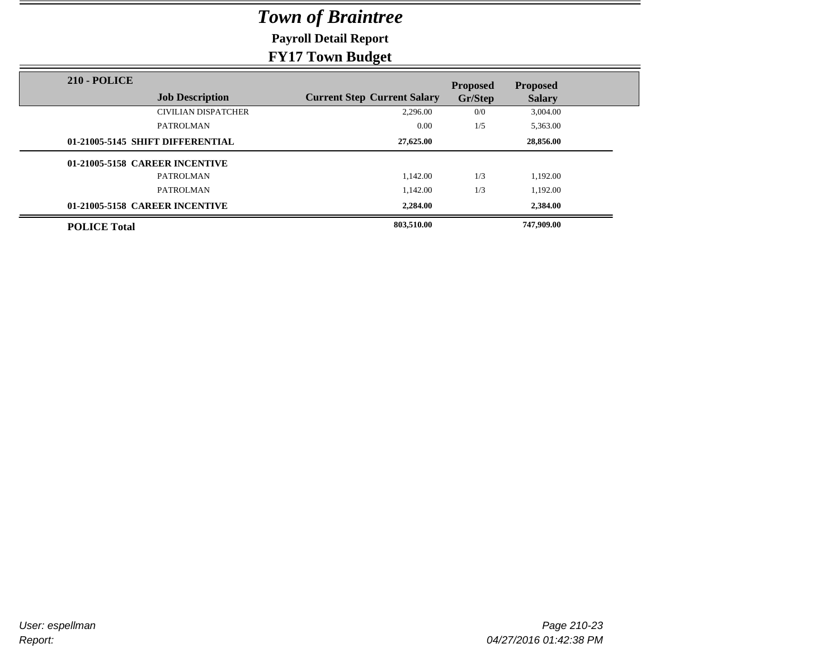**Payroll Detail Report**

| <b>210 - POLICE</b>              |                                    | <b>Proposed</b> | <b>Proposed</b> |  |
|----------------------------------|------------------------------------|-----------------|-----------------|--|
| <b>Job Description</b>           | <b>Current Step Current Salary</b> | Gr/Step         | <b>Salary</b>   |  |
| <b>CIVILIAN DISPATCHER</b>       | 2,296.00                           | 0/0             | 3,004.00        |  |
| <b>PATROLMAN</b>                 | 0.00                               | 1/5             | 5,363.00        |  |
| 01-21005-5145 SHIFT DIFFERENTIAL | 27,625.00                          |                 | 28,856.00       |  |
| 01-21005-5158 CAREER INCENTIVE   |                                    |                 |                 |  |
| <b>PATROLMAN</b>                 | 1.142.00                           | 1/3             | 1,192.00        |  |
| PATROLMAN                        | 1.142.00                           | 1/3             | 1.192.00        |  |
| 01-21005-5158 CAREER INCENTIVE   | 2,284.00                           |                 | 2,384.00        |  |
| <b>POLICE Total</b>              | 803,510.00                         |                 | 747,909.00      |  |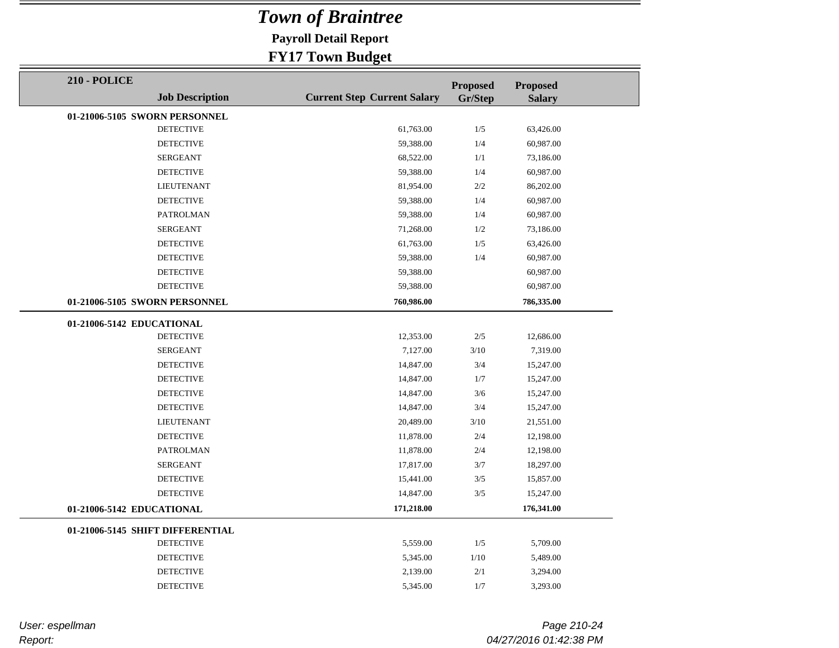**Payroll Detail Report**

### **FY17 Town Budget**

| <b>Proposed</b><br><b>Proposed</b><br><b>Job Description</b><br><b>Current Step Current Salary</b><br>Gr/Step<br><b>Salary</b><br>01-21006-5105 SWORN PERSONNEL<br><b>DETECTIVE</b><br>1/5<br>61,763.00<br>63,426.00<br><b>DETECTIVE</b><br>59,388.00<br>1/4<br>60,987.00<br><b>SERGEANT</b><br>68,522.00<br>1/1<br>73,186.00<br><b>DETECTIVE</b><br>59,388.00<br>1/4<br>60,987.00 |
|------------------------------------------------------------------------------------------------------------------------------------------------------------------------------------------------------------------------------------------------------------------------------------------------------------------------------------------------------------------------------------|
|                                                                                                                                                                                                                                                                                                                                                                                    |
|                                                                                                                                                                                                                                                                                                                                                                                    |
|                                                                                                                                                                                                                                                                                                                                                                                    |
|                                                                                                                                                                                                                                                                                                                                                                                    |
|                                                                                                                                                                                                                                                                                                                                                                                    |
|                                                                                                                                                                                                                                                                                                                                                                                    |
| <b>LIEUTENANT</b><br>81,954.00<br>2/2<br>86,202.00                                                                                                                                                                                                                                                                                                                                 |
| <b>DETECTIVE</b><br>59,388.00<br>1/4<br>60,987.00                                                                                                                                                                                                                                                                                                                                  |
| <b>PATROLMAN</b><br>59,388.00<br>1/4<br>60,987.00                                                                                                                                                                                                                                                                                                                                  |
| <b>SERGEANT</b><br>71,268.00<br>1/2<br>73,186.00                                                                                                                                                                                                                                                                                                                                   |
| <b>DETECTIVE</b><br>61,763.00<br>1/5<br>63,426.00                                                                                                                                                                                                                                                                                                                                  |
| <b>DETECTIVE</b><br>59,388.00<br>1/4<br>60,987.00                                                                                                                                                                                                                                                                                                                                  |
| <b>DETECTIVE</b><br>59,388.00<br>60,987.00                                                                                                                                                                                                                                                                                                                                         |
| <b>DETECTIVE</b><br>59,388.00<br>60,987.00                                                                                                                                                                                                                                                                                                                                         |
| 01-21006-5105 SWORN PERSONNEL<br>760,986.00<br>786,335.00                                                                                                                                                                                                                                                                                                                          |
| 01-21006-5142 EDUCATIONAL                                                                                                                                                                                                                                                                                                                                                          |
| <b>DETECTIVE</b><br>12,353.00<br>2/5<br>12,686.00                                                                                                                                                                                                                                                                                                                                  |
| 3/10<br>7,319.00<br><b>SERGEANT</b><br>7,127.00                                                                                                                                                                                                                                                                                                                                    |
| <b>DETECTIVE</b><br>3/4<br>14,847.00<br>15,247.00                                                                                                                                                                                                                                                                                                                                  |
| <b>DETECTIVE</b><br>14,847.00<br>1/7<br>15,247.00                                                                                                                                                                                                                                                                                                                                  |
| <b>DETECTIVE</b><br>14,847.00<br>3/6<br>15,247.00                                                                                                                                                                                                                                                                                                                                  |
| <b>DETECTIVE</b><br>3/4<br>14,847.00<br>15,247.00                                                                                                                                                                                                                                                                                                                                  |
| <b>LIEUTENANT</b><br>20,489.00<br>3/10<br>21,551.00                                                                                                                                                                                                                                                                                                                                |
| <b>DETECTIVE</b><br>11,878.00<br>2/4<br>12,198.00                                                                                                                                                                                                                                                                                                                                  |
| <b>PATROLMAN</b><br>11,878.00<br>2/4<br>12,198.00                                                                                                                                                                                                                                                                                                                                  |
| <b>SERGEANT</b><br>17,817.00<br>3/7<br>18,297.00                                                                                                                                                                                                                                                                                                                                   |
| <b>DETECTIVE</b><br>15,441.00<br>3/5<br>15,857.00                                                                                                                                                                                                                                                                                                                                  |
| <b>DETECTIVE</b><br>14,847.00<br>3/5<br>15,247.00                                                                                                                                                                                                                                                                                                                                  |
| 171,218.00<br>176,341.00<br>01-21006-5142 EDUCATIONAL                                                                                                                                                                                                                                                                                                                              |
| 01-21006-5145 SHIFT DIFFERENTIAL                                                                                                                                                                                                                                                                                                                                                   |
| <b>DETECTIVE</b><br>1/5<br>5,709.00<br>5,559.00                                                                                                                                                                                                                                                                                                                                    |
| <b>DETECTIVE</b><br>1/10<br>5,345.00<br>5,489.00                                                                                                                                                                                                                                                                                                                                   |
| <b>DETECTIVE</b><br>2/1<br>3,294.00<br>2,139.00                                                                                                                                                                                                                                                                                                                                    |
| <b>DETECTIVE</b><br>5,345.00<br>1/7<br>3,293.00                                                                                                                                                                                                                                                                                                                                    |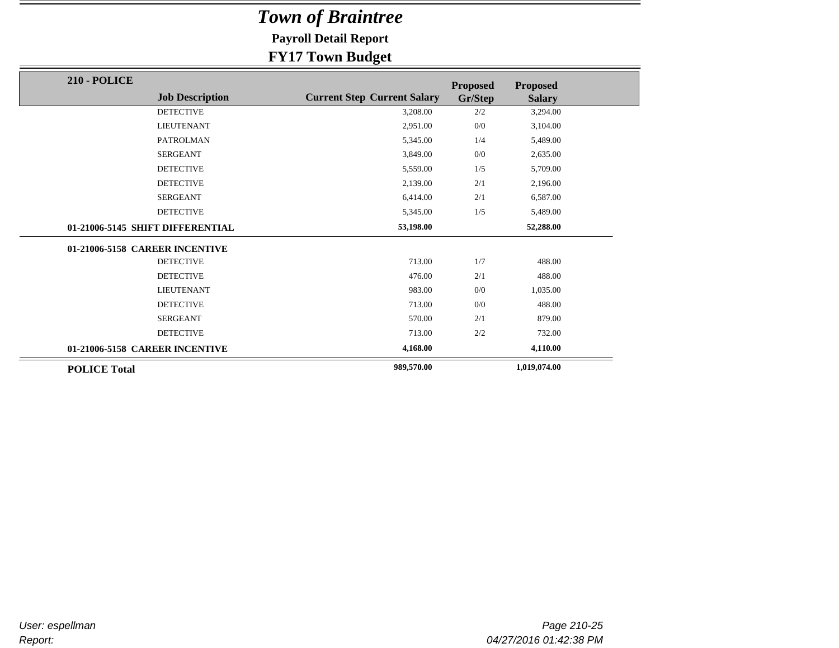**Payroll Detail Report**

| <b>210 - POLICE</b>              |                                    | <b>Proposed</b> | <b>Proposed</b> |
|----------------------------------|------------------------------------|-----------------|-----------------|
| <b>Job Description</b>           | <b>Current Step Current Salary</b> | Gr/Step         | <b>Salary</b>   |
| <b>DETECTIVE</b>                 | 3,208.00                           | 2/2             | 3,294.00        |
| <b>LIEUTENANT</b>                | 2,951.00                           | 0/0             | 3,104.00        |
| <b>PATROLMAN</b>                 | 5,345.00                           | 1/4             | 5,489.00        |
| <b>SERGEANT</b>                  | 3,849.00                           | 0/0             | 2,635.00        |
| <b>DETECTIVE</b>                 | 5,559.00                           | 1/5             | 5,709.00        |
| <b>DETECTIVE</b>                 | 2,139.00                           | 2/1             | 2,196.00        |
| <b>SERGEANT</b>                  | 6,414.00                           | 2/1             | 6,587.00        |
| <b>DETECTIVE</b>                 | 5,345.00                           | 1/5             | 5,489.00        |
| 01-21006-5145 SHIFT DIFFERENTIAL | 53,198.00                          |                 | 52,288.00       |
| 01-21006-5158 CAREER INCENTIVE   |                                    |                 |                 |
| <b>DETECTIVE</b>                 | 713.00                             | 1/7             | 488.00          |
| <b>DETECTIVE</b>                 | 476.00                             | 2/1             | 488.00          |
| <b>LIEUTENANT</b>                | 983.00                             | 0/0             | 1,035.00        |
| <b>DETECTIVE</b>                 | 713.00                             | 0/0             | 488.00          |
| <b>SERGEANT</b>                  | 570.00                             | 2/1             | 879.00          |
| <b>DETECTIVE</b>                 | 713.00                             | 2/2             | 732.00          |
| 01-21006-5158 CAREER INCENTIVE   | 4,168.00                           |                 | 4,110.00        |
| <b>POLICE Total</b>              | 989,570.00                         |                 | 1,019,074.00    |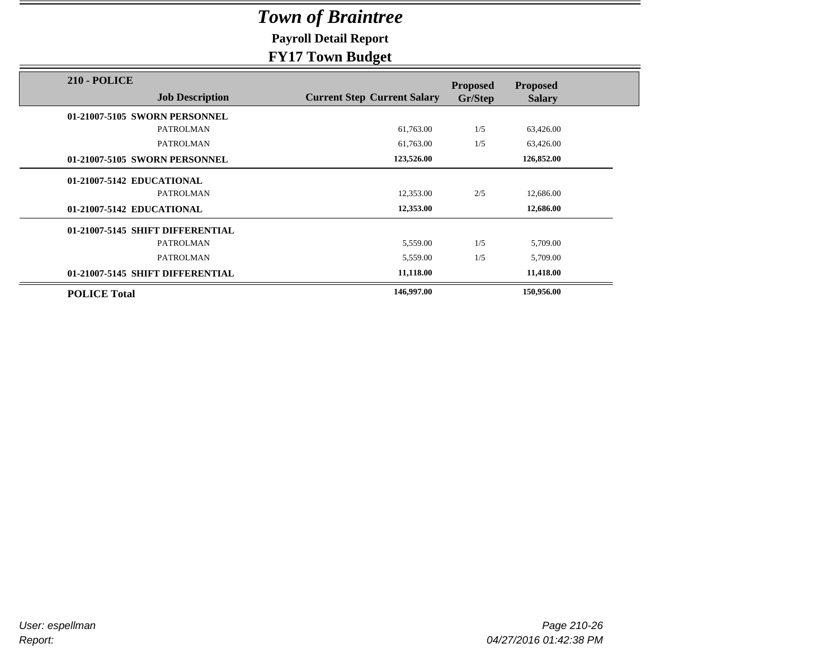**Payroll Detail Report**

|                                               | $\mathbf{\sigma}$                  |                            |                                  |
|-----------------------------------------------|------------------------------------|----------------------------|----------------------------------|
| <b>210 - POLICE</b><br><b>Job Description</b> | <b>Current Step Current Salary</b> | <b>Proposed</b><br>Gr/Step | <b>Proposed</b><br><b>Salary</b> |
| 01-21007-5105 SWORN PERSONNEL                 |                                    |                            |                                  |
| <b>PATROLMAN</b>                              | 61,763.00                          | 1/5                        | 63,426.00                        |
| <b>PATROLMAN</b>                              | 61,763.00                          | 1/5                        | 63,426.00                        |
| 01-21007-5105 SWORN PERSONNEL                 | 123,526.00                         |                            | 126,852.00                       |
| 01-21007-5142 EDUCATIONAL                     |                                    |                            |                                  |
| <b>PATROLMAN</b>                              | 12,353.00                          | 2/5                        | 12,686.00                        |
| 01-21007-5142 EDUCATIONAL                     | 12,353.00                          |                            | 12,686.00                        |
| 01-21007-5145 SHIFT DIFFERENTIAL              |                                    |                            |                                  |
| <b>PATROLMAN</b>                              | 5,559.00                           | 1/5                        | 5,709.00                         |
| <b>PATROLMAN</b>                              | 5,559.00                           | 1/5                        | 5,709.00                         |
| 01-21007-5145 SHIFT DIFFERENTIAL              | 11,118.00                          |                            | 11,418.00                        |
| <b>POLICE Total</b>                           | 146,997.00                         |                            | 150,956.00                       |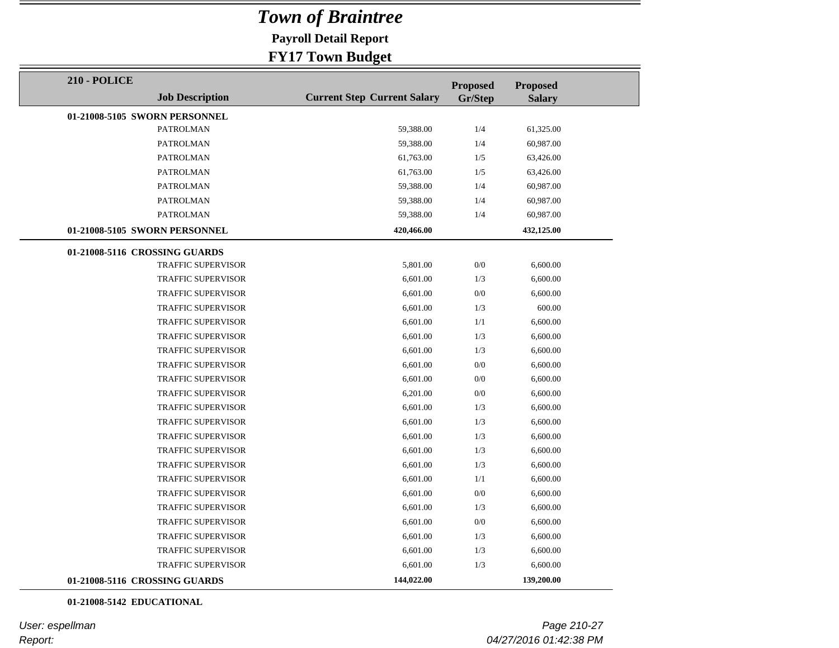**Payroll Detail Report**

#### **FY17 Town Budget**

| <b>210 - POLICE</b>           |                           |                                    | <b>Proposed</b> | <b>Proposed</b> |  |
|-------------------------------|---------------------------|------------------------------------|-----------------|-----------------|--|
|                               | <b>Job Description</b>    | <b>Current Step Current Salary</b> | Gr/Step         | <b>Salary</b>   |  |
| 01-21008-5105 SWORN PERSONNEL |                           |                                    |                 |                 |  |
|                               | <b>PATROLMAN</b>          | 59,388.00                          | 1/4             | 61,325.00       |  |
|                               | PATROLMAN                 | 59,388.00                          | 1/4             | 60,987.00       |  |
|                               | PATROLMAN                 | 61,763.00                          | 1/5             | 63,426.00       |  |
|                               | <b>PATROLMAN</b>          | 61,763.00                          | 1/5             | 63,426.00       |  |
|                               | <b>PATROLMAN</b>          | 59,388.00                          | 1/4             | 60,987.00       |  |
|                               | <b>PATROLMAN</b>          | 59,388.00                          | 1/4             | 60,987.00       |  |
|                               | PATROLMAN                 | 59,388.00                          | 1/4             | 60,987.00       |  |
| 01-21008-5105 SWORN PERSONNEL |                           | 420,466.00                         |                 | 432,125.00      |  |
| 01-21008-5116 CROSSING GUARDS |                           |                                    |                 |                 |  |
|                               | <b>TRAFFIC SUPERVISOR</b> | 5,801.00                           | 0/0             | 6,600.00        |  |
|                               | <b>TRAFFIC SUPERVISOR</b> | 6,601.00                           | 1/3             | 6,600.00        |  |
|                               | <b>TRAFFIC SUPERVISOR</b> | 6,601.00                           | 0/0             | 6,600.00        |  |
|                               | <b>TRAFFIC SUPERVISOR</b> | 6,601.00                           | 1/3             | 600.00          |  |
|                               | TRAFFIC SUPERVISOR        | 6,601.00                           | 1/1             | 6,600.00        |  |
|                               | <b>TRAFFIC SUPERVISOR</b> | 6,601.00                           | 1/3             | 6,600.00        |  |
|                               | <b>TRAFFIC SUPERVISOR</b> | 6,601.00                           | 1/3             | 6,600.00        |  |
|                               | <b>TRAFFIC SUPERVISOR</b> | 6,601.00                           | 0/0             | 6,600.00        |  |
|                               | <b>TRAFFIC SUPERVISOR</b> | 6,601.00                           | 0/0             | 6,600.00        |  |
|                               | <b>TRAFFIC SUPERVISOR</b> | 6,201.00                           | 0/0             | 6,600.00        |  |
|                               | TRAFFIC SUPERVISOR        | 6,601.00                           | 1/3             | 6,600.00        |  |
|                               | TRAFFIC SUPERVISOR        | 6,601.00                           | 1/3             | 6,600.00        |  |
|                               | <b>TRAFFIC SUPERVISOR</b> | 6,601.00                           | 1/3             | 6,600.00        |  |
|                               | <b>TRAFFIC SUPERVISOR</b> | 6,601.00                           | 1/3             | 6,600.00        |  |
|                               | <b>TRAFFIC SUPERVISOR</b> | 6,601.00                           | 1/3             | 6,600.00        |  |
|                               | <b>TRAFFIC SUPERVISOR</b> | 6,601.00                           | 1/1             | 6,600.00        |  |
|                               | <b>TRAFFIC SUPERVISOR</b> | 6,601.00                           | 0/0             | 6,600.00        |  |
|                               | <b>TRAFFIC SUPERVISOR</b> | 6,601.00                           | 1/3             | 6,600.00        |  |
|                               | <b>TRAFFIC SUPERVISOR</b> | 6,601.00                           | 0/0             | 6,600.00        |  |
|                               | <b>TRAFFIC SUPERVISOR</b> | 6,601.00                           | 1/3             | 6,600.00        |  |
|                               | <b>TRAFFIC SUPERVISOR</b> | 6,601.00                           | 1/3             | 6,600.00        |  |
|                               | <b>TRAFFIC SUPERVISOR</b> | 6,601.00                           | 1/3             | 6,600.00        |  |
| 01-21008-5116 CROSSING GUARDS |                           | 144,022.00                         |                 | 139,200.00      |  |

#### **01-21008-5142 EDUCATIONAL**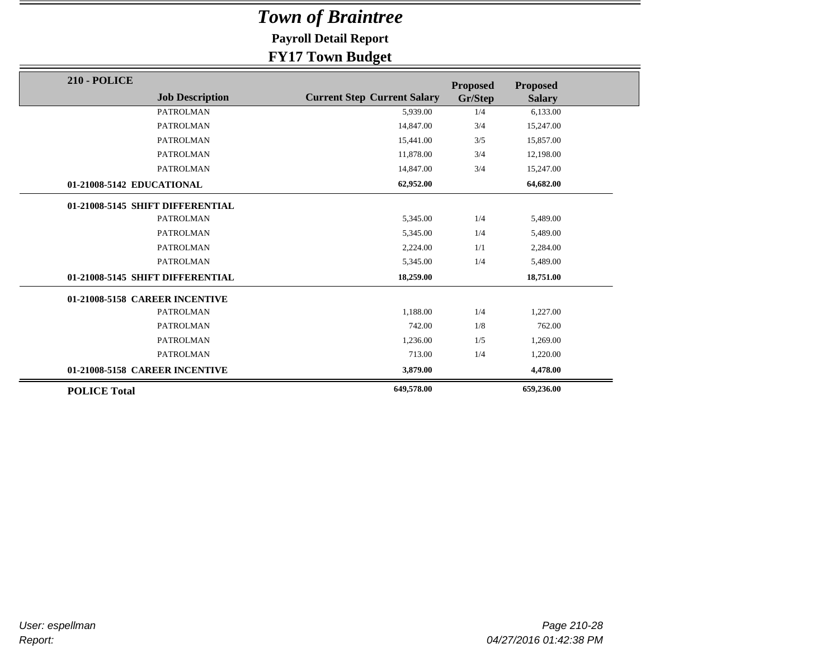**Payroll Detail Report**

| <b>210 - POLICE</b>              |                                    | <b>Proposed</b> | <b>Proposed</b> |
|----------------------------------|------------------------------------|-----------------|-----------------|
| <b>Job Description</b>           | <b>Current Step Current Salary</b> | Gr/Step         | <b>Salary</b>   |
| <b>PATROLMAN</b>                 | 5,939.00                           | 1/4             | 6,133.00        |
| <b>PATROLMAN</b>                 | 14,847.00                          | 3/4             | 15,247.00       |
| <b>PATROLMAN</b>                 | 15,441.00                          | 3/5             | 15,857.00       |
| <b>PATROLMAN</b>                 | 11,878.00                          | 3/4             | 12,198.00       |
| <b>PATROLMAN</b>                 | 14,847.00                          | 3/4             | 15,247.00       |
| 01-21008-5142 EDUCATIONAL        | 62,952.00                          |                 | 64,682.00       |
| 01-21008-5145 SHIFT DIFFERENTIAL |                                    |                 |                 |
| <b>PATROLMAN</b>                 | 5,345.00                           | 1/4             | 5,489.00        |
| <b>PATROLMAN</b>                 | 5,345.00                           | 1/4             | 5,489.00        |
| <b>PATROLMAN</b>                 | 2,224.00                           | 1/1             | 2,284.00        |
| PATROLMAN                        | 5,345.00                           | 1/4             | 5,489.00        |
| 01-21008-5145 SHIFT DIFFERENTIAL | 18,259.00                          |                 | 18,751.00       |
| 01-21008-5158 CAREER INCENTIVE   |                                    |                 |                 |
| <b>PATROLMAN</b>                 | 1,188.00                           | 1/4             | 1,227.00        |
| <b>PATROLMAN</b>                 | 742.00                             | 1/8             | 762.00          |
| <b>PATROLMAN</b>                 | 1,236.00                           | 1/5             | 1,269.00        |
| <b>PATROLMAN</b>                 | 713.00                             | 1/4             | 1,220.00        |
| 01-21008-5158 CAREER INCENTIVE   | 3,879.00                           |                 | 4,478.00        |
| <b>POLICE Total</b>              | 649,578.00                         |                 | 659,236.00      |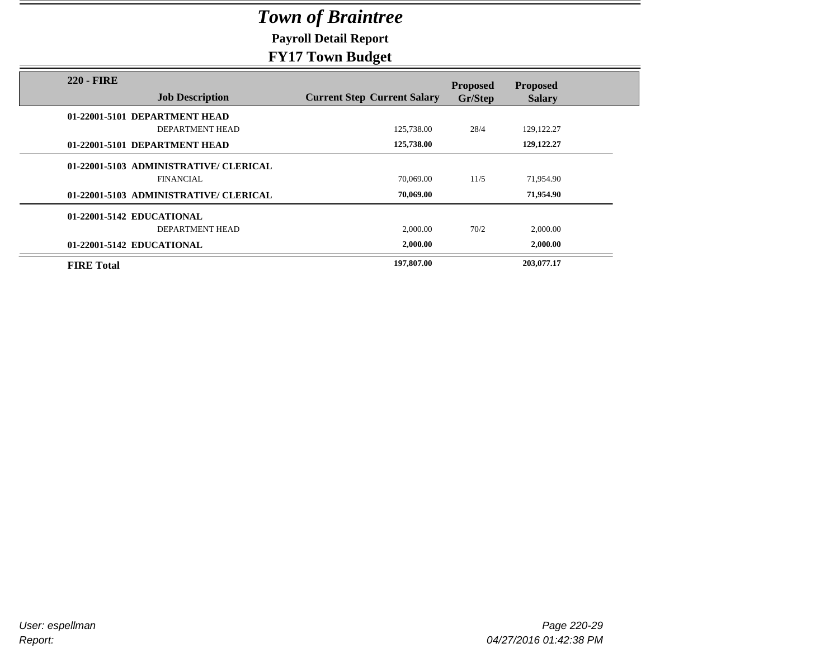**Payroll Detail Report**

|                                             | $\sigma$ .                         |                            |                                  |  |
|---------------------------------------------|------------------------------------|----------------------------|----------------------------------|--|
| <b>220 - FIRE</b><br><b>Job Description</b> | <b>Current Step Current Salary</b> | <b>Proposed</b><br>Gr/Step | <b>Proposed</b><br><b>Salary</b> |  |
| 01-22001-5101 DEPARTMENT HEAD               |                                    |                            |                                  |  |
| DEPARTMENT HEAD                             | 125,738.00                         | 28/4                       | 129, 122. 27                     |  |
| 01-22001-5101 DEPARTMENT HEAD               | 125,738.00                         |                            | 129, 122, 27                     |  |
| 01-22001-5103 ADMINISTRATIVE/ CLERICAL      |                                    |                            |                                  |  |
| <b>FINANCIAL</b>                            | 70,069.00                          | 11/5                       | 71,954.90                        |  |
| 01-22001-5103 ADMINISTRATIVE/ CLERICAL      | 70,069.00                          |                            | 71,954.90                        |  |
| 01-22001-5142 EDUCATIONAL                   |                                    |                            |                                  |  |
| DEPARTMENT HEAD                             | 2,000.00                           | 70/2                       | 2,000.00                         |  |
| 01-22001-5142 EDUCATIONAL                   | 2,000.00                           |                            | 2,000.00                         |  |
| <b>FIRE Total</b>                           | 197,807.00                         |                            | 203,077.17                       |  |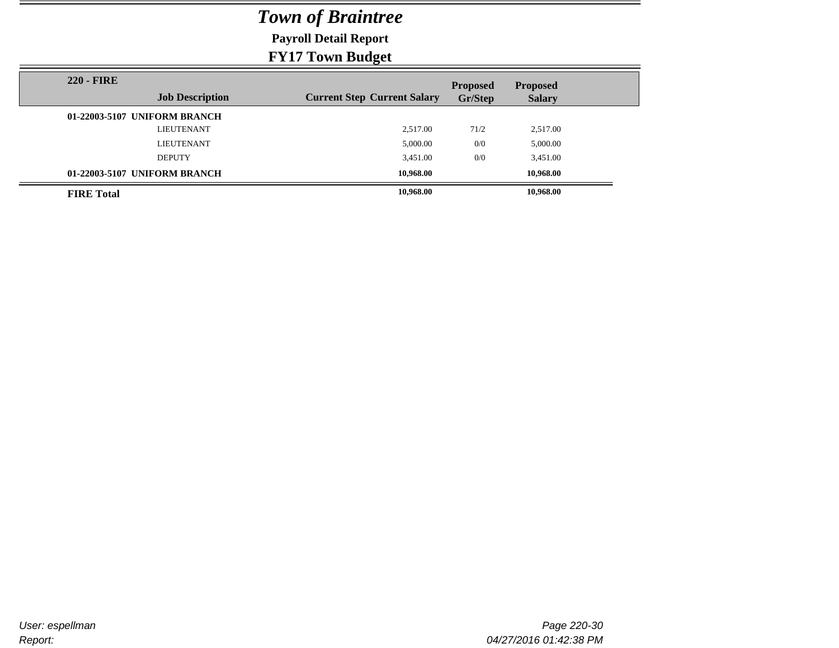**Payroll Detail Report**

| <b>220 - FIRE</b> |                              |                                    | <b>Proposed</b> | <b>Proposed</b> |  |
|-------------------|------------------------------|------------------------------------|-----------------|-----------------|--|
|                   | <b>Job Description</b>       | <b>Current Step Current Salary</b> | Gr/Step         | <b>Salary</b>   |  |
|                   | 01-22003-5107 UNIFORM BRANCH |                                    |                 |                 |  |
|                   | <b>LIEUTENANT</b>            | 2.517.00                           | 71/2            | 2,517.00        |  |
|                   | <b>LIEUTENANT</b>            | 5,000.00                           | 0/0             | 5,000.00        |  |
|                   | <b>DEPUTY</b>                | 3,451.00                           | 0/0             | 3,451.00        |  |
|                   | 01-22003-5107 UNIFORM BRANCH | 10.968.00                          |                 | 10.968.00       |  |
| <b>FIRE Total</b> |                              | 10,968.00                          |                 | 10,968.00       |  |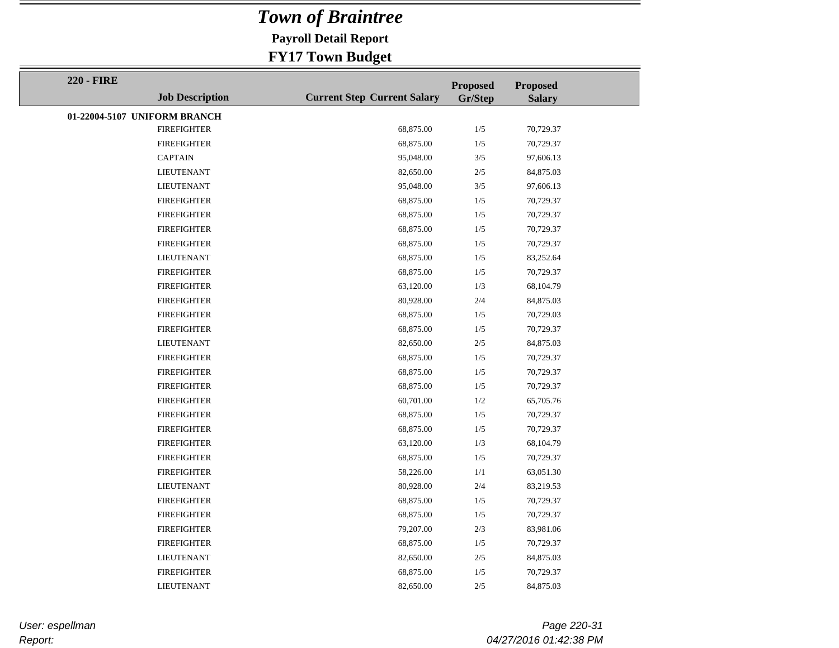**Payroll Detail Report**

### **FY17 Town Budget**

| <b>220 - FIRE</b> |                              |                                    | <b>Proposed</b> | <b>Proposed</b> |  |
|-------------------|------------------------------|------------------------------------|-----------------|-----------------|--|
|                   | <b>Job Description</b>       | <b>Current Step Current Salary</b> | Gr/Step         | <b>Salary</b>   |  |
|                   | 01-22004-5107 UNIFORM BRANCH |                                    |                 |                 |  |
|                   | <b>FIREFIGHTER</b>           | 68,875.00                          | 1/5             | 70,729.37       |  |
|                   | <b>FIREFIGHTER</b>           | 68,875.00                          | 1/5             | 70,729.37       |  |
|                   | <b>CAPTAIN</b>               | 95,048.00                          | 3/5             | 97,606.13       |  |
|                   | <b>LIEUTENANT</b>            | 82,650.00                          | 2/5             | 84,875.03       |  |
|                   | <b>LIEUTENANT</b>            | 95,048.00                          | 3/5             | 97,606.13       |  |
|                   | <b>FIREFIGHTER</b>           | 68,875.00                          | 1/5             | 70,729.37       |  |
|                   | <b>FIREFIGHTER</b>           | 68,875.00                          | 1/5             | 70,729.37       |  |
|                   | <b>FIREFIGHTER</b>           | 68,875.00                          | 1/5             | 70,729.37       |  |
|                   | <b>FIREFIGHTER</b>           | 68,875.00                          | 1/5             | 70,729.37       |  |
|                   | <b>LIEUTENANT</b>            | 68,875.00                          | 1/5             | 83,252.64       |  |
|                   | <b>FIREFIGHTER</b>           | 68,875.00                          | 1/5             | 70,729.37       |  |
|                   | <b>FIREFIGHTER</b>           | 63,120.00                          | 1/3             | 68,104.79       |  |
|                   | <b>FIREFIGHTER</b>           | 80,928.00                          | 2/4             | 84,875.03       |  |
|                   | <b>FIREFIGHTER</b>           | 68,875.00                          | 1/5             | 70,729.03       |  |
|                   | <b>FIREFIGHTER</b>           | 68,875.00                          | 1/5             | 70,729.37       |  |
|                   | <b>LIEUTENANT</b>            | 82,650.00                          | 2/5             | 84,875.03       |  |
|                   | <b>FIREFIGHTER</b>           | 68,875.00                          | 1/5             | 70,729.37       |  |
|                   | <b>FIREFIGHTER</b>           | 68,875.00                          | 1/5             | 70,729.37       |  |
|                   | <b>FIREFIGHTER</b>           | 68,875.00                          | 1/5             | 70,729.37       |  |
|                   | <b>FIREFIGHTER</b>           | 60,701.00                          | 1/2             | 65,705.76       |  |
|                   | <b>FIREFIGHTER</b>           | 68,875.00                          | 1/5             | 70,729.37       |  |
|                   | <b>FIREFIGHTER</b>           | 68,875.00                          | 1/5             | 70,729.37       |  |
|                   | <b>FIREFIGHTER</b>           | 63,120.00                          | 1/3             | 68,104.79       |  |
|                   | <b>FIREFIGHTER</b>           | 68,875.00                          | 1/5             | 70,729.37       |  |
|                   | <b>FIREFIGHTER</b>           | 58,226.00                          | 1/1             | 63,051.30       |  |
|                   | <b>LIEUTENANT</b>            | 80,928.00                          | 2/4             | 83,219.53       |  |
|                   | <b>FIREFIGHTER</b>           | 68,875.00                          | 1/5             | 70,729.37       |  |
|                   | <b>FIREFIGHTER</b>           | 68,875.00                          | 1/5             | 70,729.37       |  |
|                   | <b>FIREFIGHTER</b>           | 79,207.00                          | 2/3             | 83,981.06       |  |
|                   | <b>FIREFIGHTER</b>           | 68,875.00                          | 1/5             | 70,729.37       |  |
|                   | <b>LIEUTENANT</b>            | 82,650.00                          | 2/5             | 84,875.03       |  |
|                   | <b>FIREFIGHTER</b>           | 68,875.00                          | 1/5             | 70,729.37       |  |
|                   | <b>LIEUTENANT</b>            | 82,650.00                          | 2/5             | 84,875.03       |  |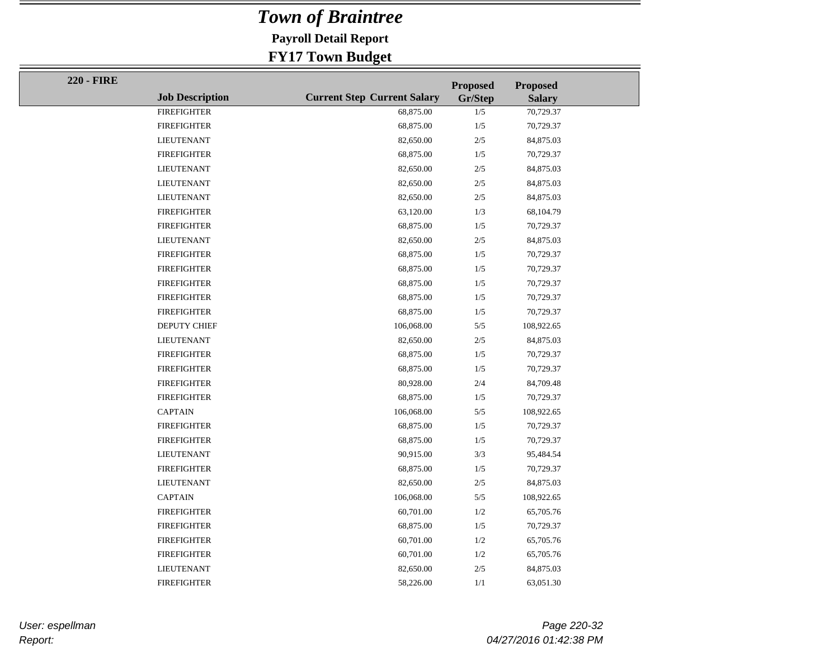**Payroll Detail Report**

### **FY17 Town Budget**

| <b>220 - FIRE</b> |                        |                                    | <b>Proposed</b> | <b>Proposed</b> |
|-------------------|------------------------|------------------------------------|-----------------|-----------------|
|                   | <b>Job Description</b> | <b>Current Step Current Salary</b> | Gr/Step         | <b>Salary</b>   |
|                   | <b>FIREFIGHTER</b>     | 68,875.00                          | 1/5             | 70,729.37       |
|                   | <b>FIREFIGHTER</b>     | 68,875.00                          | 1/5             | 70,729.37       |
|                   | <b>LIEUTENANT</b>      | 82,650.00                          | $2/5$           | 84,875.03       |
|                   | <b>FIREFIGHTER</b>     | 68,875.00                          | 1/5             | 70,729.37       |
|                   | <b>LIEUTENANT</b>      | 82,650.00                          | $2/5$           | 84,875.03       |
|                   | <b>LIEUTENANT</b>      | 82,650.00                          | $2/5$           | 84,875.03       |
|                   | <b>LIEUTENANT</b>      | 82,650.00                          | $2/5$           | 84,875.03       |
|                   | <b>FIREFIGHTER</b>     | 63,120.00                          | 1/3             | 68,104.79       |
|                   | <b>FIREFIGHTER</b>     | 68,875.00                          | 1/5             | 70,729.37       |
|                   | <b>LIEUTENANT</b>      | 82,650.00                          | $2/5$           | 84,875.03       |
|                   | <b>FIREFIGHTER</b>     | 68,875.00                          | 1/5             | 70,729.37       |
|                   | <b>FIREFIGHTER</b>     | 68,875.00                          | 1/5             | 70,729.37       |
|                   | <b>FIREFIGHTER</b>     | 68,875.00                          | 1/5             | 70,729.37       |
|                   | <b>FIREFIGHTER</b>     | 68,875.00                          | 1/5             | 70,729.37       |
|                   | <b>FIREFIGHTER</b>     | 68,875.00                          | 1/5             | 70,729.37       |
|                   | DEPUTY CHIEF           | 106,068.00                         | $5/5$           | 108,922.65      |
|                   | <b>LIEUTENANT</b>      | 82,650.00                          | $2/5$           | 84,875.03       |
|                   | <b>FIREFIGHTER</b>     | 68,875.00                          | 1/5             | 70,729.37       |
|                   | <b>FIREFIGHTER</b>     | 68,875.00                          | 1/5             | 70,729.37       |
|                   | <b>FIREFIGHTER</b>     | 80,928.00                          | $2/4\,$         | 84,709.48       |
|                   | <b>FIREFIGHTER</b>     | 68,875.00                          | 1/5             | 70,729.37       |
|                   | <b>CAPTAIN</b>         | 106,068.00                         | $5/5$           | 108,922.65      |
|                   | <b>FIREFIGHTER</b>     | 68,875.00                          | 1/5             | 70,729.37       |
|                   | <b>FIREFIGHTER</b>     | 68,875.00                          | 1/5             | 70,729.37       |
|                   | <b>LIEUTENANT</b>      | 90,915.00                          | 3/3             | 95,484.54       |
|                   | <b>FIREFIGHTER</b>     | 68,875.00                          | 1/5             | 70,729.37       |
|                   | <b>LIEUTENANT</b>      | 82,650.00                          | 2/5             | 84,875.03       |
|                   | <b>CAPTAIN</b>         | 106,068.00                         | 5/5             | 108,922.65      |
|                   | <b>FIREFIGHTER</b>     | 60,701.00                          | 1/2             | 65,705.76       |
|                   | <b>FIREFIGHTER</b>     | 68,875.00                          | 1/5             | 70,729.37       |
|                   | <b>FIREFIGHTER</b>     | 60,701.00                          | 1/2             | 65,705.76       |
|                   | <b>FIREFIGHTER</b>     | 60,701.00                          | 1/2             | 65,705.76       |
|                   | <b>LIEUTENANT</b>      | 82,650.00                          | $2/5$           | 84,875.03       |
|                   | <b>FIREFIGHTER</b>     | 58,226.00                          | 1/1             | 63,051.30       |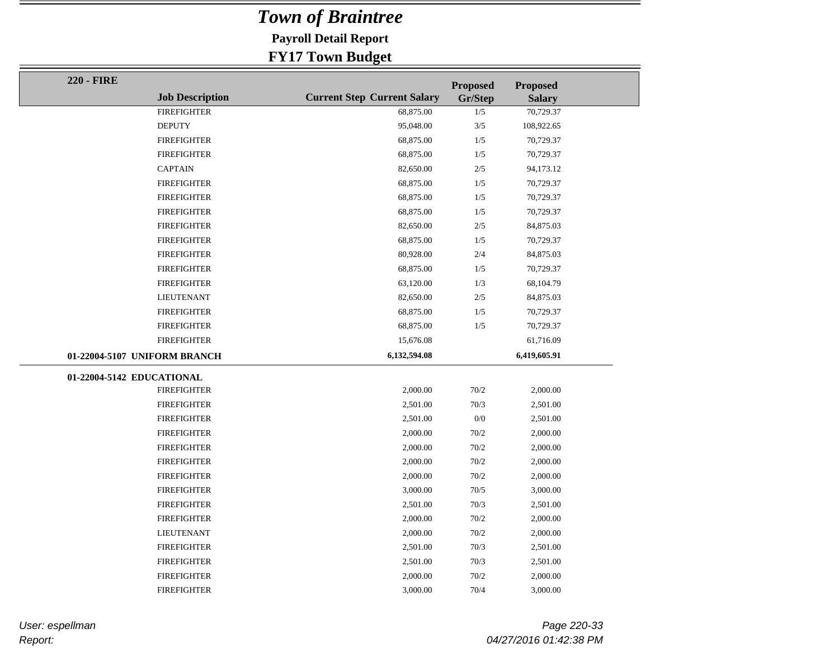**Payroll Detail Report**

### **FY17 Town Budget**

| <b>220 - FIRE</b>         |                              |                                    | <b>Proposed</b> | <b>Proposed</b> |  |
|---------------------------|------------------------------|------------------------------------|-----------------|-----------------|--|
|                           | <b>Job Description</b>       | <b>Current Step Current Salary</b> | Gr/Step         | <b>Salary</b>   |  |
|                           | <b>FIREFIGHTER</b>           | 68,875.00                          | 1/5             | 70,729.37       |  |
|                           | <b>DEPUTY</b>                | 95,048.00                          | $3/5$           | 108,922.65      |  |
|                           | <b>FIREFIGHTER</b>           | 68,875.00                          | 1/5             | 70,729.37       |  |
|                           | <b>FIREFIGHTER</b>           | 68,875.00                          | 1/5             | 70,729.37       |  |
|                           | <b>CAPTAIN</b>               | 82,650.00                          | 2/5             | 94,173.12       |  |
|                           | <b>FIREFIGHTER</b>           | 68,875.00                          | 1/5             | 70,729.37       |  |
|                           | <b>FIREFIGHTER</b>           | 68,875.00                          | $1/5$           | 70,729.37       |  |
|                           | <b>FIREFIGHTER</b>           | 68,875.00                          | 1/5             | 70,729.37       |  |
|                           | <b>FIREFIGHTER</b>           | 82,650.00                          | 2/5             | 84,875.03       |  |
|                           | <b>FIREFIGHTER</b>           | 68,875.00                          | 1/5             | 70,729.37       |  |
|                           | <b>FIREFIGHTER</b>           | 80,928.00                          | 2/4             | 84,875.03       |  |
|                           | <b>FIREFIGHTER</b>           | 68,875.00                          | 1/5             | 70,729.37       |  |
|                           | <b>FIREFIGHTER</b>           | 63,120.00                          | 1/3             | 68,104.79       |  |
|                           | <b>LIEUTENANT</b>            | 82,650.00                          | $2/5$           | 84,875.03       |  |
|                           | <b>FIREFIGHTER</b>           | 68,875.00                          | 1/5             | 70,729.37       |  |
|                           | <b>FIREFIGHTER</b>           | 68,875.00                          | 1/5             | 70,729.37       |  |
|                           | <b>FIREFIGHTER</b>           | 15,676.08                          |                 | 61,716.09       |  |
|                           | 01-22004-5107 UNIFORM BRANCH | 6,132,594.08                       |                 | 6,419,605.91    |  |
| 01-22004-5142 EDUCATIONAL |                              |                                    |                 |                 |  |
|                           | <b>FIREFIGHTER</b>           | 2,000.00                           | 70/2            | 2,000.00        |  |
|                           | <b>FIREFIGHTER</b>           | 2,501.00                           | 70/3            | 2,501.00        |  |
|                           | <b>FIREFIGHTER</b>           | 2,501.00                           | 0/0             | 2,501.00        |  |
|                           | <b>FIREFIGHTER</b>           | 2,000.00                           | 70/2            | 2,000.00        |  |
|                           | <b>FIREFIGHTER</b>           | 2,000.00                           | 70/2            | 2,000.00        |  |
|                           | <b>FIREFIGHTER</b>           | 2,000.00                           | 70/2            | 2,000.00        |  |
|                           | <b>FIREFIGHTER</b>           | 2,000.00                           | 70/2            | 2,000.00        |  |
|                           | <b>FIREFIGHTER</b>           | 3,000.00                           | 70/5            | 3,000.00        |  |
|                           | <b>FIREFIGHTER</b>           | 2,501.00                           | 70/3            | 2,501.00        |  |
|                           | <b>FIREFIGHTER</b>           | 2,000.00                           | 70/2            | 2,000.00        |  |
|                           | <b>LIEUTENANT</b>            | 2,000.00                           | 70/2            | 2,000.00        |  |
|                           | <b>FIREFIGHTER</b>           | 2,501.00                           | 70/3            | 2,501.00        |  |
|                           | <b>FIREFIGHTER</b>           | 2,501.00                           | 70/3            | 2,501.00        |  |
|                           | <b>FIREFIGHTER</b>           | 2,000.00                           | 70/2            | 2,000.00        |  |
|                           | <b>FIREFIGHTER</b>           | 3,000.00                           | 70/4            | 3,000.00        |  |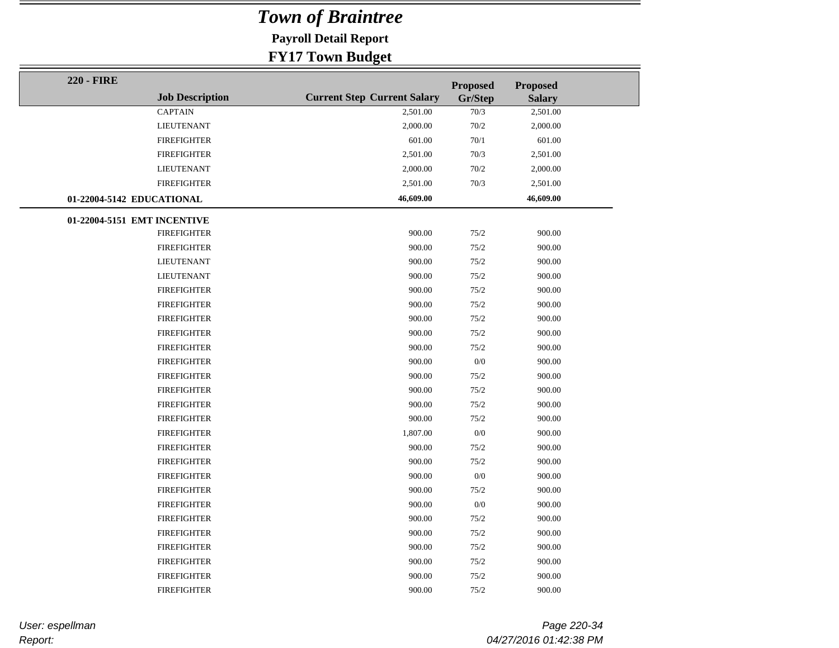**Payroll Detail Report**

### **FY17 Town Budget**

| <b>220 - FIRE</b>           |                        |                                    | <b>Proposed</b> | Proposed      |  |
|-----------------------------|------------------------|------------------------------------|-----------------|---------------|--|
|                             | <b>Job Description</b> | <b>Current Step Current Salary</b> | Gr/Step         | <b>Salary</b> |  |
|                             | <b>CAPTAIN</b>         | 2,501.00                           | 70/3            | 2,501.00      |  |
|                             | <b>LIEUTENANT</b>      | 2,000.00                           | 70/2            | 2,000.00      |  |
|                             | <b>FIREFIGHTER</b>     | 601.00                             | 70/1            | 601.00        |  |
|                             | <b>FIREFIGHTER</b>     | 2,501.00                           | 70/3            | 2,501.00      |  |
|                             | <b>LIEUTENANT</b>      | 2,000.00                           | 70/2            | 2,000.00      |  |
|                             | <b>FIREFIGHTER</b>     | 2,501.00                           | 70/3            | 2,501.00      |  |
| 01-22004-5142 EDUCATIONAL   |                        | 46,609.00                          |                 | 46,609.00     |  |
| 01-22004-5151 EMT INCENTIVE |                        |                                    |                 |               |  |
|                             | <b>FIREFIGHTER</b>     | 900.00                             | 75/2            | 900.00        |  |
|                             | <b>FIREFIGHTER</b>     | 900.00                             | 75/2            | 900.00        |  |
|                             | <b>LIEUTENANT</b>      | 900.00                             | 75/2            | 900.00        |  |
|                             | <b>LIEUTENANT</b>      | 900.00                             | 75/2            | 900.00        |  |
|                             | <b>FIREFIGHTER</b>     | 900.00                             | 75/2            | 900.00        |  |
|                             | <b>FIREFIGHTER</b>     | 900.00                             | 75/2            | 900.00        |  |
|                             | <b>FIREFIGHTER</b>     | 900.00                             | 75/2            | 900.00        |  |
|                             | <b>FIREFIGHTER</b>     | 900.00                             | 75/2            | 900.00        |  |
|                             | <b>FIREFIGHTER</b>     | 900.00                             | 75/2            | 900.00        |  |
|                             | <b>FIREFIGHTER</b>     | 900.00                             | 0/0             | 900.00        |  |
|                             | <b>FIREFIGHTER</b>     | 900.00                             | 75/2            | 900.00        |  |
|                             | <b>FIREFIGHTER</b>     | 900.00                             | 75/2            | 900.00        |  |
|                             | <b>FIREFIGHTER</b>     | 900.00                             | 75/2            | 900.00        |  |
|                             | <b>FIREFIGHTER</b>     | 900.00                             | 75/2            | 900.00        |  |
|                             | <b>FIREFIGHTER</b>     | 1,807.00                           | 0/0             | 900.00        |  |
|                             | <b>FIREFIGHTER</b>     | 900.00                             | 75/2            | 900.00        |  |
|                             | <b>FIREFIGHTER</b>     | 900.00                             | 75/2            | 900.00        |  |
|                             | <b>FIREFIGHTER</b>     | 900.00                             | 0/0             | 900.00        |  |
|                             | <b>FIREFIGHTER</b>     | 900.00                             | 75/2            | 900.00        |  |
|                             | <b>FIREFIGHTER</b>     | 900.00                             | 0/0             | 900.00        |  |
|                             | <b>FIREFIGHTER</b>     | 900.00                             | 75/2            | 900.00        |  |
|                             | <b>FIREFIGHTER</b>     | 900.00                             | 75/2            | 900.00        |  |
|                             | <b>FIREFIGHTER</b>     | 900.00                             | 75/2            | 900.00        |  |
|                             | <b>FIREFIGHTER</b>     | 900.00                             | 75/2            | 900.00        |  |
|                             | <b>FIREFIGHTER</b>     | 900.00                             | 75/2            | 900.00        |  |
|                             | <b>FIREFIGHTER</b>     | 900.00                             | 75/2            | 900.00        |  |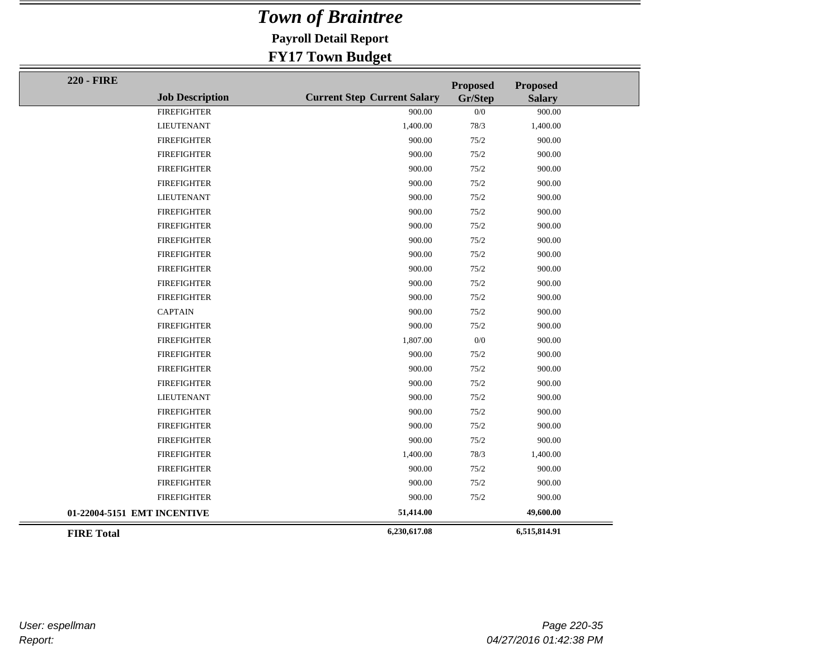**Payroll Detail Report**

| <b>220 - FIRE</b>           |                        |                                    | <b>Proposed</b> | <b>Proposed</b> |  |
|-----------------------------|------------------------|------------------------------------|-----------------|-----------------|--|
|                             | <b>Job Description</b> | <b>Current Step Current Salary</b> | Gr/Step         | <b>Salary</b>   |  |
|                             | <b>FIREFIGHTER</b>     | 900.00                             | 0/0             | 900.00          |  |
|                             | <b>LIEUTENANT</b>      | 1,400.00                           | 78/3            | 1,400.00        |  |
|                             | <b>FIREFIGHTER</b>     | 900.00                             | 75/2            | 900.00          |  |
|                             | <b>FIREFIGHTER</b>     | 900.00                             | 75/2            | 900.00          |  |
|                             | <b>FIREFIGHTER</b>     | 900.00                             | 75/2            | 900.00          |  |
|                             | <b>FIREFIGHTER</b>     | 900.00                             | 75/2            | 900.00          |  |
|                             | <b>LIEUTENANT</b>      | 900.00                             | 75/2            | 900.00          |  |
|                             | <b>FIREFIGHTER</b>     | 900.00                             | 75/2            | 900.00          |  |
|                             | <b>FIREFIGHTER</b>     | 900.00                             | 75/2            | 900.00          |  |
|                             | <b>FIREFIGHTER</b>     | 900.00                             | 75/2            | 900.00          |  |
|                             | <b>FIREFIGHTER</b>     | 900.00                             | 75/2            | 900.00          |  |
|                             | <b>FIREFIGHTER</b>     | 900.00                             | 75/2            | 900.00          |  |
|                             | <b>FIREFIGHTER</b>     | 900.00                             | 75/2            | 900.00          |  |
|                             | <b>FIREFIGHTER</b>     | 900.00                             | 75/2            | 900.00          |  |
|                             | <b>CAPTAIN</b>         | 900.00                             | 75/2            | 900.00          |  |
|                             | <b>FIREFIGHTER</b>     | 900.00                             | 75/2            | 900.00          |  |
|                             | <b>FIREFIGHTER</b>     | 1,807.00                           | 0/0             | 900.00          |  |
|                             | <b>FIREFIGHTER</b>     | 900.00                             | 75/2            | 900.00          |  |
|                             | <b>FIREFIGHTER</b>     | 900.00                             | 75/2            | 900.00          |  |
|                             | <b>FIREFIGHTER</b>     | 900.00                             | 75/2            | 900.00          |  |
|                             | <b>LIEUTENANT</b>      | 900.00                             | 75/2            | 900.00          |  |
|                             | <b>FIREFIGHTER</b>     | 900.00                             | 75/2            | 900.00          |  |
|                             | <b>FIREFIGHTER</b>     | 900.00                             | 75/2            | 900.00          |  |
|                             | <b>FIREFIGHTER</b>     | 900.00                             | 75/2            | 900.00          |  |
|                             | <b>FIREFIGHTER</b>     | 1,400.00                           | 78/3            | 1,400.00        |  |
|                             | <b>FIREFIGHTER</b>     | 900.00                             | 75/2            | 900.00          |  |
|                             | <b>FIREFIGHTER</b>     | 900.00                             | 75/2            | 900.00          |  |
|                             | <b>FIREFIGHTER</b>     | 900.00                             | 75/2            | 900.00          |  |
| 01-22004-5151 EMT INCENTIVE |                        | 51,414.00                          |                 | 49,600.00       |  |
| <b>FIRE Total</b>           |                        | 6,230,617.08                       |                 | 6,515,814.91    |  |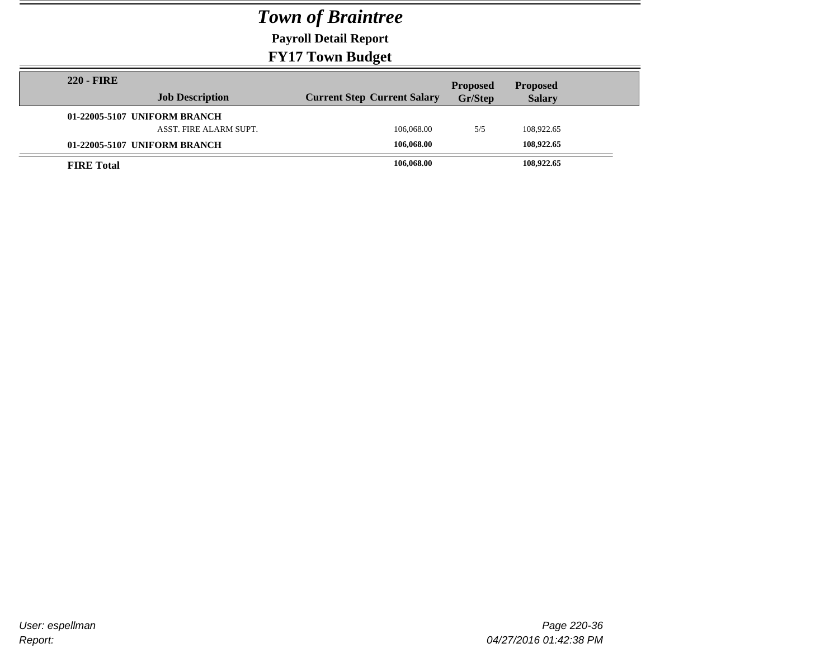**Payroll Detail Report**

| <b>220 - FIRE</b> | <b>Job Description</b>                                 | <b>Current Step Current Salary</b> | <b>Proposed</b><br>Gr/Step | <b>Proposed</b><br><b>Salary</b> |  |
|-------------------|--------------------------------------------------------|------------------------------------|----------------------------|----------------------------------|--|
|                   | 01-22005-5107 UNIFORM BRANCH<br>ASST. FIRE ALARM SUPT. | 106,068,00                         | 5/5                        | 108,922.65                       |  |
|                   | 01-22005-5107 UNIFORM BRANCH                           | 106,068.00                         |                            | 108,922.65                       |  |
| <b>FIRE</b> Total |                                                        | 106,068.00                         |                            | 108,922.65                       |  |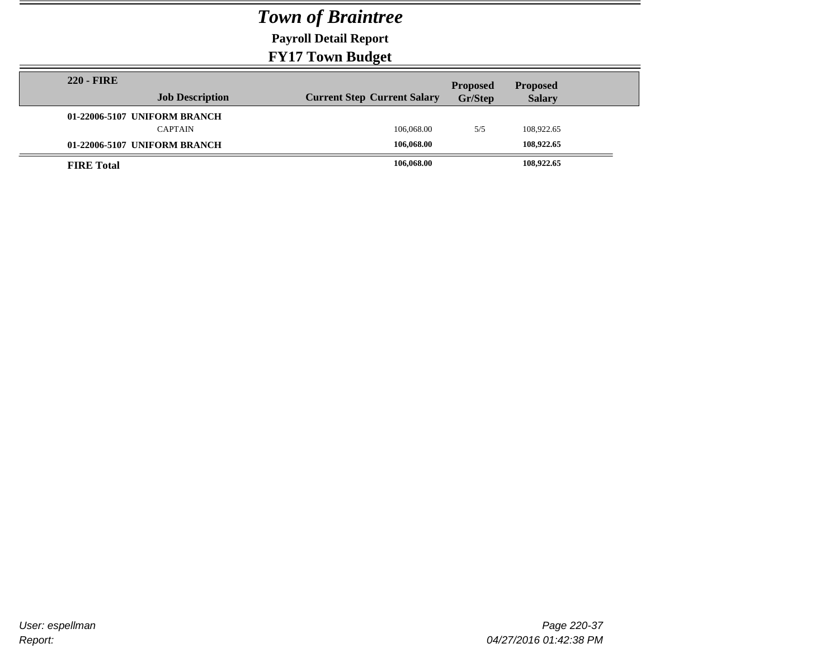**Payroll Detail Report**

| <b>220 - FIRE</b>            |                                    | <b>Proposed</b> | <b>Proposed</b> |
|------------------------------|------------------------------------|-----------------|-----------------|
| <b>Job Description</b>       | <b>Current Step Current Salary</b> | Gr/Step         | <b>Salary</b>   |
| 01-22006-5107 UNIFORM BRANCH |                                    |                 |                 |
| <b>CAPTAIN</b>               | 106,068,00                         | 5/5             | 108.922.65      |
| 01-22006-5107 UNIFORM BRANCH | 106,068.00                         |                 | 108,922.65      |
| <b>FIRE</b> Total            | 106,068.00                         |                 | 108,922.65      |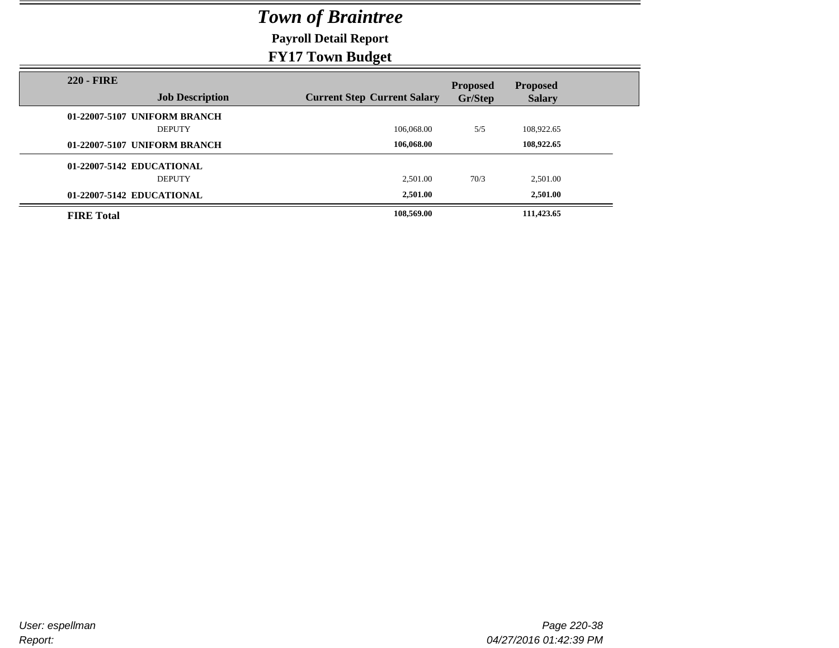**Payroll Detail Report**

|                                             | $\rightarrow$ $\rightarrow$ $\rightarrow$ |                            |                                  |
|---------------------------------------------|-------------------------------------------|----------------------------|----------------------------------|
| <b>220 - FIRE</b><br><b>Job Description</b> | <b>Current Step Current Salary</b>        | <b>Proposed</b><br>Gr/Step | <b>Proposed</b><br><b>Salary</b> |
| 01-22007-5107 UNIFORM BRANCH                |                                           |                            |                                  |
| <b>DEPUTY</b>                               | 106,068.00                                | 5/5                        | 108,922.65                       |
| 01-22007-5107 UNIFORM BRANCH                | 106,068.00                                |                            | 108,922.65                       |
| 01-22007-5142 EDUCATIONAL                   |                                           |                            |                                  |
| <b>DEPUTY</b>                               | 2.501.00                                  | 70/3                       | 2,501.00                         |
| 01-22007-5142 EDUCATIONAL                   | 2,501.00                                  |                            | 2,501.00                         |
| <b>FIRE Total</b>                           | 108,569.00                                |                            | 111,423.65                       |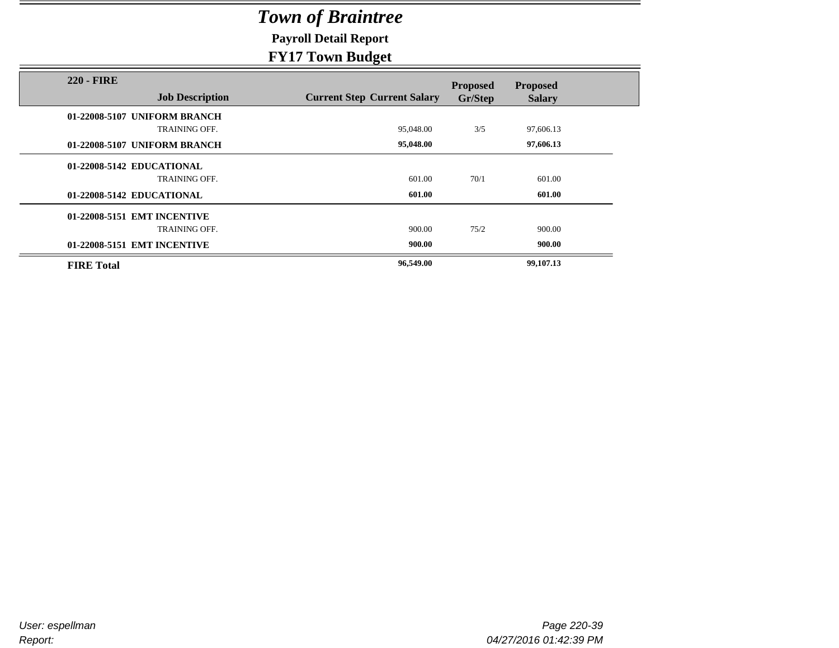**Payroll Detail Report**

|                                             | - - - - <i>-</i> - - <del>-</del>  |                 |                 |  |
|---------------------------------------------|------------------------------------|-----------------|-----------------|--|
| <b>220 - FIRE</b><br><b>Job Description</b> | <b>Current Step Current Salary</b> | <b>Proposed</b> | <b>Proposed</b> |  |
|                                             |                                    | Gr/Step         | <b>Salary</b>   |  |
| 01-22008-5107 UNIFORM BRANCH                |                                    |                 |                 |  |
| <b>TRAINING OFF.</b>                        | 95,048.00                          | 3/5             | 97,606.13       |  |
| 01-22008-5107 UNIFORM BRANCH                | 95,048.00                          |                 | 97,606.13       |  |
|                                             |                                    |                 |                 |  |
| 01-22008-5142 EDUCATIONAL                   |                                    |                 |                 |  |
| <b>TRAINING OFF.</b>                        | 601.00                             | 70/1            | 601.00          |  |
| 01-22008-5142 EDUCATIONAL                   | 601.00                             |                 | 601.00          |  |
|                                             |                                    |                 |                 |  |
| 01-22008-5151 EMT INCENTIVE                 |                                    |                 |                 |  |
| <b>TRAINING OFF.</b>                        | 900.00                             | 75/2            | 900.00          |  |
| 01-22008-5151 EMT INCENTIVE                 | 900.00                             |                 | 900.00          |  |
|                                             |                                    |                 |                 |  |
| <b>FIRE Total</b>                           | 96,549.00                          |                 | 99,107.13       |  |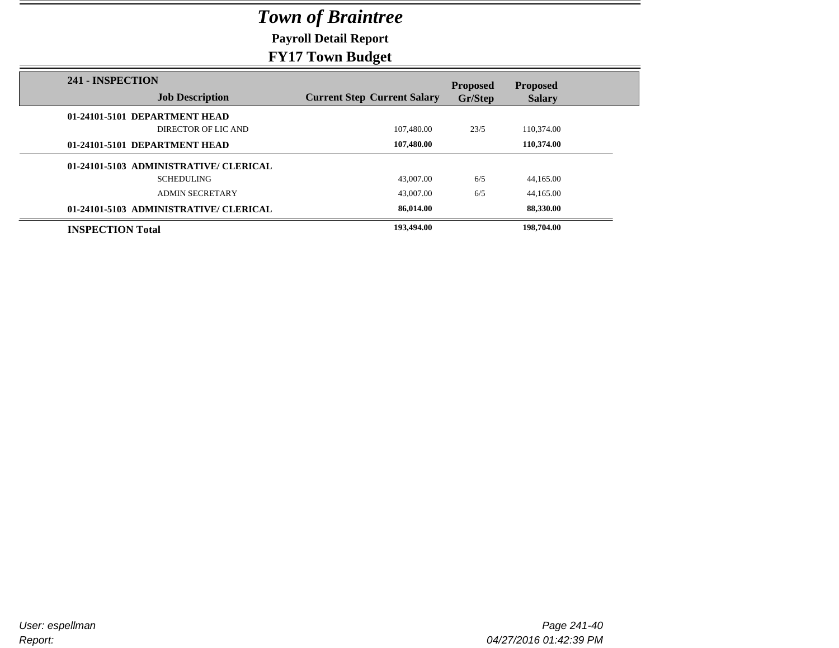**Payroll Detail Report**

| 241 - INSPECTION                       |                                    | <b>Proposed</b> | <b>Proposed</b> |
|----------------------------------------|------------------------------------|-----------------|-----------------|
| <b>Job Description</b>                 | <b>Current Step Current Salary</b> | Gr/Step         | <b>Salary</b>   |
| 01-24101-5101 DEPARTMENT HEAD          |                                    |                 |                 |
| DIRECTOR OF LIC AND                    | 107,480.00                         | 23/5            | 110,374.00      |
| 01-24101-5101 DEPARTMENT HEAD          | 107,480.00                         |                 | 110.374.00      |
| 01-24101-5103 ADMINISTRATIVE/ CLERICAL |                                    |                 |                 |
| <b>SCHEDULING</b>                      | 43,007.00                          | 6/5             | 44,165.00       |
| <b>ADMIN SECRETARY</b>                 | 43,007.00                          | 6/5             | 44,165.00       |
| 01-24101-5103 ADMINISTRATIVE/ CLERICAL | 86,014.00                          |                 | 88,330.00       |
| <b>INSPECTION Total</b>                | 193,494.00                         |                 | 198,704.00      |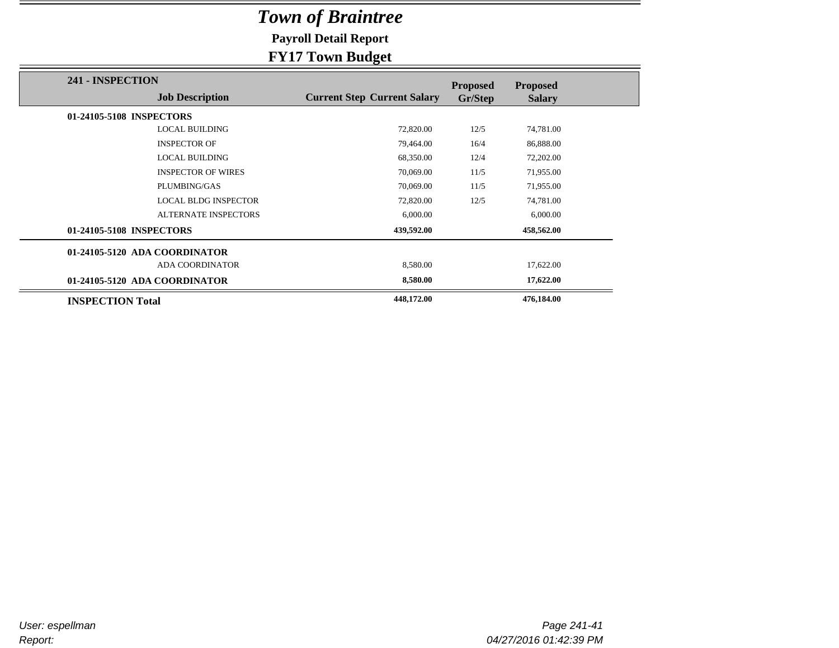**Payroll Detail Report**

|                               |                             | $\mathbf{\sigma}$                  |                            |                                  |
|-------------------------------|-----------------------------|------------------------------------|----------------------------|----------------------------------|
| 241 - INSPECTION              | <b>Job Description</b>      | <b>Current Step Current Salary</b> | <b>Proposed</b><br>Gr/Step | <b>Proposed</b><br><b>Salary</b> |
| 01-24105-5108 INSPECTORS      |                             |                                    |                            |                                  |
|                               | <b>LOCAL BUILDING</b>       | 72,820.00                          | 12/5                       | 74,781.00                        |
|                               | <b>INSPECTOR OF</b>         | 79,464.00                          | 16/4                       | 86,888.00                        |
|                               | <b>LOCAL BUILDING</b>       | 68,350.00                          | 12/4                       | 72,202.00                        |
|                               | <b>INSPECTOR OF WIRES</b>   | 70,069.00                          | 11/5                       | 71,955.00                        |
|                               | PLUMBING/GAS                | 70,069.00                          | 11/5                       | 71,955.00                        |
|                               | <b>LOCAL BLDG INSPECTOR</b> | 72,820.00                          | 12/5                       | 74,781.00                        |
|                               | <b>ALTERNATE INSPECTORS</b> | 6,000.00                           |                            | 6,000.00                         |
| 01-24105-5108 INSPECTORS      |                             | 439,592.00                         |                            | 458,562.00                       |
| 01-24105-5120 ADA COORDINATOR |                             |                                    |                            |                                  |
|                               | <b>ADA COORDINATOR</b>      | 8,580.00                           |                            | 17,622.00                        |
| 01-24105-5120 ADA COORDINATOR |                             | 8,580.00                           |                            | 17,622.00                        |
| <b>INSPECTION Total</b>       |                             | 448,172.00                         |                            | 476,184.00                       |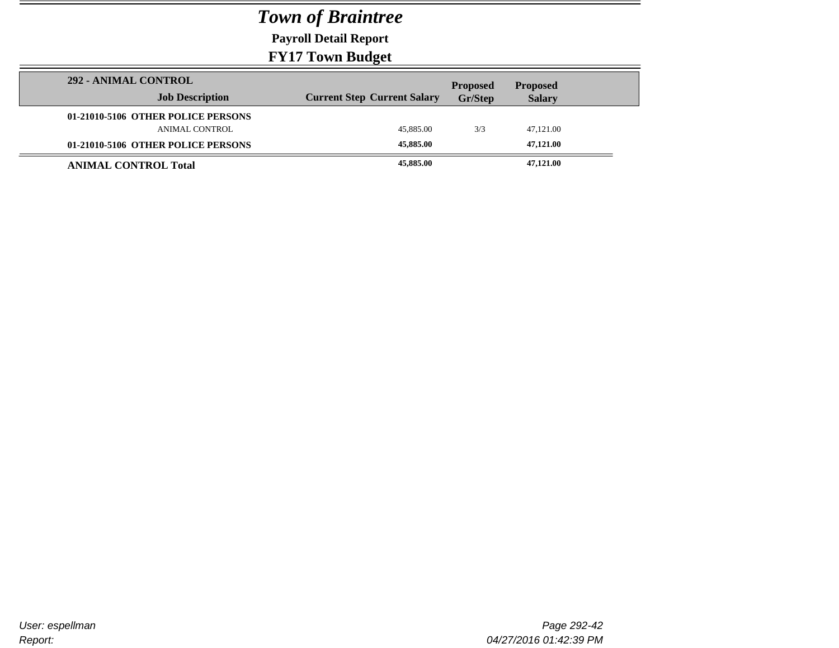**Payroll Detail Report**

**FY17 Town Budget**

|                                    | $\overline{\phantom{a}}$           |                 |                 |
|------------------------------------|------------------------------------|-----------------|-----------------|
| 292 - ANIMAL CONTROL               |                                    | <b>Proposed</b> | <b>Proposed</b> |
| <b>Job Description</b>             | <b>Current Step Current Salary</b> | <b>Gr/Step</b>  | <b>Salary</b>   |
| 01-21010-5106 OTHER POLICE PERSONS |                                    |                 |                 |
| ANIMAL CONTROL                     | 45,885.00                          | 3/3             | 47,121.00       |
| 01-21010-5106 OTHER POLICE PERSONS | 45,885.00                          |                 | 47,121.00       |
| <b>ANIMAL CONTROL Total</b>        | 45,885.00                          |                 | 47,121.00       |

Ī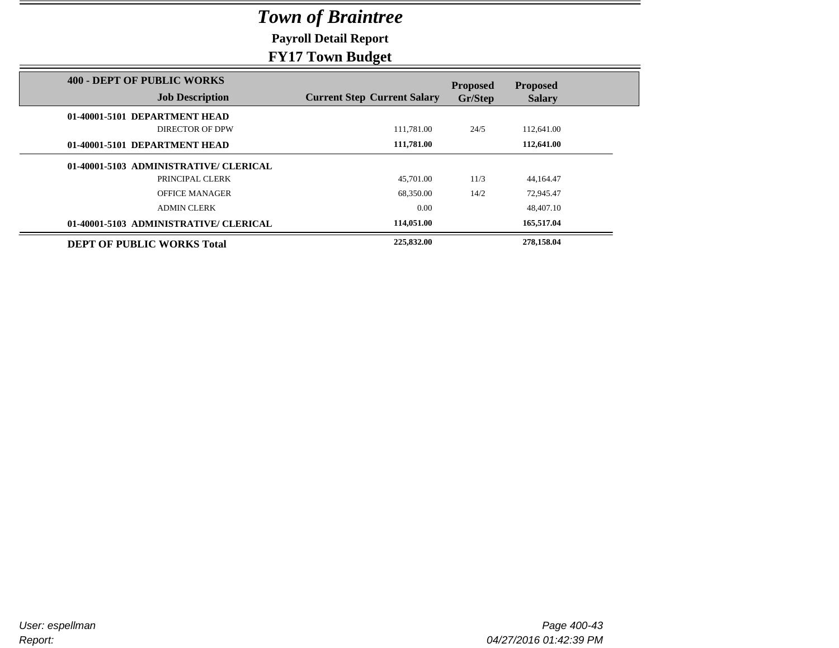**Payroll Detail Report**

|                                                             | $-1.22 - 1.07$                     |                            |                                  |
|-------------------------------------------------------------|------------------------------------|----------------------------|----------------------------------|
| <b>400 - DEPT OF PUBLIC WORKS</b><br><b>Job Description</b> | <b>Current Step Current Salary</b> | <b>Proposed</b><br>Gr/Step | <b>Proposed</b><br><b>Salary</b> |
| 01-40001-5101 DEPARTMENT HEAD                               |                                    |                            |                                  |
| DIRECTOR OF DPW                                             | 111.781.00                         | 24/5                       | 112,641.00                       |
| 01-40001-5101 DEPARTMENT HEAD                               | 111,781.00                         |                            | 112,641.00                       |
| 01-40001-5103 ADMINISTRATIVE/ CLERICAL                      |                                    |                            |                                  |
| PRINCIPAL CLERK                                             | 45,701.00                          | 11/3                       | 44,164.47                        |
| <b>OFFICE MANAGER</b>                                       | 68,350.00                          | 14/2                       | 72,945.47                        |
| <b>ADMIN CLERK</b>                                          | 0.00                               |                            | 48,407.10                        |
| 01-40001-5103 ADMINISTRATIVE/ CLERICAL                      | 114,051.00                         |                            | 165,517.04                       |
| <b>DEPT OF PUBLIC WORKS Total</b>                           | 225,832.00                         |                            | 278,158.04                       |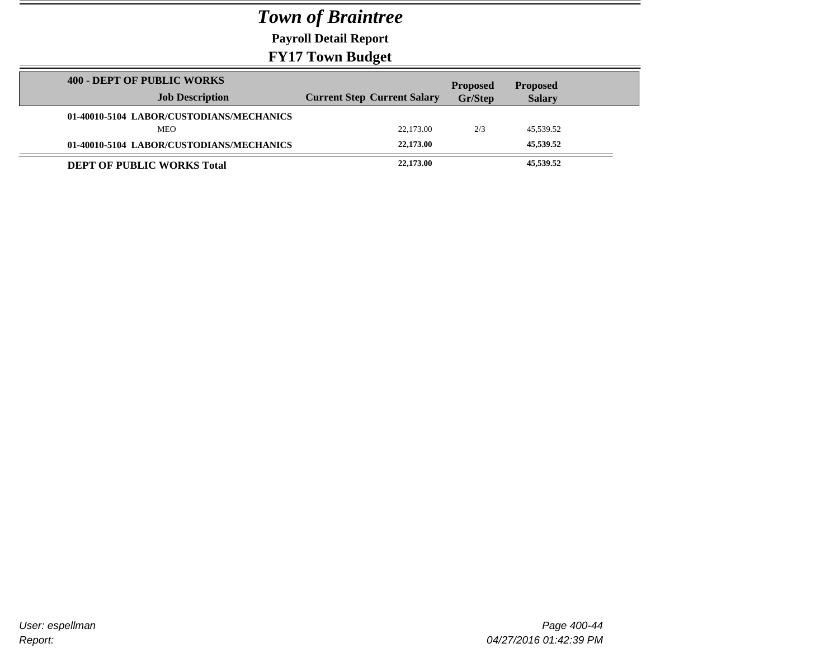**Payroll Detail Report**

|                                                             | $\sim$ $\sim$                      |                                   |                                  |  |
|-------------------------------------------------------------|------------------------------------|-----------------------------------|----------------------------------|--|
| <b>400 - DEPT OF PUBLIC WORKS</b><br><b>Job Description</b> | <b>Current Step Current Salary</b> | <b>Proposed</b><br><b>Gr/Step</b> | <b>Proposed</b><br><b>Salary</b> |  |
| 01-40010-5104 LABOR/CUSTODIANS/MECHANICS                    |                                    |                                   |                                  |  |
| <b>MEO</b>                                                  | 22,173,00                          | 2/3                               | 45,539.52                        |  |
| 01-40010-5104 LABOR/CUSTODIANS/MECHANICS                    | 22,173.00                          |                                   | 45,539.52                        |  |
| <b>DEPT OF PUBLIC WORKS Total</b>                           | 22,173.00                          |                                   | 45,539.52                        |  |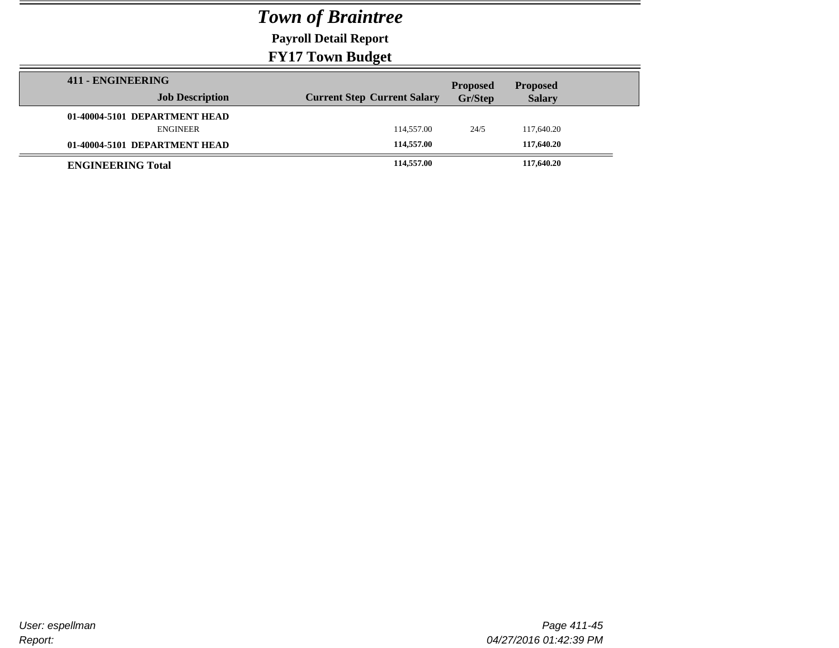**Payroll Detail Report**

| 411 - ENGINEERING             |                                    | <b>Proposed</b> | <b>Proposed</b> |  |
|-------------------------------|------------------------------------|-----------------|-----------------|--|
| <b>Job Description</b>        | <b>Current Step Current Salary</b> | Gr/Step         | <b>Salary</b>   |  |
| 01-40004-5101 DEPARTMENT HEAD |                                    |                 |                 |  |
| <b>ENGINEER</b>               | 114,557.00                         | 24/5            | 117,640.20      |  |
| 01-40004-5101 DEPARTMENT HEAD | 114,557.00                         |                 | 117,640.20      |  |
| <b>ENGINEERING Total</b>      | 114,557.00                         |                 | 117,640.20      |  |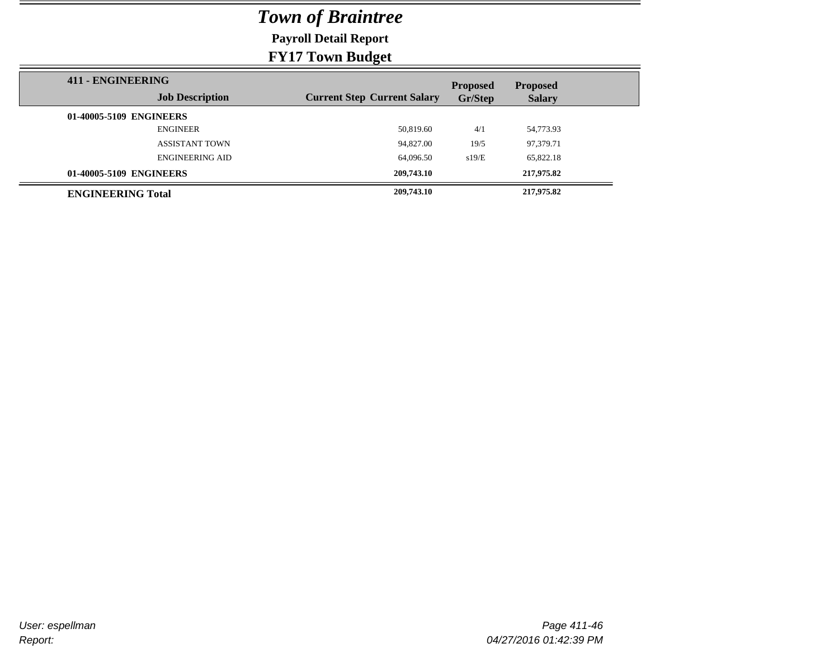**Payroll Detail Report**

| 411 - ENGINEERING        |                        |                                    | <b>Proposed</b> | <b>Proposed</b> |  |
|--------------------------|------------------------|------------------------------------|-----------------|-----------------|--|
|                          | <b>Job Description</b> | <b>Current Step Current Salary</b> | Gr/Step         | <b>Salary</b>   |  |
| 01-40005-5109 ENGINEERS  |                        |                                    |                 |                 |  |
|                          | <b>ENGINEER</b>        | 50,819.60                          | 4/1             | 54,773.93       |  |
|                          | <b>ASSISTANT TOWN</b>  | 94,827.00                          | 19/5            | 97,379.71       |  |
|                          | <b>ENGINEERING AID</b> | 64,096.50                          | s19/E           | 65,822.18       |  |
| 01-40005-5109 ENGINEERS  |                        | 209,743.10                         |                 | 217,975.82      |  |
| <b>ENGINEERING Total</b> |                        | 209,743.10                         |                 | 217,975.82      |  |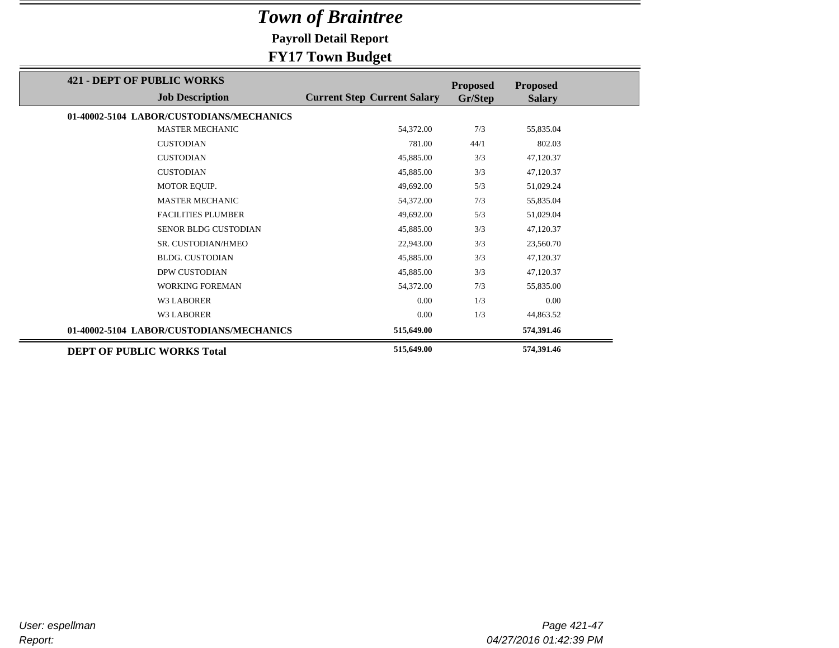**Payroll Detail Report**

|                                                             | --- -- -- <i>-</i> --- ,           |                            |                                  |
|-------------------------------------------------------------|------------------------------------|----------------------------|----------------------------------|
| <b>421 - DEPT OF PUBLIC WORKS</b><br><b>Job Description</b> | <b>Current Step Current Salary</b> | <b>Proposed</b><br>Gr/Step | <b>Proposed</b><br><b>Salary</b> |
|                                                             |                                    |                            |                                  |
| 01-40002-5104 LABOR/CUSTODIANS/MECHANICS                    |                                    |                            |                                  |
| <b>MASTER MECHANIC</b>                                      | 54,372.00                          | 7/3                        | 55,835.04                        |
| <b>CUSTODIAN</b>                                            | 781.00                             | 44/1                       | 802.03                           |
| <b>CUSTODIAN</b>                                            | 45,885.00                          | 3/3                        | 47,120.37                        |
| <b>CUSTODIAN</b>                                            | 45,885.00                          | 3/3                        | 47,120.37                        |
| MOTOR EQUIP.                                                | 49,692.00                          | 5/3                        | 51,029.24                        |
| <b>MASTER MECHANIC</b>                                      | 54,372.00                          | 7/3                        | 55,835.04                        |
| <b>FACILITIES PLUMBER</b>                                   | 49,692.00                          | 5/3                        | 51,029.04                        |
| <b>SENOR BLDG CUSTODIAN</b>                                 | 45,885.00                          | 3/3                        | 47,120.37                        |
| SR. CUSTODIAN/HMEO                                          | 22,943.00                          | 3/3                        | 23,560.70                        |
| <b>BLDG. CUSTODIAN</b>                                      | 45,885.00                          | 3/3                        | 47,120.37                        |
| <b>DPW CUSTODIAN</b>                                        | 45,885.00                          | 3/3                        | 47,120.37                        |
| <b>WORKING FOREMAN</b>                                      | 54,372.00                          | 7/3                        | 55,835.00                        |
| <b>W3 LABORER</b>                                           | 0.00                               | 1/3                        | 0.00                             |
| <b>W3 LABORER</b>                                           | 0.00                               | 1/3                        | 44,863.52                        |
| 01-40002-5104 LABOR/CUSTODIANS/MECHANICS                    | 515,649.00                         |                            | 574,391.46                       |
| <b>DEPT OF PUBLIC WORKS Total</b>                           | 515,649.00                         |                            | 574,391.46                       |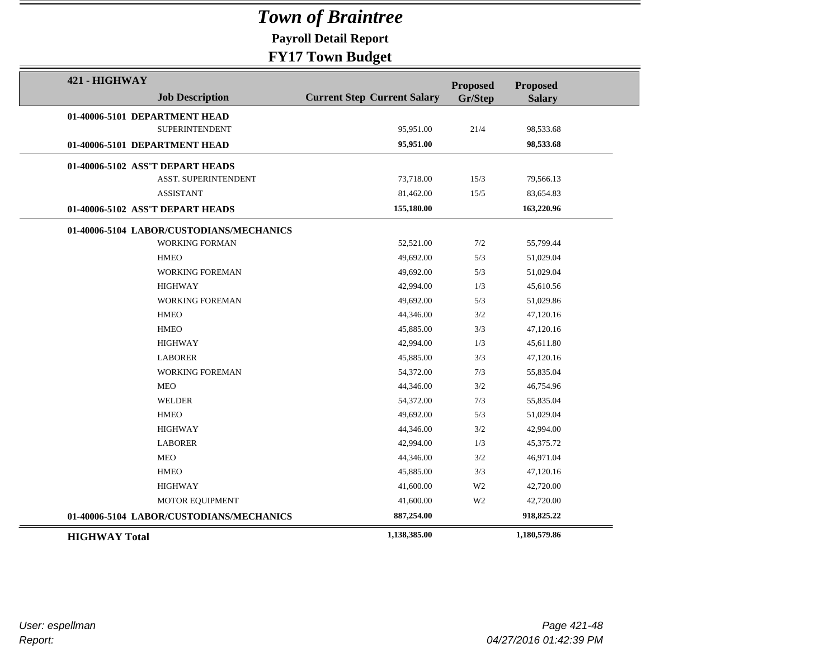**Payroll Detail Report**

| 421 - HIGHWAY        |                                          |                                    | <b>Proposed</b> | <b>Proposed</b> |  |
|----------------------|------------------------------------------|------------------------------------|-----------------|-----------------|--|
|                      | <b>Job Description</b>                   | <b>Current Step Current Salary</b> | Gr/Step         | <b>Salary</b>   |  |
|                      | 01-40006-5101 DEPARTMENT HEAD            |                                    |                 |                 |  |
|                      | <b>SUPERINTENDENT</b>                    | 95,951.00                          | 21/4            | 98,533.68       |  |
|                      | 01-40006-5101 DEPARTMENT HEAD            | 95,951.00                          |                 | 98,533.68       |  |
|                      | 01-40006-5102 ASS'T DEPART HEADS         |                                    |                 |                 |  |
|                      | <b>ASST. SUPERINTENDENT</b>              | 73,718.00                          | 15/3            | 79,566.13       |  |
|                      | <b>ASSISTANT</b>                         | 81,462.00                          | 15/5            | 83,654.83       |  |
|                      | 01-40006-5102 ASS'T DEPART HEADS         | 155,180.00                         |                 | 163,220.96      |  |
|                      | 01-40006-5104 LABOR/CUSTODIANS/MECHANICS |                                    |                 |                 |  |
|                      | <b>WORKING FORMAN</b>                    | 52,521.00                          | 7/2             | 55,799.44       |  |
|                      | <b>HMEO</b>                              | 49,692.00                          | 5/3             | 51,029.04       |  |
|                      | WORKING FOREMAN                          | 49,692.00                          | 5/3             | 51,029.04       |  |
|                      | <b>HIGHWAY</b>                           | 42,994.00                          | 1/3             | 45,610.56       |  |
|                      | <b>WORKING FOREMAN</b>                   | 49,692.00                          | 5/3             | 51,029.86       |  |
|                      | <b>HMEO</b>                              | 44,346.00                          | 3/2             | 47,120.16       |  |
|                      | <b>HMEO</b>                              | 45,885.00                          | 3/3             | 47,120.16       |  |
|                      | <b>HIGHWAY</b>                           | 42,994.00                          | 1/3             | 45,611.80       |  |
|                      | <b>LABORER</b>                           | 45,885.00                          | 3/3             | 47,120.16       |  |
|                      | <b>WORKING FOREMAN</b>                   | 54,372.00                          | 7/3             | 55,835.04       |  |
|                      | <b>MEO</b>                               | 44,346.00                          | 3/2             | 46,754.96       |  |
|                      | <b>WELDER</b>                            | 54,372.00                          | 7/3             | 55,835.04       |  |
|                      | <b>HMEO</b>                              | 49,692.00                          | 5/3             | 51,029.04       |  |
|                      | <b>HIGHWAY</b>                           | 44,346.00                          | 3/2             | 42,994.00       |  |
|                      | <b>LABORER</b>                           | 42,994.00                          | 1/3             | 45,375.72       |  |
|                      | <b>MEO</b>                               | 44,346.00                          | 3/2             | 46,971.04       |  |
|                      | <b>HMEO</b>                              | 45,885.00                          | 3/3             | 47,120.16       |  |
|                      | <b>HIGHWAY</b>                           | 41,600.00                          | W <sub>2</sub>  | 42,720.00       |  |
|                      | MOTOR EQUIPMENT                          | 41,600.00                          | W <sub>2</sub>  | 42,720.00       |  |
|                      | 01-40006-5104 LABOR/CUSTODIANS/MECHANICS | 887,254.00                         |                 | 918,825.22      |  |
| <b>HIGHWAY Total</b> |                                          | 1,138,385.00                       |                 | 1,180,579.86    |  |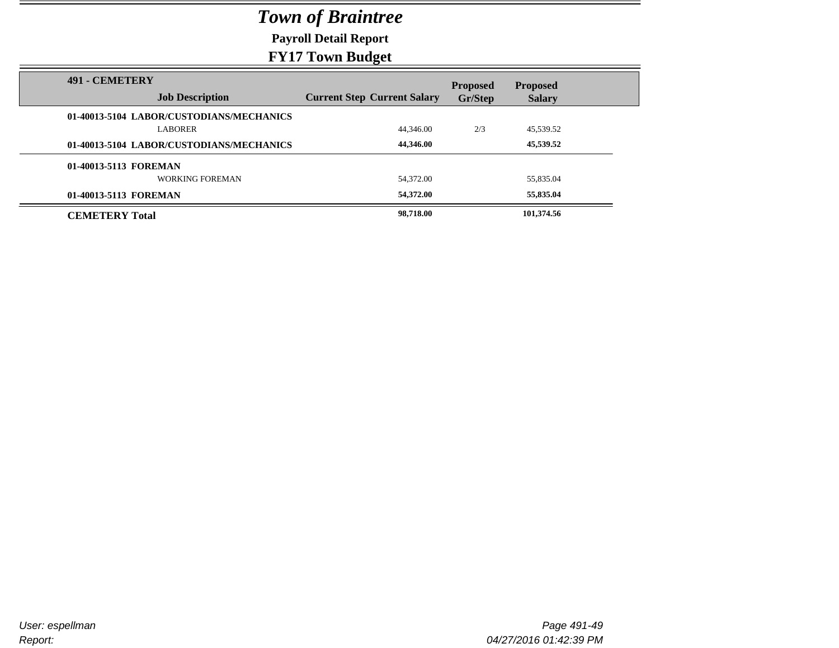**Payroll Detail Report**

| <b>491 - CEMETERY</b>                    |                                    | <b>Proposed</b> | <b>Proposed</b> |  |
|------------------------------------------|------------------------------------|-----------------|-----------------|--|
| <b>Job Description</b>                   | <b>Current Step Current Salary</b> | Gr/Step         | <b>Salary</b>   |  |
| 01-40013-5104 LABOR/CUSTODIANS/MECHANICS |                                    |                 |                 |  |
| <b>LABORER</b>                           | 44,346.00                          | 2/3             | 45,539.52       |  |
| 01-40013-5104 LABOR/CUSTODIANS/MECHANICS | 44,346.00                          |                 | 45,539.52       |  |
| 01-40013-5113 FOREMAN                    |                                    |                 |                 |  |
| WORKING FOREMAN                          | 54,372.00                          |                 | 55,835.04       |  |
| 01-40013-5113 FOREMAN                    | 54,372.00                          |                 | 55,835.04       |  |
| <b>CEMETERY Total</b>                    | 98,718.00                          |                 | 101,374.56      |  |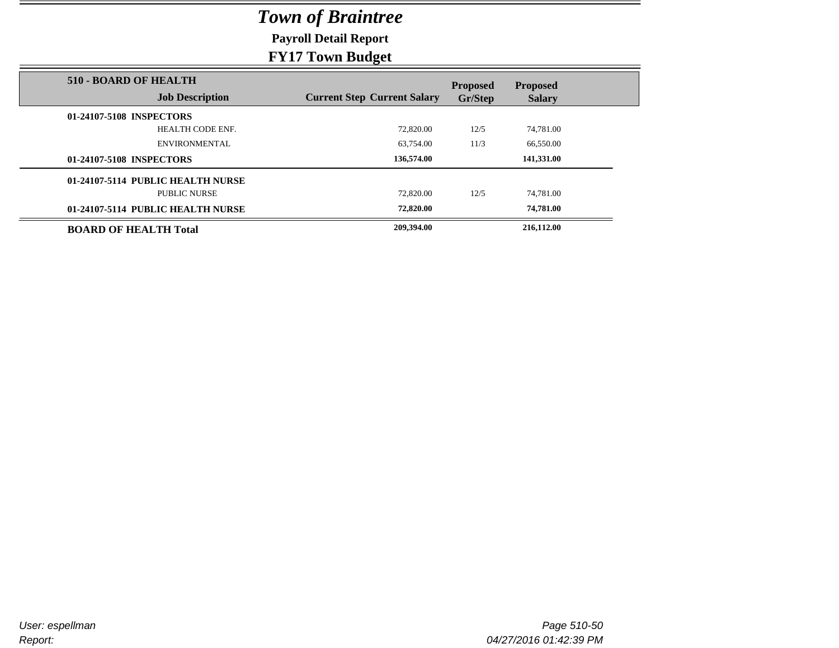**Payroll Detail Report**

### **FY17 Town Budget**

|                                                        | ------ <del>----</del>             |                            |                                  |
|--------------------------------------------------------|------------------------------------|----------------------------|----------------------------------|
| <b>510 - BOARD OF HEALTH</b><br><b>Job Description</b> | <b>Current Step Current Salary</b> | <b>Proposed</b><br>Gr/Step | <b>Proposed</b><br><b>Salary</b> |
| 01-24107-5108 INSPECTORS                               |                                    |                            |                                  |
| HEALTH CODE ENF.                                       | 72,820.00                          | 12/5                       | 74.781.00                        |
| <b>ENVIRONMENTAL</b>                                   | 63.754.00                          | 11/3                       | 66,550.00                        |
| 01-24107-5108 INSPECTORS                               | 136,574.00                         |                            | 141,331.00                       |
| 01-24107-5114 PUBLIC HEALTH NURSE                      |                                    |                            |                                  |
| <b>PUBLIC NURSE</b>                                    | 72,820.00                          | 12/5                       | 74.781.00                        |
| 01-24107-5114 PUBLIC HEALTH NURSE                      | 72,820.00                          |                            | 74,781.00                        |
| <b>BOARD OF HEALTH Total</b>                           | 209,394.00                         |                            | 216,112.00                       |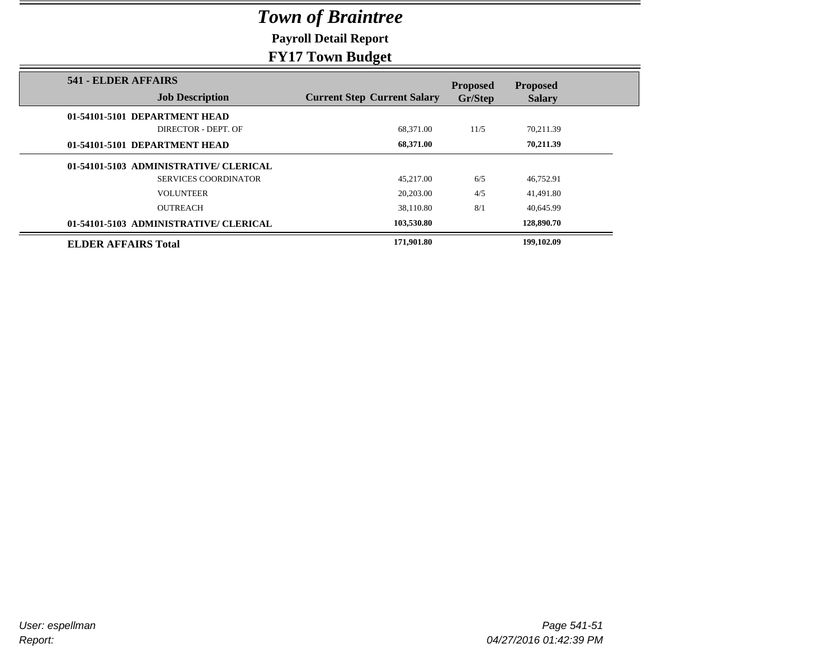**Payroll Detail Report**

### **FY17 Town Budget**

|                                               | ----                               |                            |                                  |
|-----------------------------------------------|------------------------------------|----------------------------|----------------------------------|
| 541 - ELDER AFFAIRS<br><b>Job Description</b> | <b>Current Step Current Salary</b> | <b>Proposed</b><br>Gr/Step | <b>Proposed</b><br><b>Salary</b> |
| 01-54101-5101 DEPARTMENT HEAD                 |                                    |                            |                                  |
| DIRECTOR - DEPT. OF                           | 68.371.00                          | 11/5                       | 70,211.39                        |
| 01-54101-5101 DEPARTMENT HEAD                 | 68,371.00                          |                            | 70,211.39                        |
| 01-54101-5103 ADMINISTRATIVE/ CLERICAL        |                                    |                            |                                  |
| <b>SERVICES COORDINATOR</b>                   | 45,217.00                          | 6/5                        | 46,752.91                        |
| <b>VOLUNTEER</b>                              | 20,203.00                          | 4/5                        | 41,491.80                        |
| <b>OUTREACH</b>                               | 38.110.80                          | 8/1                        | 40.645.99                        |
| 01-54101-5103 ADMINISTRATIVE/ CLERICAL        | 103,530.80                         |                            | 128,890.70                       |
| <b>ELDER AFFAIRS Total</b>                    | 171,901.80                         |                            | 199,102.09                       |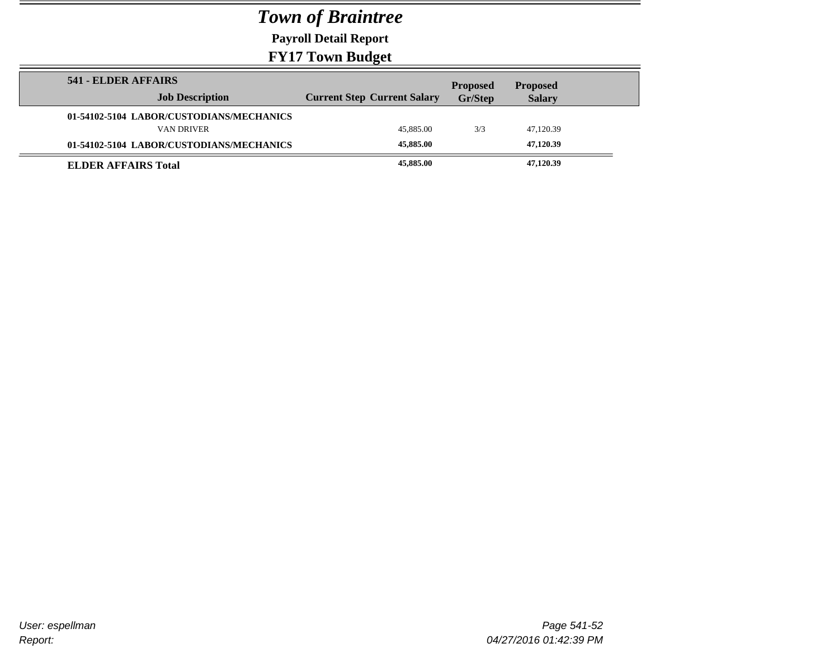**Payroll Detail Report**

| 541 - ELDER AFFAIRS                      |                                    | <b>Proposed</b> | <b>Proposed</b> |  |
|------------------------------------------|------------------------------------|-----------------|-----------------|--|
| <b>Job Description</b>                   | <b>Current Step Current Salary</b> | Gr/Step         | <b>Salary</b>   |  |
| 01-54102-5104 LABOR/CUSTODIANS/MECHANICS |                                    |                 |                 |  |
| VAN DRIVER                               | 45,885.00                          | 3/3             | 47,120.39       |  |
| 01-54102-5104 LABOR/CUSTODIANS/MECHANICS | 45,885.00                          |                 | 47,120.39       |  |
| <b>ELDER AFFAIRS Total</b>               | 45,885.00                          |                 | 47,120.39       |  |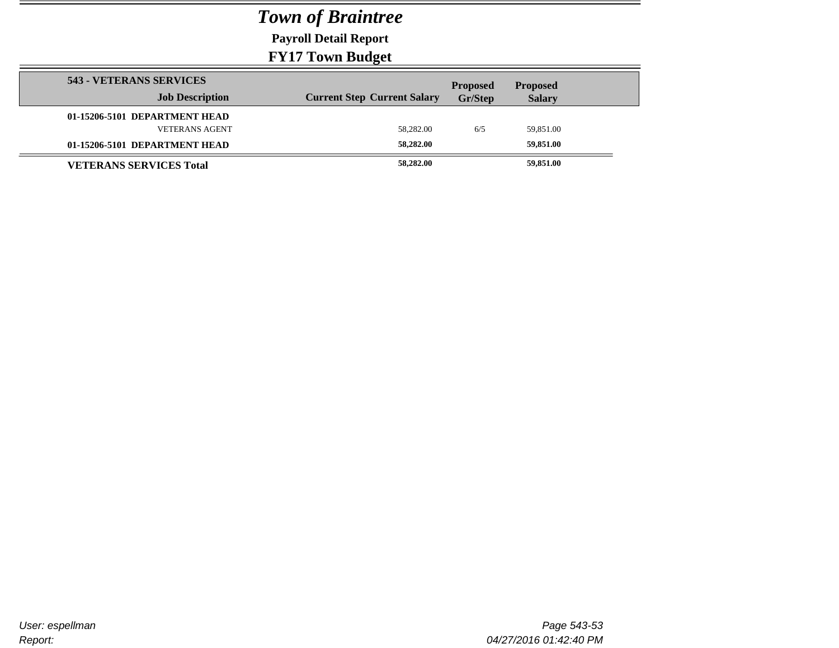**Payroll Detail Report**

|                                | $\sim$ $\sim$                      |                 |                 |  |
|--------------------------------|------------------------------------|-----------------|-----------------|--|
| 543 - VETERANS SERVICES        |                                    | <b>Proposed</b> | <b>Proposed</b> |  |
| <b>Job Description</b>         | <b>Current Step Current Salary</b> | <b>Gr/Step</b>  | <b>Salary</b>   |  |
| 01-15206-5101 DEPARTMENT HEAD  |                                    |                 |                 |  |
| <b>VETERANS AGENT</b>          | 58,282.00                          | 6/5             | 59,851.00       |  |
| 01-15206-5101 DEPARTMENT HEAD  | 58,282.00                          |                 | 59,851.00       |  |
| <b>VETERANS SERVICES Total</b> | 58,282.00                          |                 | 59,851.00       |  |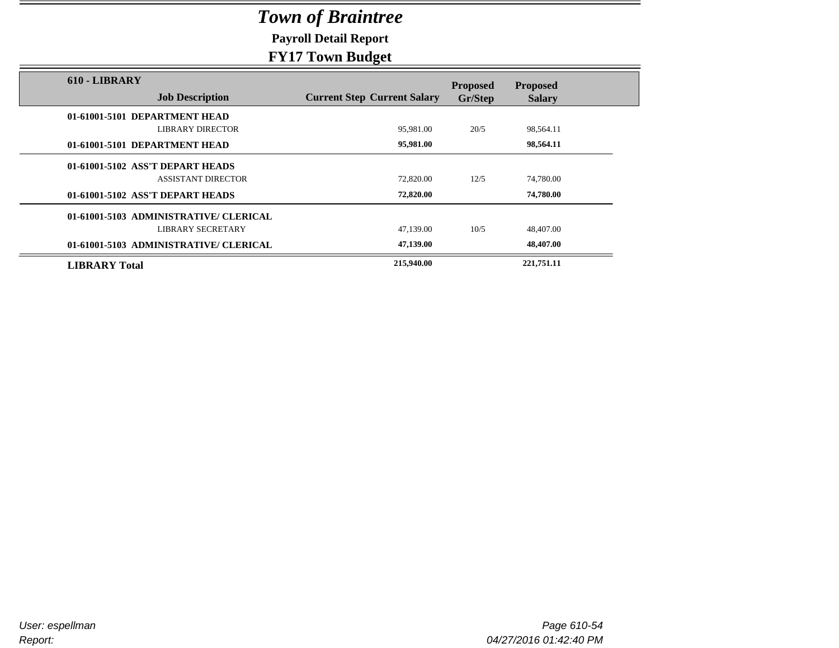**Payroll Detail Report**

|                                         | $\sigma$ .                         |                            |                                  |  |
|-----------------------------------------|------------------------------------|----------------------------|----------------------------------|--|
| 610 - LIBRARY<br><b>Job Description</b> | <b>Current Step Current Salary</b> | <b>Proposed</b><br>Gr/Step | <b>Proposed</b><br><b>Salary</b> |  |
| 01-61001-5101 DEPARTMENT HEAD           |                                    |                            |                                  |  |
| <b>LIBRARY DIRECTOR</b>                 | 95,981.00                          | 20/5                       | 98,564.11                        |  |
|                                         |                                    |                            |                                  |  |
| 01-61001-5101 DEPARTMENT HEAD           | 95,981.00                          |                            | 98,564.11                        |  |
| 01-61001-5102 ASS'T DEPART HEADS        |                                    |                            |                                  |  |
| <b>ASSISTANT DIRECTOR</b>               | 72,820.00                          | 12/5                       | 74,780.00                        |  |
| 01-61001-5102 ASS'T DEPART HEADS        | 72,820.00                          |                            | 74,780.00                        |  |
| 01-61001-5103 ADMINISTRATIVE/ CLERICAL  |                                    |                            |                                  |  |
| LIBRARY SECRETARY                       | 47,139.00                          | 10/5                       | 48,407.00                        |  |
| 01-61001-5103 ADMINISTRATIVE/ CLERICAL  | 47,139.00                          |                            | 48,407.00                        |  |
| <b>LIBRARY Total</b>                    | 215,940.00                         |                            | 221,751.11                       |  |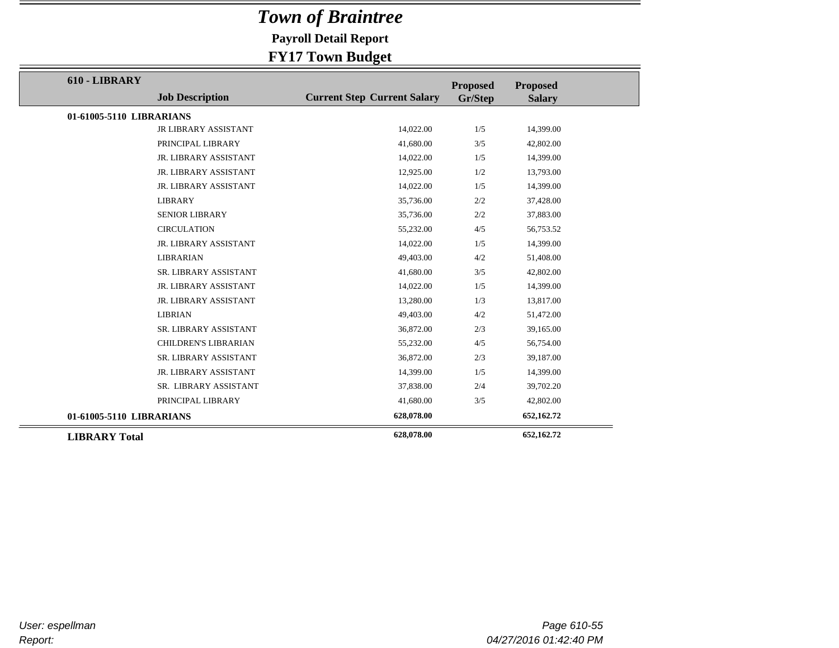**Payroll Detail Report**

| 610 - LIBRARY            |                             |                                    | <b>Proposed</b> | <b>Proposed</b> |
|--------------------------|-----------------------------|------------------------------------|-----------------|-----------------|
|                          | <b>Job Description</b>      | <b>Current Step Current Salary</b> | Gr/Step         | <b>Salary</b>   |
| 01-61005-5110 LIBRARIANS |                             |                                    |                 |                 |
|                          | JR LIBRARY ASSISTANT        | 14,022.00                          | 1/5             | 14,399.00       |
|                          | PRINCIPAL LIBRARY           | 41,680.00                          | 3/5             | 42,802.00       |
|                          | JR. LIBRARY ASSISTANT       | 14,022.00                          | 1/5             | 14,399.00       |
|                          | JR. LIBRARY ASSISTANT       | 12,925.00                          | 1/2             | 13,793.00       |
|                          | JR. LIBRARY ASSISTANT       | 14,022.00                          | 1/5             | 14,399.00       |
|                          | <b>LIBRARY</b>              | 35,736.00                          | 2/2             | 37,428.00       |
|                          | <b>SENIOR LIBRARY</b>       | 35,736.00                          | 2/2             | 37,883.00       |
|                          | <b>CIRCULATION</b>          | 55,232.00                          | 4/5             | 56,753.52       |
|                          | JR. LIBRARY ASSISTANT       | 14,022.00                          | 1/5             | 14,399.00       |
|                          | <b>LIBRARIAN</b>            | 49,403.00                          | 4/2             | 51,408.00       |
|                          | SR. LIBRARY ASSISTANT       | 41,680.00                          | 3/5             | 42,802.00       |
|                          | JR. LIBRARY ASSISTANT       | 14,022.00                          | 1/5             | 14,399.00       |
|                          | JR. LIBRARY ASSISTANT       | 13,280.00                          | 1/3             | 13,817.00       |
|                          | <b>LIBRIAN</b>              | 49,403.00                          | 4/2             | 51,472.00       |
|                          | SR. LIBRARY ASSISTANT       | 36,872.00                          | 2/3             | 39,165.00       |
|                          | <b>CHILDREN'S LIBRARIAN</b> | 55,232.00                          | 4/5             | 56,754.00       |
|                          | SR. LIBRARY ASSISTANT       | 36,872.00                          | 2/3             | 39,187.00       |
|                          | JR. LIBRARY ASSISTANT       | 14,399.00                          | 1/5             | 14,399.00       |
|                          | SR. LIBRARY ASSISTANT       | 37,838.00                          | 2/4             | 39,702.20       |
|                          | PRINCIPAL LIBRARY           | 41,680.00                          | 3/5             | 42,802.00       |
| 01-61005-5110 LIBRARIANS |                             | 628,078.00                         |                 | 652,162.72      |
| <b>LIBRARY Total</b>     |                             | 628,078.00                         |                 | 652,162.72      |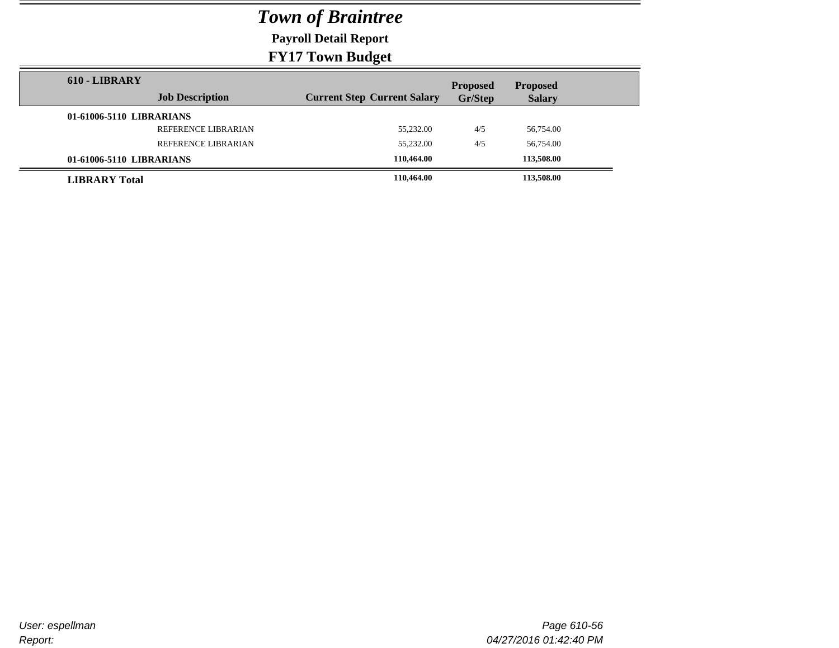**Payroll Detail Report**

| 610 - LIBRARY        |                          |                                    | <b>Proposed</b> | <b>Proposed</b> |  |
|----------------------|--------------------------|------------------------------------|-----------------|-----------------|--|
|                      | <b>Job Description</b>   | <b>Current Step Current Salary</b> | Gr/Step         | <b>Salary</b>   |  |
|                      | 01-61006-5110 LIBRARIANS |                                    |                 |                 |  |
|                      | REFERENCE LIBRARIAN      | 55,232.00                          | 4/5             | 56,754.00       |  |
|                      | REFERENCE LIBRARIAN      | 55,232.00                          | 4/5             | 56,754.00       |  |
|                      | 01-61006-5110 LIBRARIANS | 110.464.00                         |                 | 113,508.00      |  |
| <b>LIBRARY</b> Total |                          | 110,464.00                         |                 | 113,508.00      |  |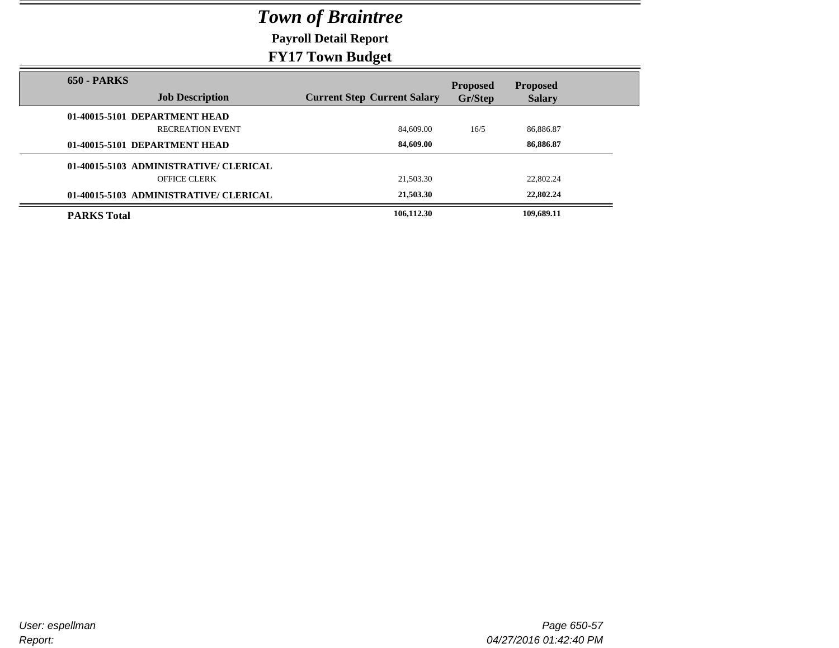**Payroll Detail Report**

| <b>650 - PARKS</b>                     |                                    | <b>Proposed</b> | <b>Proposed</b> |
|----------------------------------------|------------------------------------|-----------------|-----------------|
| <b>Job Description</b>                 | <b>Current Step Current Salary</b> | Gr/Step         | <b>Salary</b>   |
| 01-40015-5101 DEPARTMENT HEAD          |                                    |                 |                 |
| <b>RECREATION EVENT</b>                | 84,609.00                          | 16/5            | 86,886.87       |
| 01-40015-5101 DEPARTMENT HEAD          | 84,609.00                          |                 | 86,886.87       |
| 01-40015-5103 ADMINISTRATIVE/CLERICAL  |                                    |                 |                 |
| OFFICE CLERK                           | 21,503.30                          |                 | 22,802.24       |
| 01-40015-5103 ADMINISTRATIVE/ CLERICAL | 21,503.30                          |                 | 22,802.24       |
| <b>PARKS Total</b>                     | 106,112.30                         |                 | 109,689.11      |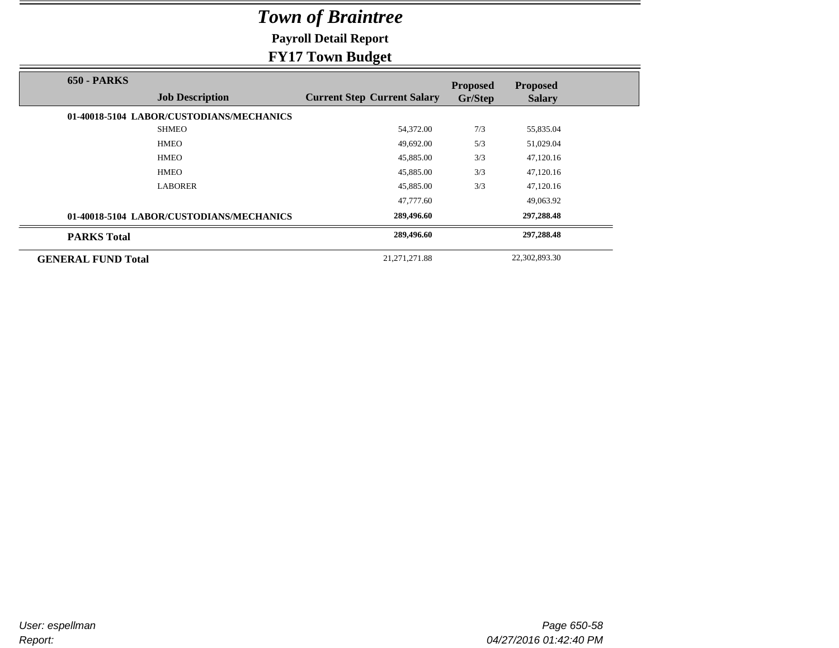**Payroll Detail Report**

### **FY17 Town Budget**

|                           |                                          | $\sigma$ .                         |                            |                                  |  |
|---------------------------|------------------------------------------|------------------------------------|----------------------------|----------------------------------|--|
| <b>650 - PARKS</b>        | <b>Job Description</b>                   | <b>Current Step Current Salary</b> | <b>Proposed</b><br>Gr/Step | <b>Proposed</b><br><b>Salary</b> |  |
|                           | 01-40018-5104 LABOR/CUSTODIANS/MECHANICS |                                    |                            |                                  |  |
|                           | <b>SHMEO</b>                             | 54,372.00                          | 7/3                        | 55,835.04                        |  |
|                           | <b>HMEO</b>                              | 49,692.00                          | 5/3                        | 51,029.04                        |  |
|                           | <b>HMEO</b>                              | 45,885.00                          | 3/3                        | 47,120.16                        |  |
|                           | <b>HMEO</b>                              | 45,885.00                          | 3/3                        | 47,120.16                        |  |
|                           | <b>LABORER</b>                           | 45,885.00                          | 3/3                        | 47,120.16                        |  |
|                           |                                          | 47,777.60                          |                            | 49,063.92                        |  |
|                           | 01-40018-5104 LABOR/CUSTODIANS/MECHANICS | 289,496.60                         |                            | 297,288.48                       |  |
| <b>PARKS Total</b>        |                                          | 289,496.60                         |                            | 297,288.48                       |  |
| <b>GENERAL FUND Total</b> |                                          | 21, 271, 271.88                    |                            | 22,302,893.30                    |  |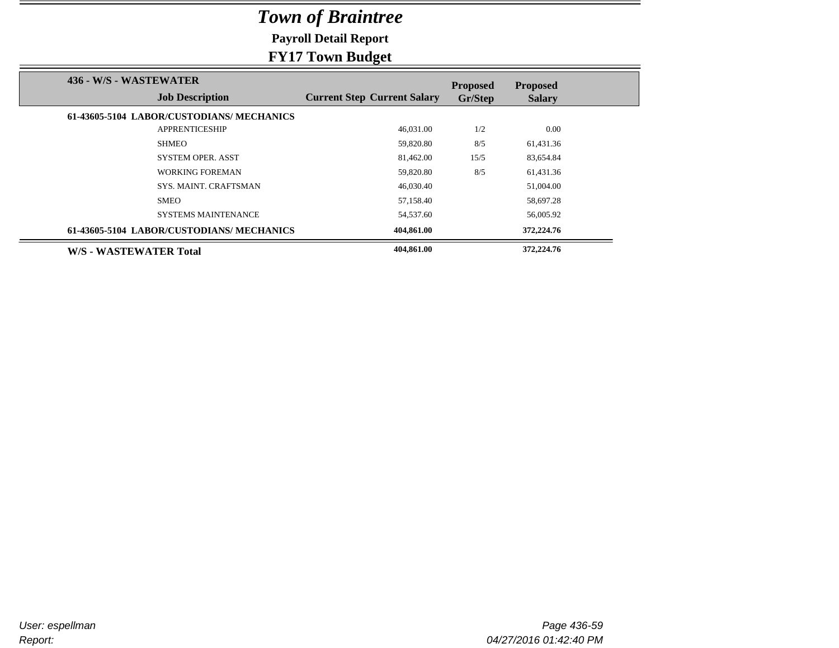**Payroll Detail Report**

|                                                  | $\mathbf{\sigma}$                  |                            |                                  |
|--------------------------------------------------|------------------------------------|----------------------------|----------------------------------|
| 436 - W/S - WASTEWATER<br><b>Job Description</b> | <b>Current Step Current Salary</b> | <b>Proposed</b><br>Gr/Step | <b>Proposed</b><br><b>Salary</b> |
|                                                  |                                    |                            |                                  |
| 61-43605-5104 LABOR/CUSTODIANS/ MECHANICS        |                                    |                            |                                  |
| <b>APPRENTICESHIP</b>                            | 46,031.00                          | 1/2                        | 0.00                             |
| <b>SHMEO</b>                                     | 59,820.80                          | 8/5                        | 61,431.36                        |
| <b>SYSTEM OPER. ASST</b>                         | 81,462.00                          | 15/5                       | 83,654.84                        |
| <b>WORKING FOREMAN</b>                           | 59,820.80                          | 8/5                        | 61,431.36                        |
| <b>SYS. MAINT. CRAFTSMAN</b>                     | 46,030.40                          |                            | 51,004.00                        |
| <b>SMEO</b>                                      | 57,158.40                          |                            | 58,697.28                        |
| <b>SYSTEMS MAINTENANCE</b>                       | 54,537.60                          |                            | 56,005.92                        |
| 61-43605-5104 LABOR/CUSTODIANS/MECHANICS         | 404,861.00                         |                            | 372,224.76                       |
| W/S - WASTEWATER Total                           | 404,861.00                         |                            | 372,224.76                       |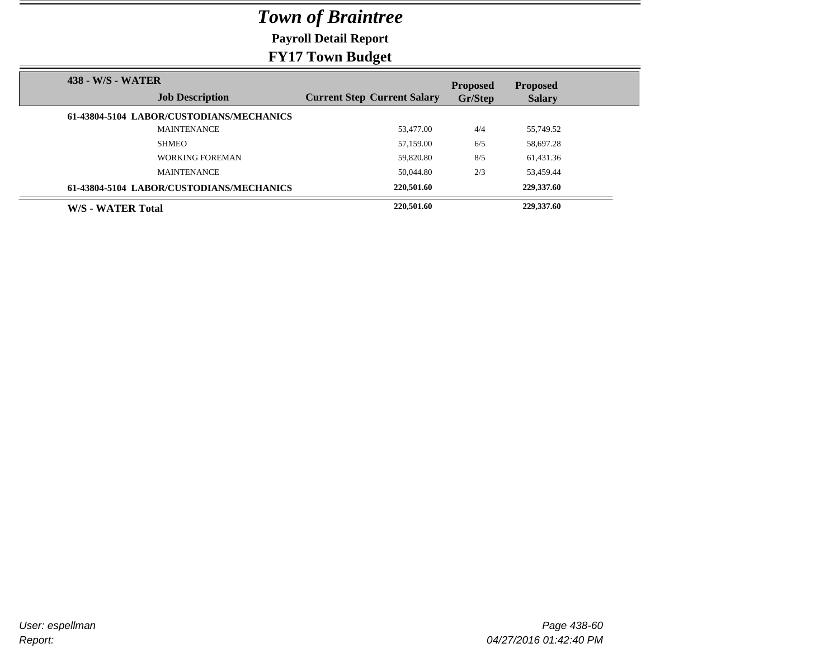**Payroll Detail Report**

| 438 - W/S - WATER                        |                                    | <b>Proposed</b> | <b>Proposed</b> |
|------------------------------------------|------------------------------------|-----------------|-----------------|
| <b>Job Description</b>                   | <b>Current Step Current Salary</b> | Gr/Step         | <b>Salary</b>   |
| 61-43804-5104 LABOR/CUSTODIANS/MECHANICS |                                    |                 |                 |
| <b>MAINTENANCE</b>                       | 53,477.00                          | 4/4             | 55,749.52       |
| <b>SHMEO</b>                             | 57,159.00                          | 6/5             | 58,697.28       |
| <b>WORKING FOREMAN</b>                   | 59.820.80                          | 8/5             | 61,431.36       |
| <b>MAINTENANCE</b>                       | 50,044.80                          | 2/3             | 53.459.44       |
| 61-43804-5104 LABOR/CUSTODIANS/MECHANICS | 220,501.60                         |                 | 229,337.60      |
| W/S - WATER Total                        | 220,501.60                         |                 | 229,337.60      |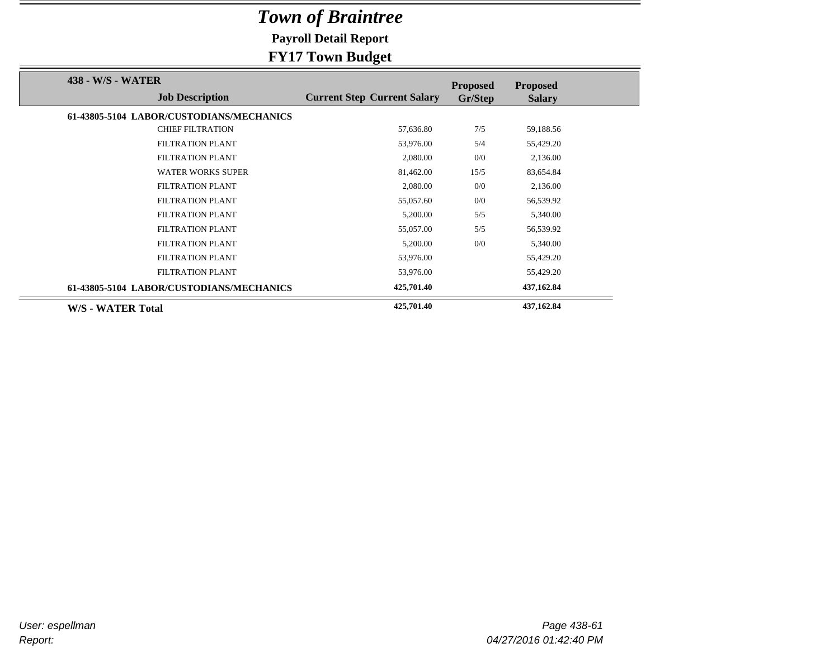**Payroll Detail Report**

|                                             | 78. - 1                            |                            |                                  |
|---------------------------------------------|------------------------------------|----------------------------|----------------------------------|
| 438 - W/S - WATER<br><b>Job Description</b> | <b>Current Step Current Salary</b> | <b>Proposed</b><br>Gr/Step | <b>Proposed</b><br><b>Salary</b> |
| 61-43805-5104 LABOR/CUSTODIANS/MECHANICS    |                                    |                            |                                  |
| <b>CHIEF FILTRATION</b>                     | 57,636.80                          | 7/5                        | 59,188.56                        |
| <b>FILTRATION PLANT</b>                     | 53,976.00                          | 5/4                        | 55,429.20                        |
| <b>FILTRATION PLANT</b>                     | 2,080.00                           | 0/0                        | 2,136.00                         |
| <b>WATER WORKS SUPER</b>                    | 81,462.00                          | 15/5                       | 83,654.84                        |
| <b>FILTRATION PLANT</b>                     | 2,080.00                           | 0/0                        | 2,136.00                         |
| <b>FILTRATION PLANT</b>                     | 55,057.60                          | 0/0                        | 56,539.92                        |
| <b>FILTRATION PLANT</b>                     | 5,200.00                           | 5/5                        | 5,340.00                         |
| <b>FILTRATION PLANT</b>                     | 55,057.00                          | 5/5                        | 56,539.92                        |
| <b>FILTRATION PLANT</b>                     | 5,200.00                           | 0/0                        | 5,340.00                         |
| FILTRATION PLANT                            | 53,976.00                          |                            | 55,429.20                        |
| FILTRATION PLANT                            | 53,976.00                          |                            | 55,429.20                        |
| 61-43805-5104 LABOR/CUSTODIANS/MECHANICS    | 425,701.40                         |                            | 437,162.84                       |
| W/S - WATER Total                           | 425,701.40                         |                            | 437,162.84                       |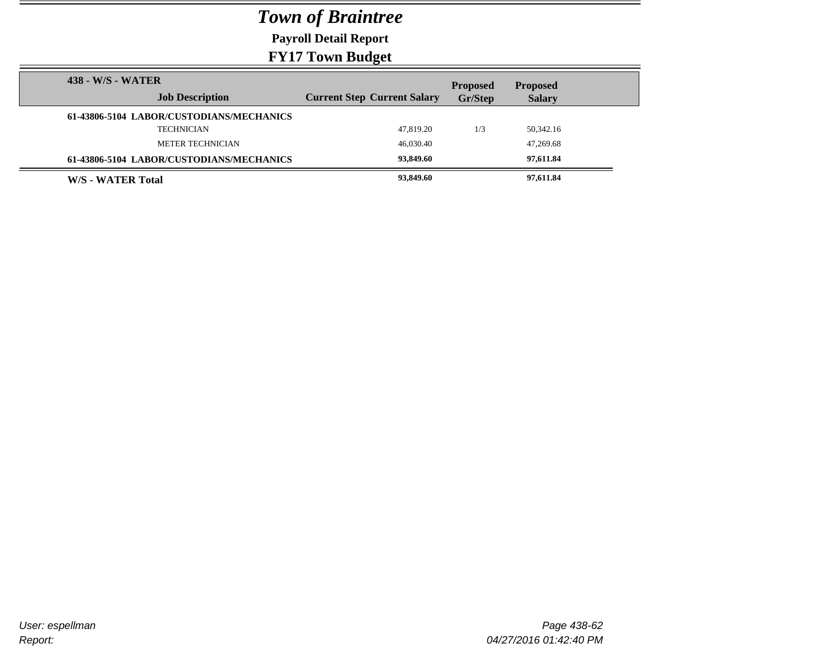**Payroll Detail Report**

| 438 - W/S - WATER |                                          |                                    | <b>Proposed</b> | <b>Proposed</b> |
|-------------------|------------------------------------------|------------------------------------|-----------------|-----------------|
|                   | <b>Job Description</b>                   | <b>Current Step Current Salary</b> | Gr/Step         | <b>Salary</b>   |
|                   | 61-43806-5104 LABOR/CUSTODIANS/MECHANICS |                                    |                 |                 |
|                   | <b>TECHNICIAN</b>                        | 47.819.20                          | 1/3             | 50,342.16       |
|                   | METER TECHNICIAN                         | 46,030.40                          |                 | 47,269.68       |
|                   | 61-43806-5104 LABOR/CUSTODIANS/MECHANICS | 93,849.60                          |                 | 97,611.84       |
| W/S - WATER Total |                                          | 93,849.60                          |                 | 97,611.84       |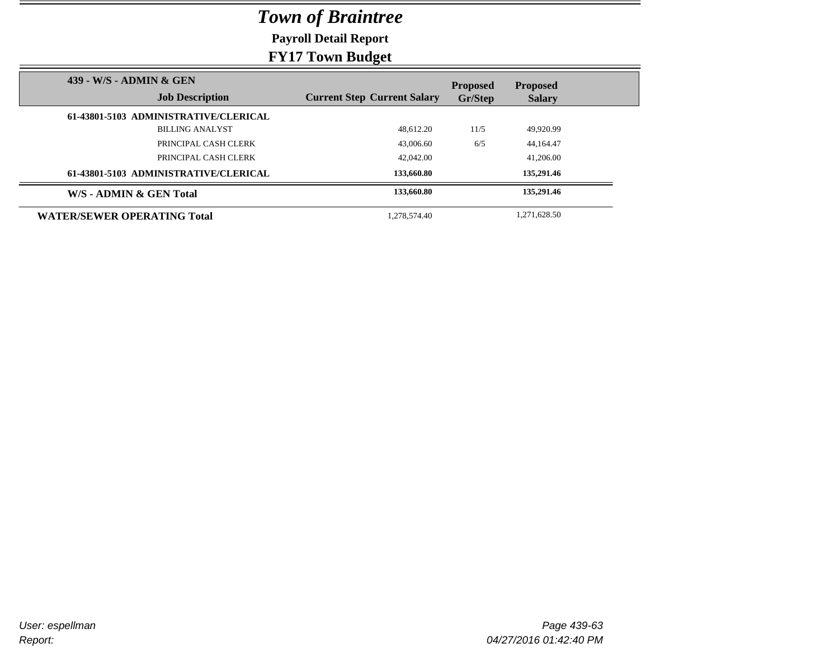**Payroll Detail Report**

|                                                   | $\rightarrow$ $\rightarrow$ $\rightarrow$ |                            |                                  |
|---------------------------------------------------|-------------------------------------------|----------------------------|----------------------------------|
| 439 - W/S - ADMIN & GEN<br><b>Job Description</b> | <b>Current Step Current Salary</b>        | <b>Proposed</b><br>Gr/Step | <b>Proposed</b><br><b>Salary</b> |
| 61-43801-5103 ADMINISTRATIVE/CLERICAL             |                                           |                            |                                  |
| <b>BILLING ANALYST</b>                            | 48.612.20                                 | 11/5                       | 49.920.99                        |
| PRINCIPAL CASH CLERK                              | 43,006.60                                 | 6/5                        | 44,164.47                        |
| PRINCIPAL CASH CLERK                              | 42,042.00                                 |                            | 41,206.00                        |
| 61-43801-5103 ADMINISTRATIVE/CLERICAL             | 133,660.80                                |                            | 135,291.46                       |
| W/S - ADMIN & GEN Total                           | 133,660.80                                |                            | 135,291.46                       |
| <b>WATER/SEWER OPERATING Total</b>                | 1.278.574.40                              |                            | 1.271.628.50                     |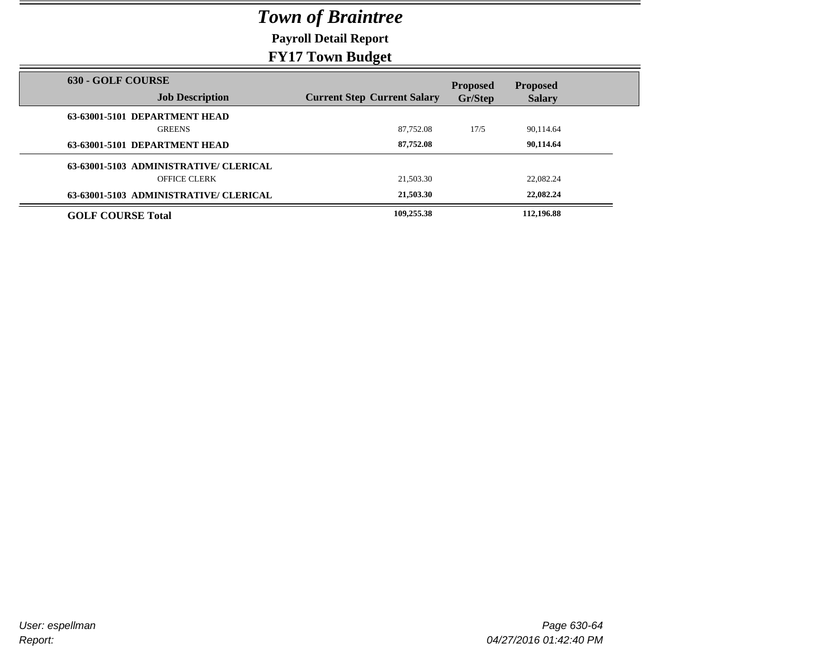**Payroll Detail Report**

|                                                    | $\rightarrow$ $\rightarrow$ $\rightarrow$ |                            |                                  |
|----------------------------------------------------|-------------------------------------------|----------------------------|----------------------------------|
| <b>630 - GOLF COURSE</b><br><b>Job Description</b> | <b>Current Step Current Salary</b>        | <b>Proposed</b><br>Gr/Step | <b>Proposed</b><br><b>Salary</b> |
|                                                    |                                           |                            |                                  |
| 63-63001-5101 DEPARTMENT HEAD                      |                                           |                            |                                  |
| <b>GREENS</b>                                      | 87,752.08                                 | 17/5                       | 90,114.64                        |
| 63-63001-5101 DEPARTMENT HEAD                      | 87,752.08                                 |                            | 90,114.64                        |
| 63-63001-5103 ADMINISTRATIVE/ CLERICAL             |                                           |                            |                                  |
| <b>OFFICE CLERK</b>                                | 21,503.30                                 |                            | 22,082.24                        |
| 63-63001-5103 ADMINISTRATIVE/ CLERICAL             | 21,503.30                                 |                            | 22,082.24                        |
| <b>GOLF COURSE Total</b>                           | 109,255.38                                |                            | 112,196.88                       |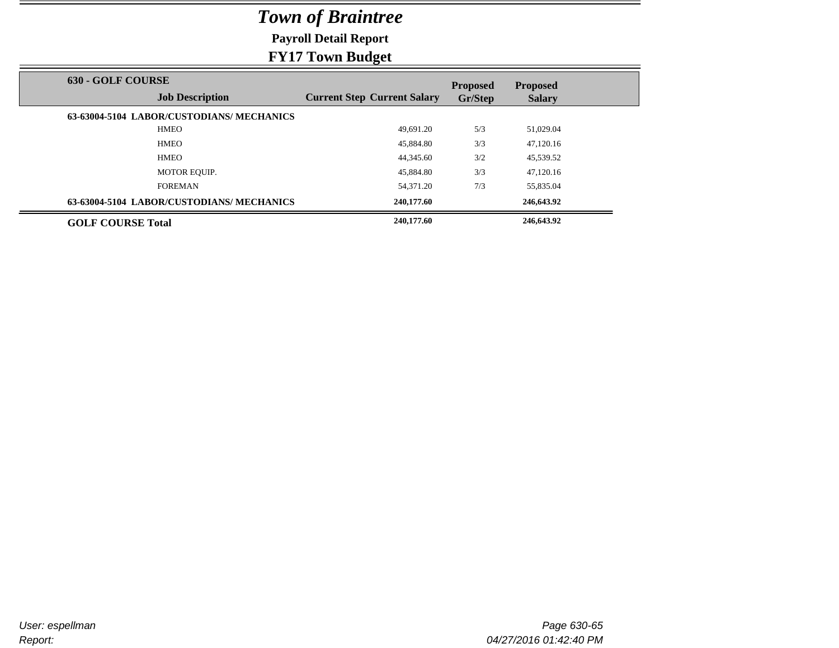**Payroll Detail Report**

|                                                    | $\mathbf{\sigma}$                  |                            |                                  |
|----------------------------------------------------|------------------------------------|----------------------------|----------------------------------|
| <b>630 - GOLF COURSE</b><br><b>Job Description</b> | <b>Current Step Current Salary</b> | <b>Proposed</b><br>Gr/Step | <b>Proposed</b><br><b>Salary</b> |
| 63-63004-5104 LABOR/CUSTODIANS/MECHANICS           |                                    |                            |                                  |
| <b>HMEO</b>                                        | 49.691.20                          | 5/3                        | 51,029.04                        |
| <b>HMEO</b>                                        | 45,884.80                          | 3/3                        | 47,120.16                        |
| <b>HMEO</b>                                        | 44,345.60                          | 3/2                        | 45,539.52                        |
| <b>MOTOR EQUIP.</b>                                | 45,884.80                          | 3/3                        | 47,120.16                        |
| <b>FOREMAN</b>                                     | 54.371.20                          | 7/3                        | 55,835.04                        |
| 63-63004-5104 LABOR/CUSTODIANS/MECHANICS           | 240,177.60                         |                            | 246,643.92                       |
| <b>GOLF COURSE Total</b>                           | 240,177.60                         |                            | 246,643.92                       |